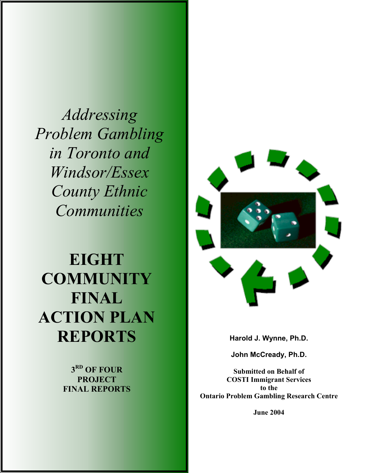*Addressing Problem Gambling in Toronto and Windsor/Essex County Ethnic Communities* 

# **EIGHT COMMUNITY FINAL ACTION PLAN REPORTS**

**3RD OF FOUR PROJECT FINAL REPORTS**



**Harold J. Wynne, Ph.D.** 

**John McCready, Ph.D.** 

**Submitted on Behalf of COSTI Immigrant Services to the Ontario Problem Gambling Research Centre** 

**June 2004**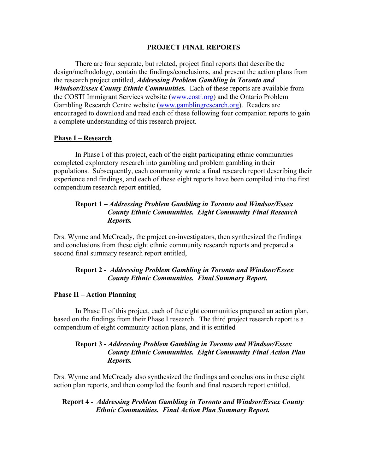#### **PROJECT FINAL REPORTS**

There are four separate, but related, project final reports that describe the design/methodology, contain the findings/conclusions, and present the action plans from the research project entitled, *Addressing Problem Gambling in Toronto and Windsor/Essex County Ethnic Communities.* Each of these reports are available from the COSTI Immigrant Services website (www.costi.org) and the Ontario Problem Gambling Research Centre website (www.gamblingresearch.org). Readers are encouraged to download and read each of these following four companion reports to gain a complete understanding of this research project.

#### **Phase I – Research**

In Phase I of this project, each of the eight participating ethnic communities completed exploratory research into gambling and problem gambling in their populations. Subsequently, each community wrote a final research report describing their experience and findings, and each of these eight reports have been compiled into the first compendium research report entitled,

## **Report 1 –** *Addressing Problem Gambling in Toronto and Windsor/Essex County Ethnic Communities. Eight Community Final Research Reports.*

Drs. Wynne and McCready, the project co-investigators, then synthesized the findings and conclusions from these eight ethnic community research reports and prepared a second final summary research report entitled,

### **Report 2 -** *Addressing Problem Gambling in Toronto and Windsor/Essex County Ethnic Communities. Final Summary Report.*

#### **Phase II – Action Planning**

 In Phase II of this project, each of the eight communities prepared an action plan, based on the findings from their Phase I research. The third project research report is a compendium of eight community action plans, and it is entitled

### **Report 3 -** *Addressing Problem Gambling in Toronto and Windsor/Essex County Ethnic Communities. Eight Community Final Action Plan Reports.*

Drs. Wynne and McCready also synthesized the findings and conclusions in these eight action plan reports, and then compiled the fourth and final research report entitled,

### **Report 4 -** *Addressing Problem Gambling in Toronto and Windsor/Essex County Ethnic Communities. Final Action Plan Summary Report.*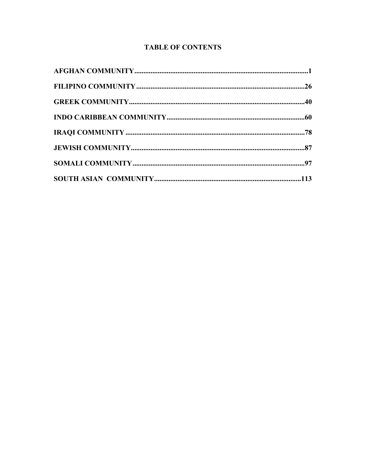## **TABLE OF CONTENTS**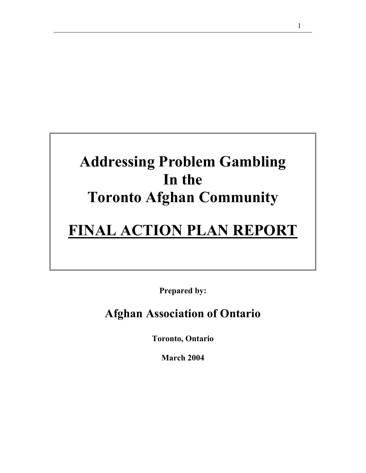## **Addressing Problem Gambling In the Toronto Afghan Community**

## **FINAL ACTION PLAN REPORT**

**Prepared by:** 

## **Afghan Association of Ontario**

**Toronto, Ontario** 

**March 2004**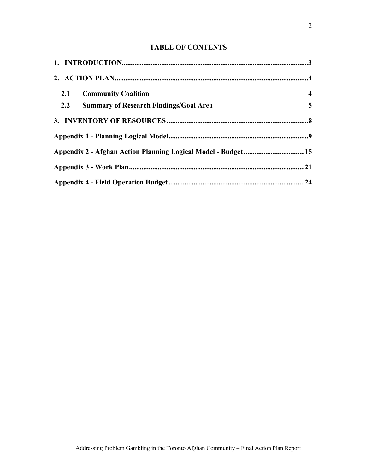## **TABLE OF CONTENTS**

| 2.1<br><b>Community Coalition</b>                            | $\overline{\mathbf{4}}$ |
|--------------------------------------------------------------|-------------------------|
| 2.2<br><b>Summary of Research Findings/Goal Area</b>         | $\overline{5}$          |
|                                                              |                         |
|                                                              |                         |
| Appendix 2 - Afghan Action Planning Logical Model - Budget15 |                         |
|                                                              |                         |
|                                                              |                         |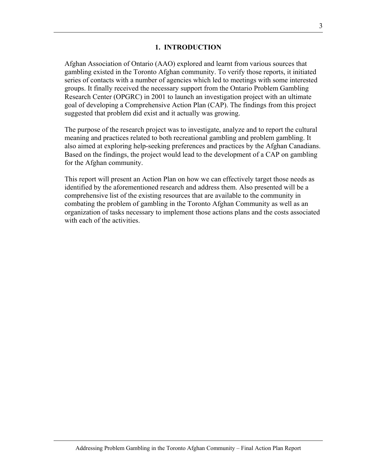### **1. INTRODUCTION**

Afghan Association of Ontario (AAO) explored and learnt from various sources that gambling existed in the Toronto Afghan community. To verify those reports, it initiated series of contacts with a number of agencies which led to meetings with some interested groups. It finally received the necessary support from the Ontario Problem Gambling Research Center (OPGRC) in 2001 to launch an investigation project with an ultimate goal of developing a Comprehensive Action Plan (CAP). The findings from this project suggested that problem did exist and it actually was growing.

The purpose of the research project was to investigate, analyze and to report the cultural meaning and practices related to both recreational gambling and problem gambling. It also aimed at exploring help-seeking preferences and practices by the Afghan Canadians. Based on the findings, the project would lead to the development of a CAP on gambling for the Afghan community.

This report will present an Action Plan on how we can effectively target those needs as identified by the aforementioned research and address them. Also presented will be a comprehensive list of the existing resources that are available to the community in combating the problem of gambling in the Toronto Afghan Community as well as an organization of tasks necessary to implement those actions plans and the costs associated with each of the activities.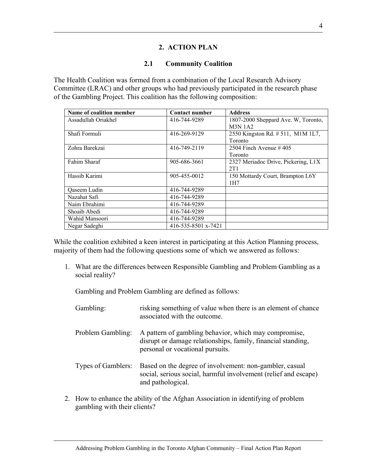## **2. ACTION PLAN**

## **2.1 Community Coalition**

The Health Coalition was formed from a combination of the Local Research Advisory Committee (LRAC) and other groups who had previously participated in the research phase of the Gambling Project. This coalition has the following composition:

| Name of coalition member | <b>Contact number</b> | <b>Address</b>                      |
|--------------------------|-----------------------|-------------------------------------|
| Assadullah Oriakhel      | 416-744-9289          | 1807-2000 Sheppard Ave. W, Toronto, |
|                          |                       | <b>M3N 1A2</b>                      |
| Shafi Formuli            | 416-269-9129          | 2550 Kingston Rd. # 511, M1M 1L7,   |
|                          |                       | <b>Toronto</b>                      |
| Zohra Barekzai           | 416-749-2119          | 2504 Finch Avenue $#405$            |
|                          |                       | <b>Toronto</b>                      |
| Fahim Sharaf             | 905-686-3661          | 2327 Meriadoc Drive, Pickering, L1X |
|                          |                       | 2T1                                 |
| Hassib Karimi            | 905-455-0012          | 150 Mottardy Court, Brampton L6Y    |
|                          |                       | 1H7                                 |
| Qaseem Ludin             | 416-744-9289          |                                     |
| Nazahat Safi             | 416-744-9289          |                                     |
| Naim Ebrahimi            | 416-744-9289          |                                     |
| Shoaib Abedi             | 416-744-9289          |                                     |
| Wahid Mansoori           | 416-744-9289          |                                     |
| Negar Sadeghi            | 416-535-8501 x-7421   |                                     |

While the coalition exhibited a keen interest in participating at this Action Planning process, majority of them had the following questions some of which we answered as follows:

1. What are the differences between Responsible Gambling and Problem Gambling as a social reality?

Gambling and Problem Gambling are defined as follows:

| Gambling:          | risking something of value when there is an element of chance<br>associated with the outcome.                                                             |
|--------------------|-----------------------------------------------------------------------------------------------------------------------------------------------------------|
| Problem Gambling:  | A pattern of gambling behavior, which may compromise,<br>disrupt or damage relationships, family, financial standing,<br>personal or vocational pursuits. |
| Types of Gamblers: | Based on the degree of involvement: non-gambler, casual<br>social, serious social, harmful involvement (relief and escape)<br>and pathological.           |

2. How to enhance the ability of the Afghan Association in identifying of problem gambling with their clients?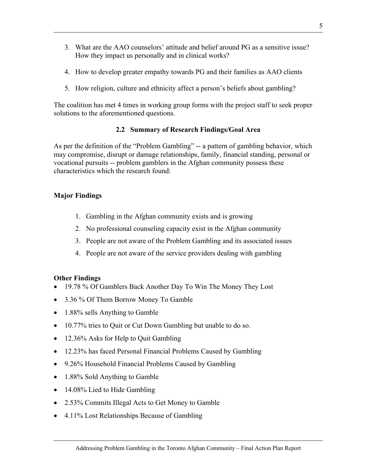- 3. What are the AAO counselors' attitude and belief around PG as a sensitive issue? How they impact us personally and in clinical works?
- 4. How to develop greater empathy towards PG and their families as AAO clients
- 5. How religion, culture and ethnicity affect a person's beliefs about gambling?

The coalition has met 4 times in working group forms with the project staff to seek proper solutions to the aforementioned questions.

## **2.2 Summary of Research Findings/Goal Area**

As per the definition of the "Problem Gambling" -- a pattern of gambling behavior, which may compromise, disrupt or damage relationships, family, financial standing, personal or vocational pursuits -- problem gamblers in the Afghan community possess these characteristics which the research found:

## **Major Findings**

- 1. Gambling in the Afghan community exists and is growing
- 2. No professional counseling capacity exist in the Afghan community
- 3. People are not aware of the Problem Gambling and its associated issues
- 4. People are not aware of the service providers dealing with gambling

## **Other Findings**

- 19.78 % Of Gamblers Back Another Day To Win The Money They Lost
- 3.36 % Of Them Borrow Money To Gamble
- 1.88% sells Anything to Gamble
- 10.77% tries to Quit or Cut Down Gambling but unable to do so.
- 12.36% Asks for Help to Quit Gambling
- 12.23% has faced Personal Financial Problems Caused by Gambling
- 9.26% Household Financial Problems Caused by Gambling
- 1.88% Sold Anything to Gamble
- 14.08% Lied to Hide Gambling
- 2.53% Commits Illegal Acts to Get Money to Gamble
- 4.11% Lost Relationships Because of Gambling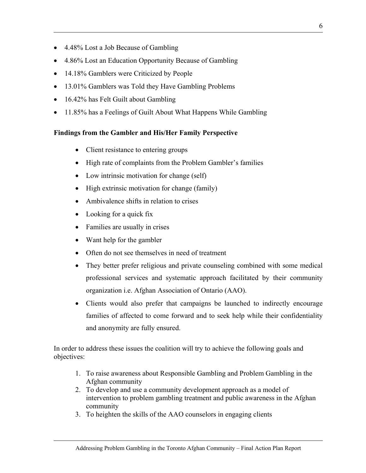- 4.48% Lost a Job Because of Gambling
- 4.86% Lost an Education Opportunity Because of Gambling
- 14.18% Gamblers were Criticized by People
- 13.01% Gamblers was Told they Have Gambling Problems
- 16.42% has Felt Guilt about Gambling
- 11.85% has a Feelings of Guilt About What Happens While Gambling

## **Findings from the Gambler and His/Her Family Perspective**

- Client resistance to entering groups
- High rate of complaints from the Problem Gambler's families
- Low intrinsic motivation for change (self)
- High extrinsic motivation for change (family)
- Ambivalence shifts in relation to crises
- Looking for a quick fix
- Families are usually in crises
- Want help for the gambler
- Often do not see themselves in need of treatment
- They better prefer religious and private counseling combined with some medical professional services and systematic approach facilitated by their community organization i.e. Afghan Association of Ontario (AAO).
- Clients would also prefer that campaigns be launched to indirectly encourage families of affected to come forward and to seek help while their confidentiality and anonymity are fully ensured.

In order to address these issues the coalition will try to achieve the following goals and objectives:

- 1. To raise awareness about Responsible Gambling and Problem Gambling in the Afghan community
- 2. To develop and use a community development approach as a model of intervention to problem gambling treatment and public awareness in the Afghan community
- 3. To heighten the skills of the AAO counselors in engaging clients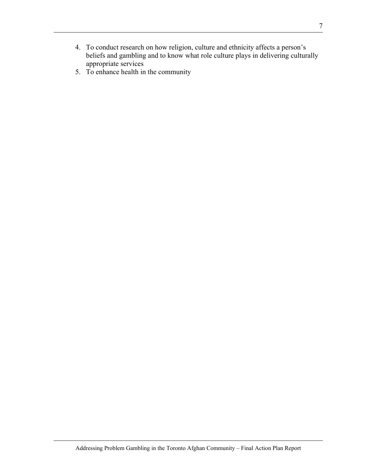- 4. To conduct research on how religion, culture and ethnicity affects a person's beliefs and gambling and to know what role culture plays in delivering culturally appropriate services
- 5. To enhance health in the community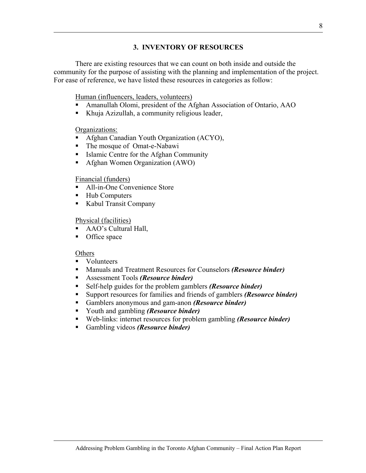## **3. INVENTORY OF RESOURCES**

There are existing resources that we can count on both inside and outside the community for the purpose of assisting with the planning and implementation of the project. For ease of reference, we have listed these resources in categories as follow:

Human (influencers, leaders, volunteers)

- Amanullah Olomi, president of the Afghan Association of Ontario, AAO
- Khuja Azizullah, a community religious leader,

Organizations:

- **Afghan Canadian Youth Organization (ACYO),**
- The mosque of Omat-e-Nabawi
- Islamic Centre for the Afghan Community
- Afghan Women Organization (AWO)

### Financial (funders)

- All-in-One Convenience Store
- Hub Computers
- Kabul Transit Company

### Physical (facilities)

- AAO's Cultural Hall,
- Office space

### **Others**

- Volunteers
- Manuals and Treatment Resources for Counselors *(Resource binder)*
- Assessment Tools *(Resource binder)*
- Self-help guides for the problem gamblers *(Resource binder)*
- Support resources for families and friends of gamblers *(Resource binder)*
- Gamblers anonymous and gam-anon *(Resource binder)*
- Youth and gambling *(Resource binder)*
- Web-links: internet resources for problem gambling *(Resource binder)*
- Gambling videos *(Resource binder)*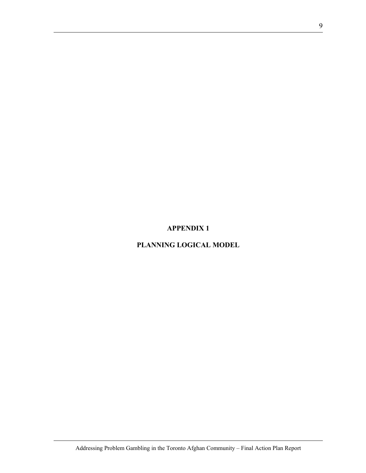## **APPENDIX 1**

## **PLANNING LOGICAL MODEL**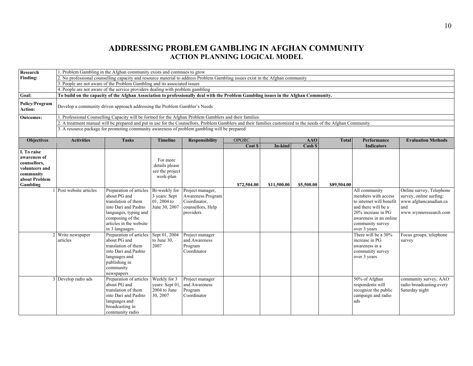## **ADDRESSING PROBLEM GAMBLING IN AFGHAN COMMUNITY ACTION PLANNING LOGICAL MODEL**

| Research                    | 1. Problem Gambling in the Afghan community exists and continues to grow                                                                                       |                                                                                                                                |                 |                       |              |             |            |              |                          |                           |  |  |
|-----------------------------|----------------------------------------------------------------------------------------------------------------------------------------------------------------|--------------------------------------------------------------------------------------------------------------------------------|-----------------|-----------------------|--------------|-------------|------------|--------------|--------------------------|---------------------------|--|--|
| Finding:                    |                                                                                                                                                                | 2. No professional counselling capacity and resource material to address Problem Gambling issues exist in the Afghan community |                 |                       |              |             |            |              |                          |                           |  |  |
|                             |                                                                                                                                                                | People are not aware of the Problem Gambling and its associated issues                                                         |                 |                       |              |             |            |              |                          |                           |  |  |
|                             |                                                                                                                                                                | 4. People are not aware of the service providers dealing with problem gambling                                                 |                 |                       |              |             |            |              |                          |                           |  |  |
| Goal:                       | To build on the capacity of the Afghan Association to professionally deal with the Problem Gambling issues in the Afghan Community.                            |                                                                                                                                |                 |                       |              |             |            |              |                          |                           |  |  |
| Policy/Program<br>Action:   | Develop a community driven approach addressing the Problem Gambler's Needs                                                                                     |                                                                                                                                |                 |                       |              |             |            |              |                          |                           |  |  |
| <b>Outcomes:</b>            | 1. Professional Counselling Capacity will be formed for the Afghan Problem Gamblers and their families                                                         |                                                                                                                                |                 |                       |              |             |            |              |                          |                           |  |  |
|                             | 2. A treatment manual will be prepared and put in use for the Counsellors, Problem Gamblers and their families customized to the needs of the Afghan Community |                                                                                                                                |                 |                       |              |             |            |              |                          |                           |  |  |
|                             | 3. A resource package for promoting community awareness of problem gambling will be prepared                                                                   |                                                                                                                                |                 |                       |              |             |            |              |                          |                           |  |  |
|                             |                                                                                                                                                                |                                                                                                                                |                 |                       |              |             |            |              |                          |                           |  |  |
| <b>Objectives</b>           | <b>Activities</b>                                                                                                                                              | <b>Tasks</b>                                                                                                                   | <b>Timeline</b> | <b>Responsibility</b> | <b>OPGRC</b> |             | <b>AAO</b> | <b>Total</b> | Performance              | <b>Evaluation Methods</b> |  |  |
|                             |                                                                                                                                                                |                                                                                                                                |                 |                       | Cost \$      | In-kind     | Cash \$    |              | Indicators               |                           |  |  |
| I. To raise                 |                                                                                                                                                                |                                                                                                                                |                 |                       |              |             |            |              |                          |                           |  |  |
| awareness of                |                                                                                                                                                                |                                                                                                                                | For more        |                       |              |             |            |              |                          |                           |  |  |
| counsellors,                |                                                                                                                                                                |                                                                                                                                | details please  |                       |              |             |            |              |                          |                           |  |  |
| volunteers and<br>community |                                                                                                                                                                |                                                                                                                                | see the project |                       |              |             |            |              |                          |                           |  |  |
| about Problem               |                                                                                                                                                                |                                                                                                                                | work-plan       |                       |              |             |            |              |                          |                           |  |  |
| Gambling                    |                                                                                                                                                                |                                                                                                                                |                 |                       | \$72,504.00  | \$11,500.00 | \$5,500.00 | \$89,504.00  |                          |                           |  |  |
|                             | 1 Post website articles                                                                                                                                        | Preparation of articles                                                                                                        | Bi-weekly for   | Project manager,      |              |             |            |              | All community            | Online survey, Telephone  |  |  |
|                             |                                                                                                                                                                | about PG and                                                                                                                   | 3 years: Sept   | Awareness Program     |              |             |            |              | members with access      | survey, online surfing:   |  |  |
|                             |                                                                                                                                                                | translation of them                                                                                                            | 01, 2004 to     | Coordinator,          |              |             |            |              | to internet will benefit | www.afghancanadian.ca     |  |  |
|                             |                                                                                                                                                                | into Dari and Pashto                                                                                                           | June 30, 2007   | counsellors, Help     |              |             |            |              | and there will be a      | and                       |  |  |
|                             |                                                                                                                                                                | languages, typing and                                                                                                          |                 | providers             |              |             |            |              | 20% increase in PG       | www.wynneresearch.com     |  |  |
|                             |                                                                                                                                                                | composing of the                                                                                                               |                 |                       |              |             |            |              | awareness in an online   |                           |  |  |
|                             |                                                                                                                                                                | articles in the website                                                                                                        |                 |                       |              |             |            |              | community survey         |                           |  |  |
|                             |                                                                                                                                                                | in 3 languages                                                                                                                 |                 |                       |              |             |            |              | over 3 years             |                           |  |  |
|                             | Write newspaper                                                                                                                                                | Preparation of articles                                                                                                        | Sept 01, 2004   | Project manager       |              |             |            |              | There will be a 30%      | Focus groups, telephone   |  |  |
|                             | articles                                                                                                                                                       | about PG and                                                                                                                   | to June 30,     | and Awareness         |              |             |            |              | increase in PG           | survey                    |  |  |
|                             |                                                                                                                                                                | translation of them                                                                                                            | 2007            | Program               |              |             |            |              | awareness in a           |                           |  |  |
|                             |                                                                                                                                                                | into Dari and Pashto                                                                                                           |                 | Coordinator           |              |             |            |              | community survey         |                           |  |  |
|                             |                                                                                                                                                                | languages and                                                                                                                  |                 |                       |              |             |            |              | over 3 years             |                           |  |  |
|                             |                                                                                                                                                                | publishing in                                                                                                                  |                 |                       |              |             |            |              |                          |                           |  |  |
|                             |                                                                                                                                                                | community                                                                                                                      |                 |                       |              |             |            |              |                          |                           |  |  |
|                             |                                                                                                                                                                | newspapers                                                                                                                     |                 |                       |              |             |            |              |                          |                           |  |  |
|                             | 3 Develop radio ads                                                                                                                                            | Preparation of articles                                                                                                        | Weekly for 3    | Project manager       |              |             |            |              | 50% of Afghan            | community survey, AAO     |  |  |
|                             |                                                                                                                                                                | about PG and                                                                                                                   | vears: Sept 01  | and Awareness         |              |             |            |              | respondents will         | radio broadcasting every  |  |  |
|                             |                                                                                                                                                                | translation of them                                                                                                            | 2004 to June    | Program               |              |             |            |              | recognize the public     | Saturday night            |  |  |
|                             |                                                                                                                                                                | into Dari and Pashto                                                                                                           | 30, 2007        | Coordinator           |              |             |            |              | campaign and radio       |                           |  |  |
|                             |                                                                                                                                                                | languages and                                                                                                                  |                 |                       |              |             |            |              | ads                      |                           |  |  |
|                             |                                                                                                                                                                | broadcasting in                                                                                                                |                 |                       |              |             |            |              |                          |                           |  |  |
|                             |                                                                                                                                                                | community radio                                                                                                                |                 |                       |              |             |            |              |                          |                           |  |  |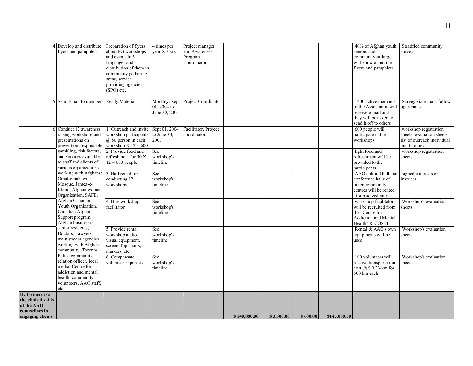|                                                                                            | 4 Develop and distribute<br>flyers and pamphlets                                                                                                | Preparation of flyers<br>about PG workshops<br>and events in 3<br>languages and<br>distribution of them in<br>community gathering<br>areas, service<br>providing agencies<br>(SPO) etc. | 4 times per<br>year X 3 vrs          | Project manager<br>and Awareness<br>Program<br>Coordinator |              |            |          |              | 40% of Afghan youth,<br>seniors and<br>community-at-large<br>will know about the<br>flyers and pamphlets               | Stratified community<br>survey                                                                     |
|--------------------------------------------------------------------------------------------|-------------------------------------------------------------------------------------------------------------------------------------------------|-----------------------------------------------------------------------------------------------------------------------------------------------------------------------------------------|--------------------------------------|------------------------------------------------------------|--------------|------------|----------|--------------|------------------------------------------------------------------------------------------------------------------------|----------------------------------------------------------------------------------------------------|
|                                                                                            | 5 Send Email to members Ready Material                                                                                                          |                                                                                                                                                                                         | $01, 2004$ to<br>June 30, 2007       | Monthly: Sept Project Coordinator                          |              |            |          |              | 1400 active members<br>of the Association will<br>receive e-mail and<br>they will be asked to<br>send it off to others | Survey via e-mail, follow-<br>up e-mails                                                           |
|                                                                                            | 6 Conduct 12 awareness<br>raising workshops and<br>presentations on<br>prevention, responsible                                                  | 1. Outreach and invite<br>workshop participants<br>$(a)$ 50 person in each<br>workshop $X$ 12 = 600                                                                                     | Sept 01, 2004<br>to June 30,<br>2007 | Facilitator, Project<br>coordinator                        |              |            |          |              | 600 people will<br>participate in the<br>workshops                                                                     | workshop registration<br>sheets, evaluation sheets,<br>list of outreach individual<br>and families |
|                                                                                            | gambling, risk factors,<br>and services available<br>to staff and clients of<br>various organizations                                           | 2. Provide food and<br>refreshment for 50 X<br>$12 = 600$ people                                                                                                                        | See<br>workshop's<br>timeline        |                                                            |              |            |          |              | light food and<br>refreshment will be<br>provided to the<br>participants                                               | workshop registration<br>sheets                                                                    |
|                                                                                            | working with Afghans:<br>Omat-e-nabawi<br>Mosque, Jamea-e-<br>Islami, Afghan women<br>Organization, SAFE,                                       | 3. Hall rental for<br>conducting 12<br>workshops                                                                                                                                        | See<br>workshop's<br>timeline        |                                                            |              |            |          |              | AAO cultural hall and<br>conference halls of<br>other community<br>centres will be rented<br>at subsidized rates.      | signed contracts or<br>invoices                                                                    |
|                                                                                            | Afghan Canadian<br>Youth Organization,<br>Canadian Afghan<br>Support program,<br>Afghan businesses,                                             | 4. Hire workshop<br>facilitator                                                                                                                                                         | See<br>workshop's<br>timeline        |                                                            |              |            |          |              | workshop facilitators<br>will be recruited from<br>the "Centre for<br>Addiction and Mental<br>Health" & COSTI          | Workshop's evaluation<br>sheets                                                                    |
|                                                                                            | senior residents,<br>Doctors, Lawyers,<br>main stream agencies<br>working with Afghan<br>community, Toronto                                     | 5. Provide rental<br>workshop audio-<br>visual equipment,<br>screen, flip charts,<br>markers, etc.                                                                                      | See<br>workshop's<br>timeline        |                                                            |              |            |          |              | Rental & AAO's own<br>equipments will be<br>used                                                                       | Workshop's evaluation<br>sheets                                                                    |
|                                                                                            | Police community<br>relation officer, local<br>media, Centre for<br>addiction and mental<br>health, community<br>volunteers, AAO staff,<br>etc. | 6. Compensate<br>volunteer expenses                                                                                                                                                     | See<br>workshop's<br>timeline        |                                                            |              |            |          |              | 100 volunteers will<br>receive transportation<br>$\cos \left(\frac{a}{2}\right)$ \$ 0.33/km for<br>500 km each         | Workshop's evaluation<br>sheets                                                                    |
| II. To increase<br>the clinical skills<br>of the AAO<br>counsellors in<br>engaging clients |                                                                                                                                                 |                                                                                                                                                                                         |                                      |                                                            | \$140,880.00 | \$3,600.00 | \$600.00 | \$145,080.00 |                                                                                                                        |                                                                                                    |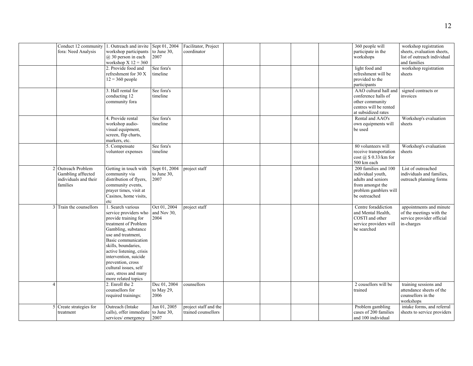| Conduct 12 community 1. Outreach and invite Sept 01, 2004<br>fora: Need Analysis | workshop participants<br>$(a)$ 30 person in each<br>workshop $X$ 12 = 360                                                                                                                                                                                                                                                                | to June 30,<br>2007                  | Facilitator, Project<br>coordinator          |  |  | 360 people will<br>participate in the<br>workshops                                                                            | workshop registration<br>sheets, evaluation sheets,<br>list of outreach individual<br>and families |
|----------------------------------------------------------------------------------|------------------------------------------------------------------------------------------------------------------------------------------------------------------------------------------------------------------------------------------------------------------------------------------------------------------------------------------|--------------------------------------|----------------------------------------------|--|--|-------------------------------------------------------------------------------------------------------------------------------|----------------------------------------------------------------------------------------------------|
|                                                                                  | 2. Provide food and<br>refreshment for 30 X<br>$12 = 360$ people                                                                                                                                                                                                                                                                         | See fora's<br>timeline               |                                              |  |  | light food and<br>refreshment will be<br>provided to the<br>participants                                                      | workshop registration<br>sheets                                                                    |
|                                                                                  | 3. Hall rental for<br>conducting 12<br>community fora                                                                                                                                                                                                                                                                                    | See fora's<br>timeline               |                                              |  |  | AAO cultural hall and<br>conference halls of<br>other community<br>centres will be rented<br>at subsidized rates              | signed contracts or<br>invoices                                                                    |
|                                                                                  | 4. Provide rental<br>workshop audio-<br>visual equipment,<br>screen, flip charts,<br>markers, etc.                                                                                                                                                                                                                                       | See fora's<br>timeline               |                                              |  |  | Rental and AAO's<br>own equipments will<br>be used                                                                            | Workshop's evaluation<br>sheets                                                                    |
|                                                                                  | 5. Compensate<br>volunteer expenses                                                                                                                                                                                                                                                                                                      | See fora's<br>timeline               |                                              |  |  | 80 volunteers will<br>receive transportation<br>$cost$ ( $a$ ) \$ 0.33/km for<br>500 km each                                  | Workshop's evaluation<br>sheets                                                                    |
| 2 Outreach Problem<br>Gambling afftected<br>individuals and their<br>families    | Getting in touch with<br>community via<br>distribution of flyers,<br>community events,<br>prayer times, visit at<br>Casinos, home visits,<br>etc                                                                                                                                                                                         | Sept 01, 2004<br>to June 30,<br>2007 | project staff                                |  |  | 200 families and 100<br>individual youth,<br>adults and seniors<br>from amongst the<br>problem gamblers will<br>be outreached | List of outreached<br>individuals and families,<br>outreach planning forms                         |
| 3 Train the counsellors                                                          | 1. Search various<br>service providers who<br>provide training for<br>treatment of Problem<br>Gambling, substance<br>use and treatment,<br>Basic communication<br>skills, boundaries,<br>active listening, crisis<br>intervention, suicide<br>prevention, cross<br>cultural issues, self<br>care, stress and many<br>more related topics | Oct 01, 2004<br>and Nov 30,<br>2004  | project staff                                |  |  | Centre foraddiction<br>and Mental Health,<br>COSTI and other<br>service providers will<br>be searched                         | appointments and minute<br>of the meetings with the<br>service provider official<br>in-charges     |
| $\overline{A}$                                                                   | 2. Enroll the 2<br>counsellors for<br>required trainings:                                                                                                                                                                                                                                                                                | Dec 01, 2004<br>to May 29,<br>2006   | counsellors                                  |  |  | 2 cousellors will be<br>trained                                                                                               | training sessions and<br>attendance sheets of the<br>counsellors in the<br>workshops               |
| 5 Create strategies for<br>treatment                                             | Outreach (Intake<br>calls), offer immediate to June 30,<br>services/emergency                                                                                                                                                                                                                                                            | Jun 01, 2005<br>2007                 | project staff and the<br>trained counsellors |  |  | Problem gambling<br>cases of 200 families<br>and 100 individual                                                               | intake forms, and referral<br>sheets to service providers                                          |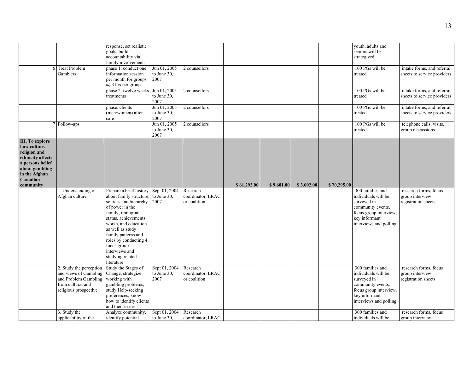| 6                                                                                                                                                           | <b>Treat Problem</b><br>Gamblers                                                                                                                       | response, set realistic<br>goals, build<br>accountability via<br>family involvements<br>phase 1: conduct one<br>information session<br>per month for groups<br>@ 3 hrs per group<br>phase 2: twelve weeks Jun 01, 2005<br>treatments                                                                       | Jun 01, 2005<br>to June 30,<br>2007<br>to June 30, | 2 counsellors<br>2 counsellors                |             |            |            |             | vouth, adults and<br>seniors will be<br>strategized<br>100 PGs will be<br>treated<br>100 PGs will be<br>treated                                  | intake forms, and referral<br>sheets to service providers<br>intake forms, and referral<br>sheets to service providers |
|-------------------------------------------------------------------------------------------------------------------------------------------------------------|--------------------------------------------------------------------------------------------------------------------------------------------------------|------------------------------------------------------------------------------------------------------------------------------------------------------------------------------------------------------------------------------------------------------------------------------------------------------------|----------------------------------------------------|-----------------------------------------------|-------------|------------|------------|-------------|--------------------------------------------------------------------------------------------------------------------------------------------------|------------------------------------------------------------------------------------------------------------------------|
|                                                                                                                                                             |                                                                                                                                                        | phase: clients<br>(men/women) after<br>care                                                                                                                                                                                                                                                                | 2007<br>Jun 01, 2005<br>to June 30,<br>2007        | 2 counsellors                                 |             |            |            |             | 100 PGs will be<br>treated                                                                                                                       | intake forms, and referral<br>sheets to service providers                                                              |
|                                                                                                                                                             | 7 Follow-ups                                                                                                                                           |                                                                                                                                                                                                                                                                                                            | Jun 01, 2005<br>to June 30,<br>2007                | 2 counsellors                                 |             |            |            |             | 100 PGs will be<br>treated                                                                                                                       | telephone calls, visits,<br>group discussions                                                                          |
| <b>III.</b> To explore<br>how culture,<br>religion and<br>ethnicity affects<br>a persons belief<br>about gambling<br>in the Afghan<br>Canadian<br>community |                                                                                                                                                        |                                                                                                                                                                                                                                                                                                            |                                                    |                                               | \$61,292.00 | \$9,601.00 | \$3,002.00 | \$70,295.00 |                                                                                                                                                  |                                                                                                                        |
|                                                                                                                                                             | 1. Understanding of<br>Afghan culture                                                                                                                  | Prepare a brief history<br>about family structure<br>sources and hierarchy<br>of power in the<br>family, immigrant<br>status, achievements,<br>works, and education<br>as well as study<br>family patterns and<br>roles by conducting 4<br>focus group<br>interviews and<br>studying related<br>literature | Sept 01, 2004<br>to June 30.<br>2007               | Research<br>coordinator, LRAC<br>or coalition |             |            |            |             | 300 families and<br>individuals will be<br>surveyed in<br>community events,<br>focus group interview,<br>key informant<br>interviews and polling | research forms, focus<br>group interview<br>registration sheets                                                        |
|                                                                                                                                                             | 2. Study the perception<br>and views of Gambling Change, strategize<br>and Problem Gambling working with<br>from cultural and<br>religious prospective | Study the Stages of<br>gambling problems,<br>study Help-seeking<br>preferences, know<br>how to identify clients<br>and their issues                                                                                                                                                                        | Sept 01, 2004<br>to June 30,<br>2007               | Research<br>coordinator, LRAC<br>or coalition |             |            |            |             | 300 families and<br>individuals will be<br>surveyed in<br>community events,<br>focus group interview,<br>key informant<br>interviews and polling | research forms, focus<br>group interview<br>registration sheets                                                        |
|                                                                                                                                                             | 3. Study the<br>applicability of the                                                                                                                   | Analyze community,<br>identify potential                                                                                                                                                                                                                                                                   | Sept 01, 2004<br>to June $30$ ,                    | Research<br>coordinator, LRAC                 |             |            |            |             | 300 families and<br>individuals will be                                                                                                          | research forms, focus<br>group interview                                                                               |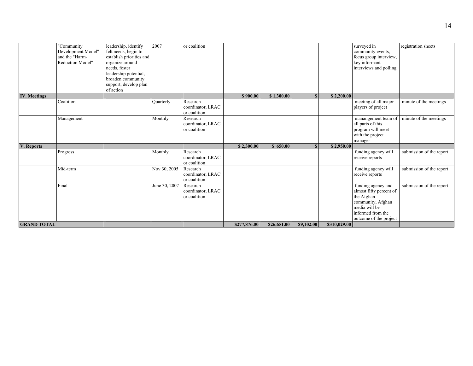|                     | "Community<br>Development Model"<br>and the "Harm-<br>Reduction Model" | leadership, identify<br>felt needs, begin to<br>establish priorities and<br>organize around<br>needs, foster<br>leadership potential,<br>broaden community<br>support, develop plan<br>of action | 2007          | or coalition                                  |              |             |            |              | surveyed in<br>community events,<br>focus group interview,<br>key informant<br>interviews and polling                                            | registration sheets      |
|---------------------|------------------------------------------------------------------------|--------------------------------------------------------------------------------------------------------------------------------------------------------------------------------------------------|---------------|-----------------------------------------------|--------------|-------------|------------|--------------|--------------------------------------------------------------------------------------------------------------------------------------------------|--------------------------|
| <b>IV. Meetings</b> |                                                                        |                                                                                                                                                                                                  |               |                                               | \$900.00     | \$1,300.00  |            | \$2,200.00   |                                                                                                                                                  |                          |
|                     | Coalition                                                              |                                                                                                                                                                                                  | Quarterly     | Research<br>coordinator, LRAC<br>or coalition |              |             |            |              | meeting of all major<br>players of project                                                                                                       | minute of the meetings   |
|                     | Management                                                             |                                                                                                                                                                                                  | Monthly       | Research<br>coordinator, LRAC<br>or coalition |              |             |            |              | manangement team of<br>all parts of this<br>program will meet<br>with the project<br>manager                                                     | minute of the meetings   |
| V. Reports          |                                                                        |                                                                                                                                                                                                  |               |                                               | \$2,300.00   | \$650.00    |            | \$2,950.00   |                                                                                                                                                  |                          |
|                     | Progress                                                               |                                                                                                                                                                                                  | Monthly       | Research<br>coordinator, LRAC<br>or coalition |              |             |            |              | funding agency will<br>receive reports                                                                                                           | submission of the report |
|                     | Mid-term                                                               |                                                                                                                                                                                                  | Nov 30, 2005  | Research<br>coordinator, LRAC<br>or coalition |              |             |            |              | funding agency will<br>receive reports                                                                                                           | submission of the report |
|                     | Final                                                                  |                                                                                                                                                                                                  | June 30, 2007 | Research<br>coordinator, LRAC<br>or coalition |              |             |            |              | funding agency and<br>almost fifty percent of<br>the Afghan<br>community, Afghan<br>media will be<br>informed from the<br>outcome of the project | submission of the report |
| <b>GRAND TOTAL</b>  |                                                                        |                                                                                                                                                                                                  |               |                                               | \$277,876.00 | \$26,651.00 | \$9,102.00 | \$310,029.00 |                                                                                                                                                  |                          |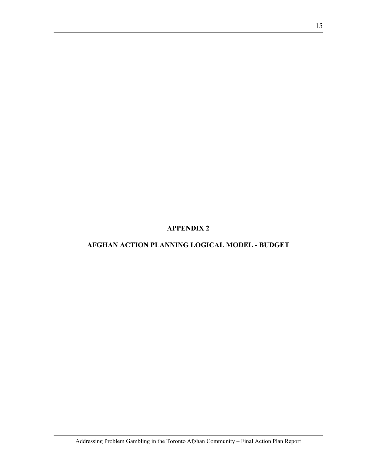**APPENDIX 2** 

## **AFGHAN ACTION PLANNING LOGICAL MODEL - BUDGET**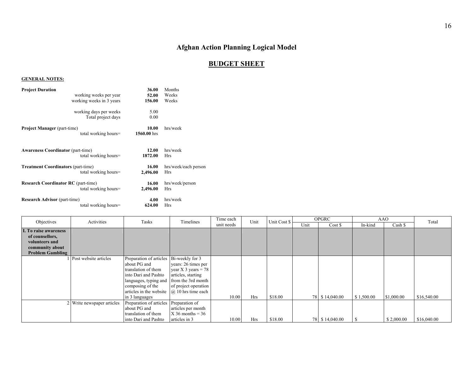## **Afghan Action Planning Logical Model**

#### **BUDGET SHEET**

#### **GENERAL NOTES:**

| <b>Project Duration</b>                    | working weeks per year<br>working weeks in 3 years | 36.00<br>52.00<br>156.00 | Months<br>Weeks<br>Weeks           |
|--------------------------------------------|----------------------------------------------------|--------------------------|------------------------------------|
|                                            | working days per weeks<br>Total project days       | 5.00<br>0.00             |                                    |
| <b>Project Manager</b> (part-time)         | total working hours=                               | 10.00<br>1560.00 hrs     | hrs/week                           |
| <b>Awareness Coordinator (part-time)</b>   | total working hours=                               | 12.00<br>1872.00         | hrs/week<br>Hrs                    |
| <b>Treatment Coordinators (part-time)</b>  | total working hours=                               | 16.00<br>2,496.00        | hrs/week/each person<br><b>Hrs</b> |
| <b>Research Coordinator RC</b> (part-time) | total working hours=                               | 16.00<br>2,496.00        | hrs/week/person<br><b>Hrs</b>      |
| <b>Research Advisor</b> (part-time)        | total working hours=                               | 4.00<br>624.00           | hrs/week<br>Hrs                    |

| Objectives                                                                                                      | Activities                 |                                                                                                                                                                                                  | Tasks<br>Timelines                                                                                                                         | Time each  | Unit       | Unit Cost \$ | <b>OPGRC</b> |                | AAO        |            | Total       |
|-----------------------------------------------------------------------------------------------------------------|----------------------------|--------------------------------------------------------------------------------------------------------------------------------------------------------------------------------------------------|--------------------------------------------------------------------------------------------------------------------------------------------|------------|------------|--------------|--------------|----------------|------------|------------|-------------|
|                                                                                                                 |                            |                                                                                                                                                                                                  |                                                                                                                                            | unit needs |            |              | Unit         | Cost \$        | In-kind    | Cash \$    |             |
| <b>I. To raise awareness</b><br>of counsellors,<br>volunteers and<br>community about<br><b>Problem Gambling</b> |                            |                                                                                                                                                                                                  |                                                                                                                                            |            |            |              |              |                |            |            |             |
|                                                                                                                 | Post website articles      | Preparation of articles Bi-weekly for 3<br>about PG and<br>translation of them<br>into Dari and Pashto<br>languages, typing and<br>composing of the<br>articles in the website<br>in 3 languages | years: 26 times per<br>year X 3 years = $78$<br>articles, starting<br>from the 3rd month<br>of project operation<br>$(a)$ 10 hrs time each | 10.00      | <b>Hrs</b> | \$18.00      |              | 78 \$14,040.00 | \$1,500.00 | \$1,000.00 | \$16,540.00 |
|                                                                                                                 | 2 Write newspaper articles | Preparation of articles Preparation of<br>about PG and                                                                                                                                           | articles per month                                                                                                                         |            |            |              |              |                |            |            |             |
|                                                                                                                 |                            | translation of them<br>into Dari and Pashto                                                                                                                                                      | $X$ 36 months = 36<br>articles in 3                                                                                                        | 10.00      | <b>Hrs</b> | \$18.00      |              | 78 \$14,040.00 |            | \$2,000.00 | \$16,040.00 |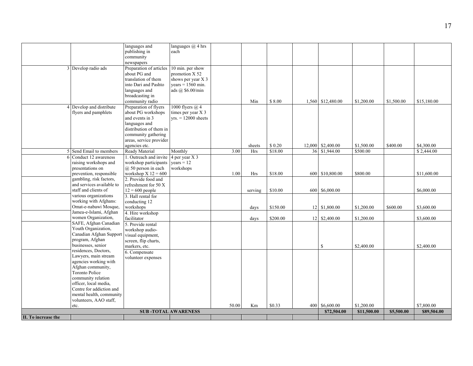|                     |                                                                                                                                                                                                                                                                                                                                                                                                                                                        | community<br>newspapers                                                                                                                                                                                                                                                                                                                                                                              |                                                                                                       |       |                                                     |                                            |                                                                                    |                                                    |                        |                                                                     |
|---------------------|--------------------------------------------------------------------------------------------------------------------------------------------------------------------------------------------------------------------------------------------------------------------------------------------------------------------------------------------------------------------------------------------------------------------------------------------------------|------------------------------------------------------------------------------------------------------------------------------------------------------------------------------------------------------------------------------------------------------------------------------------------------------------------------------------------------------------------------------------------------------|-------------------------------------------------------------------------------------------------------|-------|-----------------------------------------------------|--------------------------------------------|------------------------------------------------------------------------------------|----------------------------------------------------|------------------------|---------------------------------------------------------------------|
|                     | 3 Develop radio ads                                                                                                                                                                                                                                                                                                                                                                                                                                    | Preparation of articles<br>about PG and<br>translation of them<br>into Dari and Pashto<br>languages and<br>broadcasting in                                                                                                                                                                                                                                                                           | 10 min. per show<br>promotion X 52<br>shows per year $X$ 3<br>$years = 1560$ min.<br>ads @ \$6.00/min |       |                                                     |                                            |                                                                                    |                                                    |                        |                                                                     |
|                     | Develop and distribute<br>flyers and pamphlets                                                                                                                                                                                                                                                                                                                                                                                                         | community radio<br>Preparation of flyers<br>about PG workshops<br>and events in 3<br>languages and<br>distribution of them in<br>community gathering<br>areas, service provider<br>agencies etc.                                                                                                                                                                                                     | 1000 flyers $(a)$ 4<br>times per year X 3<br>$yrs. = 12000$ sheets                                    |       | Min<br>sheets                                       | \$8.00<br>\$0.20                           | 1,560 \$12,480.00<br>12,000 \$2,400.00                                             | \$1,200.00<br>\$1,500.00                           | \$1,500.00<br>\$400.00 | \$15,180.00<br>\$4,300.00                                           |
|                     |                                                                                                                                                                                                                                                                                                                                                                                                                                                        | Ready Material                                                                                                                                                                                                                                                                                                                                                                                       |                                                                                                       | 3.00  |                                                     | \$18.00                                    | 36 \$1,944.00                                                                      | \$500.00                                           |                        | \$2,444.00                                                          |
| 6                   | 5 Send Email to members<br>Conduct 12 awareness<br>raising workshops and<br>presentations on<br>prevention, responsible<br>gambling, risk factors,<br>and services available to<br>staff and clients of<br>various organizations<br>working with Afghans:<br>Omat-e-nabawi Mosque,<br>Jamea-e-Islami, Afghan<br>women Organization,<br>SAFE, Afghan Canadian<br>Youth Organization,<br>Canadian Afghan Suppor<br>program, Afghan<br>businesses, senior | 1. Outreach and invite $\sqrt{4 \text{ per}}$ year X 3<br>workshop participants<br>$(a)$ 50 person in each<br>workshop $X$ 12 = 600<br>2. Provide food and<br>refreshment for 50 X<br>$12 = 600$ people<br>3. Hall rental for<br>conducting 12<br>workshops<br>4. Hire workshop<br>facilitator<br>5. Provide rental<br>workshop audio-<br>visual equipment,<br>screen, flip charts,<br>markers, etc. | Monthly<br>$years = 12$<br>workshops                                                                  | 1.00  | <b>Hrs</b><br><b>Hrs</b><br>serving<br>days<br>days | \$18.00<br>\$10.00<br>\$150.00<br>\$200.00 | 600 \$10,800.00<br>600 \$6,000.00<br>12 \$1,800.00<br>12 \$2,400.00<br>$\mathbf S$ | \$800.00<br>\$1,200.00<br>\$1,200.00<br>\$2,400.00 | \$600.00               | \$11,600.00<br>\$6,000.00<br>\$3,600.00<br>\$3,600.00<br>\$2,400.00 |
|                     | residences, Doctors,<br>Lawyers, main stream<br>agencies working with<br>Afghan community,<br><b>Toronto Police</b><br>community relation<br>officer, local media,<br>Centre for addiction and<br>mental health, community<br>volunteers, AAO staff,<br>etc.                                                                                                                                                                                           | 6. Compensate<br>volunteer expenses                                                                                                                                                                                                                                                                                                                                                                  | <b>SUB-TOTAL AWARENESS</b>                                                                            | 50.00 | Km                                                  | \$0.33                                     | 400 \$6,600.00<br>\$72,504.00                                                      | \$1,200.00<br>\$11,500.00                          | \$5,500.00             | \$7,800.00<br>\$89,504.00                                           |
|                     |                                                                                                                                                                                                                                                                                                                                                                                                                                                        |                                                                                                                                                                                                                                                                                                                                                                                                      |                                                                                                       |       |                                                     |                                            |                                                                                    |                                                    |                        |                                                                     |
| II. To increase the |                                                                                                                                                                                                                                                                                                                                                                                                                                                        |                                                                                                                                                                                                                                                                                                                                                                                                      |                                                                                                       |       |                                                     |                                            |                                                                                    |                                                    |                        |                                                                     |

17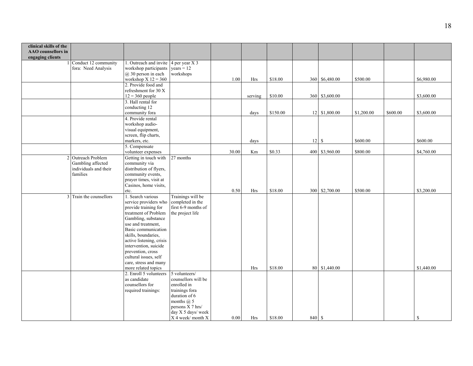| clinical skills of the<br>AAO counsellors in<br>engaging clients |                         |                                                              |                     |       |            |          |        |                |            |          |               |
|------------------------------------------------------------------|-------------------------|--------------------------------------------------------------|---------------------|-------|------------|----------|--------|----------------|------------|----------|---------------|
|                                                                  | Conduct 12 community    | 1. Outreach and invite $\begin{array}{ c c } 4$ per year X 3 |                     |       |            |          |        |                |            |          |               |
|                                                                  | fora: Need Analysis     | workshop participants                                        | $years = 12$        |       |            |          |        |                |            |          |               |
|                                                                  |                         | $(a)$ 30 person in each                                      | workshops           |       |            |          |        |                |            |          |               |
|                                                                  |                         | workshop $X$ 12 = 360                                        |                     | 1.00  | Hrs        | \$18.00  |        | 360 \$6,480.00 | \$500.00   |          | \$6,980.00    |
|                                                                  |                         | 2. Provide food and                                          |                     |       |            |          |        |                |            |          |               |
|                                                                  |                         | refreshment for 30 X                                         |                     |       |            |          |        |                |            |          |               |
|                                                                  |                         | $12 = 360$ people                                            |                     |       | serving    | \$10.00  |        | 360 \$3,600.00 |            |          | \$3,600.00    |
|                                                                  |                         | 3. Hall rental for                                           |                     |       |            |          |        |                |            |          |               |
|                                                                  |                         | conducting 12                                                |                     |       |            |          |        |                |            |          |               |
|                                                                  |                         | community fora                                               |                     |       | days       | \$150.00 |        | 12 \$1,800.00  | \$1,200.00 | \$600.00 | \$3,600.00    |
|                                                                  |                         | 4. Provide rental                                            |                     |       |            |          |        |                |            |          |               |
|                                                                  |                         | workshop audio-                                              |                     |       |            |          |        |                |            |          |               |
|                                                                  |                         | visual equipment,                                            |                     |       |            |          |        |                |            |          |               |
|                                                                  |                         | screen, flip charts,                                         |                     |       |            |          |        |                |            |          |               |
|                                                                  |                         | markers, etc.                                                |                     |       | days       |          | 12     | $\mathbb{S}$   | \$600.00   |          | \$600.00      |
|                                                                  |                         | 5. Compensate                                                |                     |       |            |          |        |                |            |          |               |
|                                                                  |                         | volunteer expenses                                           |                     | 30.00 | Km         | \$0.33   |        | 400 \$3,960.00 | \$800.00   |          | \$4,760.00    |
|                                                                  | 2 Outreach Problem      | Getting in touch with                                        | 27 months           |       |            |          |        |                |            |          |               |
|                                                                  | Gambling affected       | community via                                                |                     |       |            |          |        |                |            |          |               |
|                                                                  | individuals and their   | distribution of flyers,                                      |                     |       |            |          |        |                |            |          |               |
|                                                                  | families                | community events,                                            |                     |       |            |          |        |                |            |          |               |
|                                                                  |                         | prayer times, visit at<br>Casinos, home visits,              |                     |       |            |          |        |                |            |          |               |
|                                                                  |                         |                                                              |                     | 0.50  | Hrs        | \$18.00  |        | 300 \$2,700.00 | \$500.00   |          | \$3,200.00    |
|                                                                  | 3 Train the counsellors | etc.<br>1. Search various                                    | Trainings will be   |       |            |          |        |                |            |          |               |
|                                                                  |                         | service providers who                                        | completed in the    |       |            |          |        |                |            |          |               |
|                                                                  |                         | provide training for                                         | first 6-9 months of |       |            |          |        |                |            |          |               |
|                                                                  |                         | treatment of Problem                                         | the project life    |       |            |          |        |                |            |          |               |
|                                                                  |                         | Gambling, substance                                          |                     |       |            |          |        |                |            |          |               |
|                                                                  |                         | use and treatment,                                           |                     |       |            |          |        |                |            |          |               |
|                                                                  |                         | Basic communication                                          |                     |       |            |          |        |                |            |          |               |
|                                                                  |                         | skills, boundaries,                                          |                     |       |            |          |        |                |            |          |               |
|                                                                  |                         | active listening, crisis                                     |                     |       |            |          |        |                |            |          |               |
|                                                                  |                         | intervention, suicide                                        |                     |       |            |          |        |                |            |          |               |
|                                                                  |                         | prevention, cross                                            |                     |       |            |          |        |                |            |          |               |
|                                                                  |                         | cultural issues, self                                        |                     |       |            |          |        |                |            |          |               |
|                                                                  |                         | care, stress and many                                        |                     |       |            |          |        |                |            |          |               |
|                                                                  |                         | more related topics                                          |                     |       | Hrs        | \$18.00  | 80     | \$1,440.00     |            |          | \$1,440.00    |
|                                                                  |                         | 2. Enroll 5 volunteers                                       | 5 volunteers/       |       |            |          |        |                |            |          |               |
|                                                                  |                         | as candidate                                                 | counsellors will be |       |            |          |        |                |            |          |               |
|                                                                  |                         | counsellors for                                              | enrolled in         |       |            |          |        |                |            |          |               |
|                                                                  |                         | required trainings:                                          | trainings fora      |       |            |          |        |                |            |          |               |
|                                                                  |                         |                                                              | duration of 6       |       |            |          |        |                |            |          |               |
|                                                                  |                         |                                                              | months $(a)$ 5      |       |            |          |        |                |            |          |               |
|                                                                  |                         |                                                              | persons X 7 hrs/    |       |            |          |        |                |            |          |               |
|                                                                  |                         |                                                              | day X 5 days/ week  |       |            |          |        |                |            |          |               |
|                                                                  |                         |                                                              | X 4 week/month X    | 0.00  | <b>Hrs</b> | \$18.00  | 840 \$ |                |            |          | <sup>\$</sup> |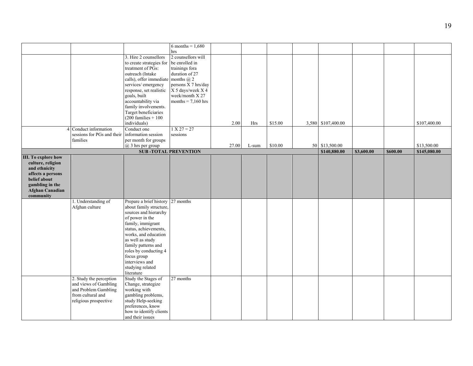|                            |                                                |                                      | 6 months = $1,680$          |       |       |         |                    |            |          |              |
|----------------------------|------------------------------------------------|--------------------------------------|-----------------------------|-------|-------|---------|--------------------|------------|----------|--------------|
|                            |                                                |                                      | hrs                         |       |       |         |                    |            |          |              |
|                            |                                                | 3. Hire 2 counsellors                | 2 counsellors will          |       |       |         |                    |            |          |              |
|                            |                                                | to create strategies for             | be enrolled in              |       |       |         |                    |            |          |              |
|                            |                                                | treatment of PGs:                    | trainings fora              |       |       |         |                    |            |          |              |
|                            |                                                | outreach (Intake                     | duration of 27              |       |       |         |                    |            |          |              |
|                            |                                                | calls), offer immediate months $@$ 2 |                             |       |       |         |                    |            |          |              |
|                            |                                                | services/ emergency                  | persons $\bar{X}$ 7 hrs/day |       |       |         |                    |            |          |              |
|                            |                                                |                                      |                             |       |       |         |                    |            |          |              |
|                            |                                                | response, set realistic              | $X$ 5 days/week $X$ 4       |       |       |         |                    |            |          |              |
|                            |                                                | goals, built                         | week/month X 27             |       |       |         |                    |            |          |              |
|                            |                                                | accountability via                   | months = $7,160$ hrs        |       |       |         |                    |            |          |              |
|                            |                                                | family involvements.                 |                             |       |       |         |                    |            |          |              |
|                            |                                                | Target beneficiaries                 |                             |       |       |         |                    |            |          |              |
|                            |                                                | $(200$ families + 100                |                             |       |       |         |                    |            |          |              |
|                            |                                                | individuals)                         |                             | 2.00  | Hrs   | \$15.00 | 3,580 \$107,400.00 |            |          | \$107,400.00 |
|                            | Conduct information                            | Conduct one                          | $1 X 27 = 27$               |       |       |         |                    |            |          |              |
|                            | sessions for PGs and their information session |                                      | sessions                    |       |       |         |                    |            |          |              |
|                            | families                                       | per month for groups                 |                             |       |       |         |                    |            |          |              |
|                            |                                                | @ 3 hrs per group                    |                             | 27.00 | L-sum | \$10.00 | 50 \$13,500.00     |            |          | \$13,500.00  |
|                            |                                                |                                      | <b>SUB-TOTAL PREVENTION</b> |       |       |         | \$140,880.00       | \$3,600.00 | \$600.00 | \$145,080.00 |
| <b>III.</b> To explore how |                                                |                                      |                             |       |       |         |                    |            |          |              |
|                            |                                                |                                      |                             |       |       |         |                    |            |          |              |
| culture, religion          |                                                |                                      |                             |       |       |         |                    |            |          |              |
| and ethnicity              |                                                |                                      |                             |       |       |         |                    |            |          |              |
| affects a persons          |                                                |                                      |                             |       |       |         |                    |            |          |              |
| belief about               |                                                |                                      |                             |       |       |         |                    |            |          |              |
| gambling in the            |                                                |                                      |                             |       |       |         |                    |            |          |              |
| <b>Afghan Canadian</b>     |                                                |                                      |                             |       |       |         |                    |            |          |              |
| community                  |                                                |                                      |                             |       |       |         |                    |            |          |              |
|                            | 1. Understanding of                            | Prepare a brief history 27 months    |                             |       |       |         |                    |            |          |              |
|                            | Afghan culture                                 | about family structure,              |                             |       |       |         |                    |            |          |              |
|                            |                                                | sources and hierarchy                |                             |       |       |         |                    |            |          |              |
|                            |                                                | of power in the                      |                             |       |       |         |                    |            |          |              |
|                            |                                                |                                      |                             |       |       |         |                    |            |          |              |
|                            |                                                | family, immigrant                    |                             |       |       |         |                    |            |          |              |
|                            |                                                | status, achievements,                |                             |       |       |         |                    |            |          |              |
|                            |                                                | works, and education                 |                             |       |       |         |                    |            |          |              |
|                            |                                                | as well as study                     |                             |       |       |         |                    |            |          |              |
|                            |                                                | family patterns and                  |                             |       |       |         |                    |            |          |              |
|                            |                                                | roles by conducting 4                |                             |       |       |         |                    |            |          |              |
|                            |                                                | focus group                          |                             |       |       |         |                    |            |          |              |
|                            |                                                | interviews and                       |                             |       |       |         |                    |            |          |              |
|                            |                                                |                                      |                             |       |       |         |                    |            |          |              |
|                            |                                                | studying related                     |                             |       |       |         |                    |            |          |              |
|                            |                                                | literature                           |                             |       |       |         |                    |            |          |              |
|                            | 2. Study the perception                        | Study the Stages of                  | 27 months                   |       |       |         |                    |            |          |              |
|                            | and views of Gambling                          | Change, strategize                   |                             |       |       |         |                    |            |          |              |
|                            | and Problem Gambling                           | working with                         |                             |       |       |         |                    |            |          |              |
|                            | from cultural and                              | gambling problems,                   |                             |       |       |         |                    |            |          |              |
|                            | religious prospective                          | study Help-seeking                   |                             |       |       |         |                    |            |          |              |
|                            |                                                | preferences, know                    |                             |       |       |         |                    |            |          |              |
|                            |                                                | how to identify clients              |                             |       |       |         |                    |            |          |              |
|                            |                                                |                                      |                             |       |       |         |                    |            |          |              |
|                            |                                                | and their issues                     |                             |       |       |         |                    |            |          |              |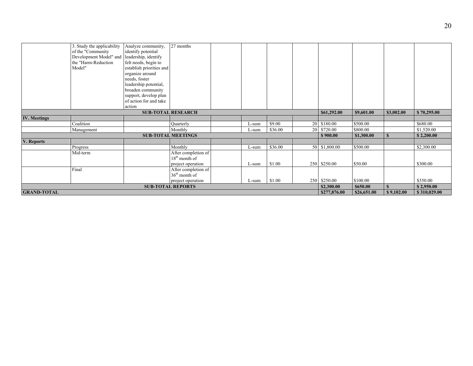|                     | 3. Study the applicability                  | Analyze community,        | 27 months                 |  |       |         |                 |               |             |              |              |
|---------------------|---------------------------------------------|---------------------------|---------------------------|--|-------|---------|-----------------|---------------|-------------|--------------|--------------|
|                     | of the "Community                           | identify potential        |                           |  |       |         |                 |               |             |              |              |
|                     | Development Model" and leadership, identify |                           |                           |  |       |         |                 |               |             |              |              |
|                     | the "Harm-Reduction                         | felt needs, begin to      |                           |  |       |         |                 |               |             |              |              |
|                     | Model"                                      | establish priorities and  |                           |  |       |         |                 |               |             |              |              |
|                     |                                             | organize around           |                           |  |       |         |                 |               |             |              |              |
|                     |                                             | needs, foster             |                           |  |       |         |                 |               |             |              |              |
|                     |                                             | leadership potential,     |                           |  |       |         |                 |               |             |              |              |
|                     |                                             | broaden community         |                           |  |       |         |                 |               |             |              |              |
|                     |                                             | support, develop plan     |                           |  |       |         |                 |               |             |              |              |
|                     |                                             | of action for and take    |                           |  |       |         |                 |               |             |              |              |
|                     |                                             | action                    |                           |  |       |         |                 |               |             |              |              |
|                     |                                             |                           | <b>SUB-TOTAL RESEARCH</b> |  |       |         |                 | \$61,292.00   | \$9,601.00  | \$3,002.00   | \$70,295.00  |
| <b>IV.</b> Meetings |                                             |                           |                           |  |       |         |                 |               |             |              |              |
|                     | Coalition                                   |                           | Quarterly                 |  | L-sum | \$9.00  | 20 <sup>1</sup> | \$180.00      | \$500.00    |              | \$680.00     |
|                     | Management                                  |                           | Monthly                   |  | L-sum | \$36.00 | <b>20</b>       | \$720.00      | \$800.00    |              | \$1,520.00   |
|                     |                                             | <b>SUB-TOTAL MEETINGS</b> |                           |  |       |         |                 | \$900.00      | \$1,300.00  | $\mathbf{s}$ | \$2,200.00   |
| V. Reports          |                                             |                           |                           |  |       |         |                 |               |             |              |              |
|                     | Progress                                    |                           | Monthly                   |  | L-sum | \$36.00 |                 | 50 \$1,800.00 | \$500.00    |              | \$2,300.00   |
|                     | Mid-term                                    |                           | After completion of       |  |       |         |                 |               |             |              |              |
|                     |                                             |                           | $18th$ month of           |  |       |         |                 |               |             |              |              |
|                     |                                             |                           | project operation         |  | L-sum | \$1.00  |                 | 250 \$250.00  | \$50.00     |              | \$300.00     |
|                     | Final                                       |                           | After completion of       |  |       |         |                 |               |             |              |              |
|                     |                                             |                           | $36th$ month of           |  |       |         |                 |               |             |              |              |
|                     |                                             |                           | project operation         |  | L-sum | \$1.00  |                 | 250 \$250.00  | \$100.00    |              | \$350.00     |
|                     |                                             |                           | <b>SUB-TOTAL REPORTS</b>  |  |       |         |                 | \$2,300.00    | \$650.00    | $\mathbf{s}$ | \$2,950.00   |
| <b>GRAND-TOTAL</b>  |                                             |                           |                           |  |       |         |                 |               | \$26,651.00 | \$9,102.00   | \$310,029.00 |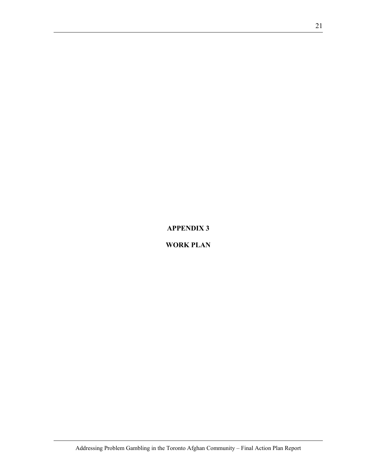**APPENDIX 3** 

**WORK PLAN**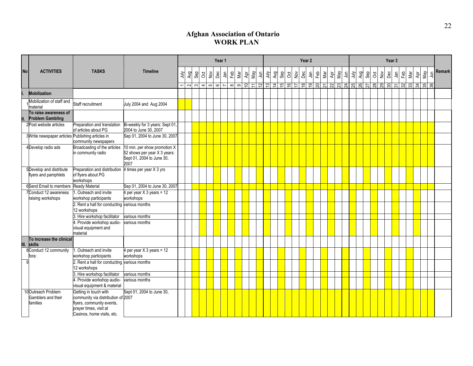## **Afghan Association of Ontario WORK PLAN**

|           |                                                       |                                                                                                                                                  |                                                                                                   |      | Year 1<br>Year 2<br>Year 3 |                                 |             |              |                                       |     |     |               |  |  |  |  |  |  |  |     |     |   |     |     |   |     |     |     |     |           |        |
|-----------|-------------------------------------------------------|--------------------------------------------------------------------------------------------------------------------------------------------------|---------------------------------------------------------------------------------------------------|------|----------------------------|---------------------------------|-------------|--------------|---------------------------------------|-----|-----|---------------|--|--|--|--|--|--|--|-----|-----|---|-----|-----|---|-----|-----|-----|-----|-----------|--------|
| <b>No</b> | <b>ACTIVITIES</b>                                     | <b>TASKS</b>                                                                                                                                     | <b>Timeline</b>                                                                                   | July | Aug<br>$\sim$              | Sep<br>ð<br>$\rightarrow$<br>തി | $\geqslant$ | Dec<br>ه اما | $\bar{a}$<br>$\overline{\phantom{0}}$ | Feb | Mar | $\frac{5}{5}$ |  |  |  |  |  |  |  | Aug | Sep | 8 | Nov | Dec | ' | Feb | Nar | ĄÞr | May | $\exists$ | Remark |
|           | <b>Mobilization</b>                                   |                                                                                                                                                  |                                                                                                   |      |                            |                                 |             |              |                                       |     |     |               |  |  |  |  |  |  |  |     |     |   |     |     |   |     |     |     |     |           |        |
|           | Mobilization of staff and<br>material                 | Staff recruitment                                                                                                                                | July 2004 and Aug 2004                                                                            |      |                            |                                 |             |              |                                       |     |     |               |  |  |  |  |  |  |  |     |     |   |     |     |   |     |     |     |     |           |        |
|           | To raise awareness of<br><b>Problem Gambling</b>      |                                                                                                                                                  |                                                                                                   |      |                            |                                 |             |              |                                       |     |     |               |  |  |  |  |  |  |  |     |     |   |     |     |   |     |     |     |     |           |        |
|           | 2Post website articles                                | Preparation and translation<br>of articles about PG                                                                                              | Bi-weekly for 3 years: Sept 01,<br>2004 to June 30, 2007                                          |      |                            |                                 |             |              |                                       |     |     |               |  |  |  |  |  |  |  |     |     |   |     |     |   |     |     |     |     |           |        |
|           | 3 Write newspaper articles Publishing articles in     | community newspapers                                                                                                                             | Sep 01, 2004 to June 30, 2007                                                                     |      |                            |                                 |             |              |                                       |     |     |               |  |  |  |  |  |  |  |     |     |   |     |     |   |     |     |     |     |           |        |
|           | 4Develop radio ads                                    | Broadcasting of the articles<br>in community radio                                                                                               | 10 min. per show promotion X<br>52 shows per year X 3 years:<br>Sept 01, 2004 to June 30,<br>2007 |      |                            |                                 |             |              |                                       |     |     |               |  |  |  |  |  |  |  |     |     |   |     |     |   |     |     |     |     |           |        |
|           | 5Develop and distribute<br>flyers and pamphlets       | Preparation and distribution 4 times per year X 3 yrs<br>of flyers about PG<br>workshops                                                         |                                                                                                   |      |                            |                                 |             |              |                                       |     |     |               |  |  |  |  |  |  |  |     |     |   |     |     |   |     |     |     |     |           |        |
|           | 6Send Email to members                                | <b>Ready Material</b>                                                                                                                            | Sep 01, 2004 to June 30, 2007                                                                     |      |                            |                                 |             |              |                                       |     |     |               |  |  |  |  |  |  |  |     |     |   |     |     |   |     |     |     |     |           |        |
|           | Conduct 12 awareness<br>raising workshops             | . Outreach and invite<br>workshop participants                                                                                                   | 4 per year $X$ 3 years = 12<br>workshops                                                          |      |                            |                                 |             |              |                                       |     |     |               |  |  |  |  |  |  |  |     |     |   |     |     |   |     |     |     |     |           |        |
|           |                                                       | 2. Rent a hall for conducting various months<br>12 workshops                                                                                     |                                                                                                   |      |                            |                                 |             |              |                                       |     |     |               |  |  |  |  |  |  |  |     |     |   |     |     |   |     |     |     |     |           |        |
|           |                                                       | 3. Hire workshop facilitator                                                                                                                     | various months                                                                                    |      |                            |                                 |             |              |                                       |     |     |               |  |  |  |  |  |  |  |     |     |   |     |     |   |     |     |     |     |           |        |
|           |                                                       | 4. Provide workshop audio-<br>visual equipment and<br>material                                                                                   | various months                                                                                    |      |                            |                                 |             |              |                                       |     |     |               |  |  |  |  |  |  |  |     |     |   |     |     |   |     |     |     |     |           |        |
| III.      | To increase the clinical<br>skills                    |                                                                                                                                                  |                                                                                                   |      |                            |                                 |             |              |                                       |     |     |               |  |  |  |  |  |  |  |     |     |   |     |     |   |     |     |     |     |           |        |
|           | 8Conduct 12 community<br>fora:                        | . Outreach and invite<br>workshop participants                                                                                                   | 4 per year X 3 years = 12<br>workshops                                                            |      |                            |                                 |             |              |                                       |     |     |               |  |  |  |  |  |  |  |     |     |   |     |     |   |     |     |     |     |           |        |
| 9         |                                                       | 2. Rent a hall for conducting various months<br>12 workshops                                                                                     |                                                                                                   |      |                            |                                 |             |              |                                       |     |     |               |  |  |  |  |  |  |  |     |     |   |     |     |   |     |     |     |     |           |        |
|           |                                                       | . Hire workshop facilitator                                                                                                                      | various months                                                                                    |      |                            |                                 |             |              |                                       |     |     |               |  |  |  |  |  |  |  |     |     |   |     |     |   |     |     |     |     |           |        |
|           |                                                       | . Provide workshop audio-<br>visual equipment & material                                                                                         | various months                                                                                    |      |                            |                                 |             |              |                                       |     |     |               |  |  |  |  |  |  |  |     |     |   |     |     |   |     |     |     |     |           |        |
|           | 10 Outreach Problem<br>Gamblers and their<br>families | Getting in touch with<br>community via distribution of 2007<br>flyers, community events,<br>prayer times, visit at<br>Casinos, home visits, etc. | Sept 01, 2004 to June 30,                                                                         |      |                            |                                 |             |              |                                       |     |     |               |  |  |  |  |  |  |  |     |     |   |     |     |   |     |     |     |     |           |        |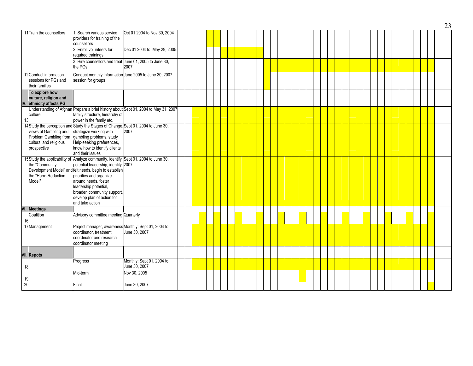|     |                                                                                                                  |                                                                                                                                                                                                                                                                                                                                               |                                                                                     |  |  |  |  |  |  |  |  |  |  |  |  |  |  | 23 |
|-----|------------------------------------------------------------------------------------------------------------------|-----------------------------------------------------------------------------------------------------------------------------------------------------------------------------------------------------------------------------------------------------------------------------------------------------------------------------------------------|-------------------------------------------------------------------------------------|--|--|--|--|--|--|--|--|--|--|--|--|--|--|----|
|     | 11Train the counsellors                                                                                          | 1. Search various service<br>providers for training of the<br>counsellors                                                                                                                                                                                                                                                                     | Oct 01 2004 to Nov 30, 2004                                                         |  |  |  |  |  |  |  |  |  |  |  |  |  |  |    |
|     |                                                                                                                  | 2. Enroll volunteers for<br>required trainings                                                                                                                                                                                                                                                                                                | Dec 01 2004 to May 29, 2005                                                         |  |  |  |  |  |  |  |  |  |  |  |  |  |  |    |
|     |                                                                                                                  | 3. Hire counsellors and treat June 01, 2005 to June 30,<br>the PGs                                                                                                                                                                                                                                                                            | 2007                                                                                |  |  |  |  |  |  |  |  |  |  |  |  |  |  |    |
|     | 12 Conduct information<br>sessions for PGs and<br>their families                                                 | Conduct monthly information June 2005 to June 30, 2007<br>session for groups                                                                                                                                                                                                                                                                  |                                                                                     |  |  |  |  |  |  |  |  |  |  |  |  |  |  |    |
|     | To explore how<br>culture, religion and<br>IV. ethnicity affects PG                                              |                                                                                                                                                                                                                                                                                                                                               |                                                                                     |  |  |  |  |  |  |  |  |  |  |  |  |  |  |    |
| 13  | culture                                                                                                          | family structure, hierarchy of<br>power in the family etc.                                                                                                                                                                                                                                                                                    | Understanding of Afghan Prepare a brief history about Sept 01, 2004 to May 31, 2007 |  |  |  |  |  |  |  |  |  |  |  |  |  |  |    |
|     | views of Gambling and<br>Problem Gambling from gambling problems, study<br>cultural and religious<br>prospective | 14Study the perception and Study the Stages of Change, Sept 01, 2004 to June 30,<br>strategize working with<br>Help-seeking preferences,<br>know how to identify clients<br>and their issues                                                                                                                                                  | 2007                                                                                |  |  |  |  |  |  |  |  |  |  |  |  |  |  |    |
|     | the "Community<br>the "Harm-Reduction<br>Model"                                                                  | 15Study the applicability of Analyze community, identify Sept 01, 2004 to June 30,<br>potential leadership, identify 2007<br>Development Model" and felt needs, begin to establish<br>priorities and organize<br>around needs, foster<br>leadership potential,<br>broaden community support,<br>develop plan of action for<br>and take action |                                                                                     |  |  |  |  |  |  |  |  |  |  |  |  |  |  |    |
| VI. | <b>Meetings</b>                                                                                                  |                                                                                                                                                                                                                                                                                                                                               |                                                                                     |  |  |  |  |  |  |  |  |  |  |  |  |  |  |    |
| 16  | Coalition                                                                                                        | Advisory committee meeting Quarterly                                                                                                                                                                                                                                                                                                          |                                                                                     |  |  |  |  |  |  |  |  |  |  |  |  |  |  |    |
|     | 17Management                                                                                                     | Project manager, awareness Monthly: Sept 01, 2004 to<br>coordinator, treatment<br>coordinator and research<br>coordinator meeting                                                                                                                                                                                                             | June 30, 2007                                                                       |  |  |  |  |  |  |  |  |  |  |  |  |  |  |    |
|     | VII. Repots                                                                                                      |                                                                                                                                                                                                                                                                                                                                               |                                                                                     |  |  |  |  |  |  |  |  |  |  |  |  |  |  |    |
| 18  |                                                                                                                  | Progress                                                                                                                                                                                                                                                                                                                                      | Monthly: Sept 01, 2004 to<br>June 30, 2007                                          |  |  |  |  |  |  |  |  |  |  |  |  |  |  |    |
| 19  |                                                                                                                  | Mid-term                                                                                                                                                                                                                                                                                                                                      | Nov 30, 2005                                                                        |  |  |  |  |  |  |  |  |  |  |  |  |  |  |    |
| 20  |                                                                                                                  | -inal                                                                                                                                                                                                                                                                                                                                         | June 30, 2007                                                                       |  |  |  |  |  |  |  |  |  |  |  |  |  |  |    |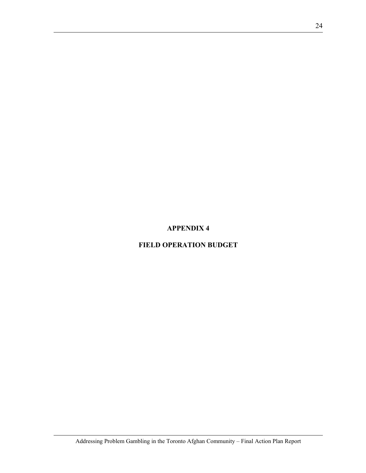## **APPENDIX 4**

## **FIELD OPERATION BUDGET**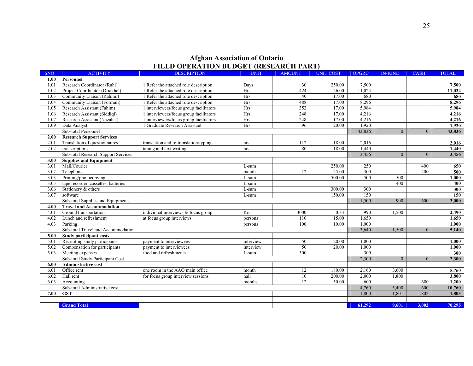#### **Afghan Association of Ontario FIELD OPERATION BUDGET (RESEARCH PART)**

| <b>SNO</b> | <b>ACTIVITY</b>                     | <b>DESCRIPTION</b>                      | <b>UNIT</b> | <b>AMOUNT</b> | <b>UNIT COST</b> | <b>OPGRC</b> | <b>IN-KIND</b> | <b>CASH</b>    | <b>TOTAL</b> |
|------------|-------------------------------------|-----------------------------------------|-------------|---------------|------------------|--------------|----------------|----------------|--------------|
| 1.00       | Personnel                           |                                         |             |               |                  |              |                |                |              |
| 1.01       | Research Coordinator (Rahi)         | 1 Refer the attached role description   | Days        | 30            | 250.00           | 7,500        |                |                | 7,500        |
| 1.02       | Project Coordinator (Oriakhel)      | 1 Refer the attached role description   | Hrs         | 424           | 26.00            | 11,024       |                |                | 11,024       |
| 1.03       | Community Liaison (Rahimi)          | 1 Refer the attached role description   | Hrs         | 40            | 17.00            | 680          |                |                | 680          |
| 1.04       | Community Liaison (Formuli)         | 1 Refer the attached role description   | Hrs         | 488           | 17.00            | 8,296        |                |                | 8,296        |
| 1.05       | Research Assistant (Fahim)          | 1 interviewers/focus group facilitators | Hrs         | 352           | 17.00            | 5,984        |                |                | 5,984        |
| 1.06       | Research Assistant (Siddiqi)        | 1 interviewers/focus group facilitators | <b>Hrs</b>  | 248           | 17.00            | 4,216        |                |                | 4,216        |
| 1.07       | Research Assistant (Nazahat)        | 1 interviewers/focus group facilitators | Hrs         | 248           | 17.00            | 4,216        |                |                | 4,216        |
| 1.09       | Data Analyst                        | 1 Graduate Research Assistant           | Hrs         | 96            | 20.00            | 1,920        |                |                | 1,920        |
|            | Sub-total Personnel                 |                                         |             |               |                  | 43,836       | $\theta$       | $\overline{0}$ | 43,836       |
| 2.00       | <b>Research Support Services</b>    |                                         |             |               |                  |              |                |                |              |
| 2.01       | Translation of questionnaires       | translation and re-translation/typing   | hrs         | 112           | 18.00            | 2,016        |                |                | 2,016        |
| 2.02       | transcriptions                      | taping and text writing                 | hrs         | 80            | 18.00            | 1,440        |                |                | 1,440        |
|            | Sub-total Research Support Services |                                         |             |               |                  | 3,456        | $\theta$       | $\theta$       | 3,456        |
| 3.00       | <b>Supplies and Equipment</b>       |                                         |             |               |                  |              |                |                |              |
| 3.01       | Mail/Courier                        |                                         | L-sum       |               | 250.00           | 250          |                | 400            | 650          |
| 3.02       | Telephone                           |                                         | month       | 12            | 25.00            | 300          |                | 200            | 500          |
| 3.03       | Printing/photocopying               |                                         | L-sum       |               | 500.00           | 500          | 500            |                | 1,000        |
| 3.05       | tape recorder, cassettes, batteries |                                         | L-sum       |               |                  |              | 400            |                | 400          |
| 3.06       | Stationery & others                 |                                         | L-sum       |               | 300.00           | 300          |                |                | 300          |
| 3.07       | software                            |                                         | L-sum       |               | 150.00           | 150          |                |                | 150          |
|            | Sub-total Supplies and Equipments   |                                         |             |               |                  | 1,500        | 900            | 600            | 3,000        |
| 4.00       | <b>Travel and Accommodation</b>     |                                         |             |               |                  |              |                |                |              |
| 4.01       | Ground transportation               | individual interviews & focus group     | Km          | 3000          | 0.33             | 990          | 1,500          |                | 2,490        |
| 4.02       | Lunch and refreshment               | at focus group interviews               | persons     | 110           | 15.00            | 1,650        |                |                | 1,650        |
| 4.03       | Parking                             |                                         | persons     | 100           | 10.00            | 1.000        |                |                | 1,000        |
|            | Sub-total Travel and Accommodation  |                                         |             |               |                  | 3,640        | 1,500          | $\overline{0}$ | 5,140        |
| 5.00       | Study participant costs             |                                         |             |               |                  |              |                |                |              |
| 5.01       | Recruiting study participants       | payment to interviewees                 | interview   | 50            | 20.00            | 1,000        |                |                | 1,000        |
| 5.02       | Compensation for participants       | payment to interviewees                 | interview   | 50            | 20.00            | 1,000        |                |                | 1,000        |
| 5.03       | Meeting expenses                    | food and refreshments                   | L-sum       | 300           |                  | 300          |                |                | 300          |
|            | Sub-total Study Participant Cost    |                                         |             |               |                  | 2,300        | $\theta$       | $\overline{0}$ | 2,300        |
| 6.00       | <b>Administrative cost</b>          |                                         |             |               |                  |              |                |                |              |
| 6.01       | Office rent                         | one room in the AAO main office         | month       | 12            | 180.00           | 2,160        | 3,600          |                | 5,760        |
| 6.02       | Hall rent                           | for focus group interview sessions      | hall        | 10            | 200.00           | 2,000        | 1.800          |                | 3,800        |
| 6.03       | Accounting                          |                                         | months      | 12            | 50.00            | 600          |                | 600            | 1,200        |
|            | Sub-total Administrative cost       |                                         |             |               |                  | 4,760        | 5,400          | 600            | 10,760       |
| 7.00       | <b>GST</b>                          |                                         |             |               |                  | 1,800        | 1,801          | 1,802          | 1,803        |
|            |                                     |                                         |             |               |                  |              |                |                |              |
|            | <b>Grand Total</b>                  |                                         |             |               |                  | 61,292       | 9,601          | 3,002          | 70,295       |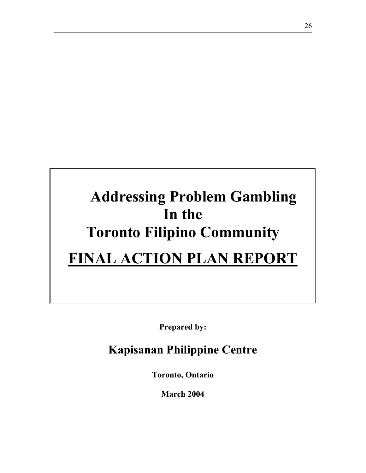# **Addressing Problem Gambling In the Toronto Filipino Community FINAL ACTION PLAN REPORT**

**Prepared by:** 

## **Kapisanan Philippine Centre**

**Toronto, Ontario** 

**March 2004**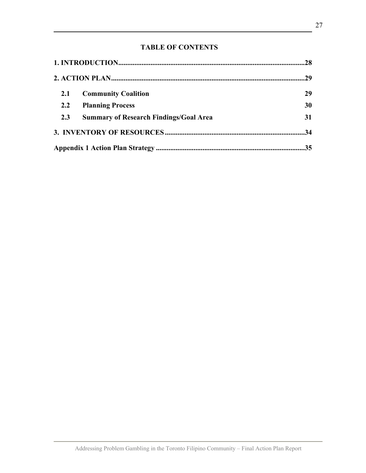## **TABLE OF CONTENTS**

| 2.1 | <b>Community Coalition</b>                    | 29 |
|-----|-----------------------------------------------|----|
| 2.2 | <b>Planning Process</b>                       | 30 |
| 2.3 | <b>Summary of Research Findings/Goal Area</b> | 31 |
|     |                                               |    |
|     |                                               |    |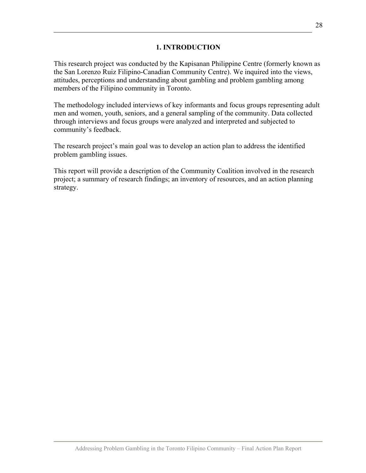## **1. INTRODUCTION**

This research project was conducted by the Kapisanan Philippine Centre (formerly known as the San Lorenzo Ruiz Filipino-Canadian Community Centre). We inquired into the views, attitudes, perceptions and understanding about gambling and problem gambling among members of the Filipino community in Toronto.

The methodology included interviews of key informants and focus groups representing adult men and women, youth, seniors, and a general sampling of the community. Data collected through interviews and focus groups were analyzed and interpreted and subjected to community's feedback.

The research project's main goal was to develop an action plan to address the identified problem gambling issues.

This report will provide a description of the Community Coalition involved in the research project; a summary of research findings; an inventory of resources, and an action planning strategy.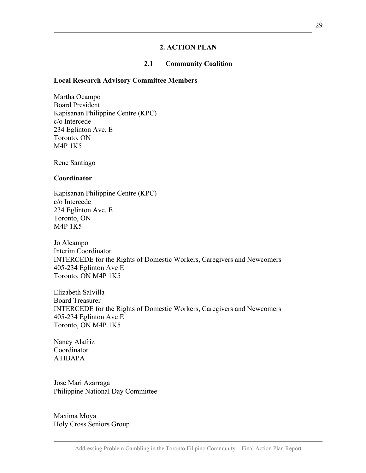## **2. ACTION PLAN**

### **2.1 Community Coalition**

#### **Local Research Advisory Committee Members**

Martha Ocampo Board President Kapisanan Philippine Centre (KPC) c/o Intercede 234 Eglinton Ave. E Toronto, ON M4P 1K5

Rene Santiago

#### **Coordinator**

Kapisanan Philippine Centre (KPC) c/o Intercede 234 Eglinton Ave. E Toronto, ON M4P 1K5

Jo Alcampo Interim Coordinator INTERCEDE for the Rights of Domestic Workers, Caregivers and Newcomers 405-234 Eglinton Ave E Toronto, ON M4P 1K5

Elizabeth Salvilla Board Treasurer INTERCEDE for the Rights of Domestic Workers, Caregivers and Newcomers 405-234 Eglinton Ave E Toronto, ON M4P 1K5

Nancy Alafriz Coordinator ATIBAPA

Jose Mari Azarraga Philippine National Day Committee

Maxima Moya Holy Cross Seniors Group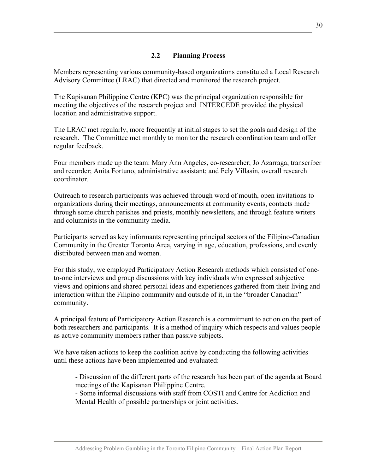## **2.2 Planning Process**

Members representing various community-based organizations constituted a Local Research Advisory Committee (LRAC) that directed and monitored the research project.

The Kapisanan Philippine Centre (KPC) was the principal organization responsible for meeting the objectives of the research project and INTERCEDE provided the physical location and administrative support.

The LRAC met regularly, more frequently at initial stages to set the goals and design of the research. The Committee met monthly to monitor the research coordination team and offer regular feedback.

Four members made up the team: Mary Ann Angeles, co-researcher; Jo Azarraga, transcriber and recorder; Anita Fortuno, administrative assistant; and Fely Villasin, overall research coordinator.

Outreach to research participants was achieved through word of mouth, open invitations to organizations during their meetings, announcements at community events, contacts made through some church parishes and priests, monthly newsletters, and through feature writers and columnists in the community media.

Participants served as key informants representing principal sectors of the Filipino-Canadian Community in the Greater Toronto Area, varying in age, education, professions, and evenly distributed between men and women.

For this study, we employed Participatory Action Research methods which consisted of oneto-one interviews and group discussions with key individuals who expressed subjective views and opinions and shared personal ideas and experiences gathered from their living and interaction within the Filipino community and outside of it, in the "broader Canadian" community.

A principal feature of Participatory Action Research is a commitment to action on the part of both researchers and participants. It is a method of inquiry which respects and values people as active community members rather than passive subjects.

We have taken actions to keep the coalition active by conducting the following activities until these actions have been implemented and evaluated:

- Discussion of the different parts of the research has been part of the agenda at Board meetings of the Kapisanan Philippine Centre.

- Some informal discussions with staff from COSTI and Centre for Addiction and Mental Health of possible partnerships or joint activities.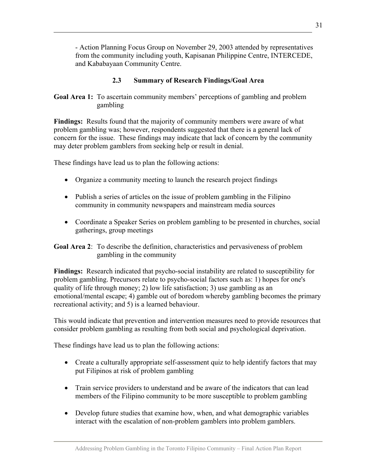- Action Planning Focus Group on November 29, 2003 attended by representatives from the community including youth, Kapisanan Philippine Centre, INTERCEDE, and Kababayaan Community Centre.

## **2.3 Summary of Research Findings/Goal Area**

**Goal Area 1:** To ascertain community members' perceptions of gambling and problem gambling

**Findings:** Results found that the majority of community members were aware of what problem gambling was; however, respondents suggested that there is a general lack of concern for the issue. These findings may indicate that lack of concern by the community may deter problem gamblers from seeking help or result in denial.

These findings have lead us to plan the following actions:

- Organize a community meeting to launch the research project findings
- Publish a series of articles on the issue of problem gambling in the Filipino community in community newspapers and mainstream media sources
- Coordinate a Speaker Series on problem gambling to be presented in churches, social gatherings, group meetings

**Goal Area 2**: To describe the definition, characteristics and pervasiveness of problem gambling in the community

**Findings:** Research indicated that psycho-social instability are related to susceptibility for problem gambling. Precursors relate to psycho-social factors such as: 1) hopes for one's quality of life through money; 2) low life satisfaction; 3) use gambling as an emotional/mental escape; 4) gamble out of boredom whereby gambling becomes the primary recreational activity; and 5) is a learned behaviour.

This would indicate that prevention and intervention measures need to provide resources that consider problem gambling as resulting from both social and psychological deprivation.

These findings have lead us to plan the following actions:

- Create a culturally appropriate self-assessment quiz to help identify factors that may put Filipinos at risk of problem gambling
- Train service providers to understand and be aware of the indicators that can lead members of the Filipino community to be more susceptible to problem gambling
- Develop future studies that examine how, when, and what demographic variables interact with the escalation of non-problem gamblers into problem gamblers.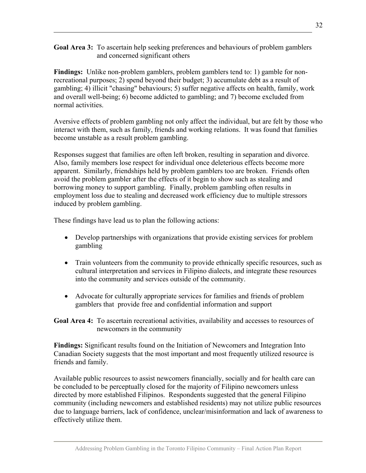**Goal Area 3:** To ascertain help seeking preferences and behaviours of problem gamblers and concerned significant others

**Findings:** Unlike non-problem gamblers, problem gamblers tend to: 1) gamble for nonrecreational purposes; 2) spend beyond their budget; 3) accumulate debt as a result of gambling; 4) illicit "chasing" behaviours; 5) suffer negative affects on health, family, work and overall well-being; 6) become addicted to gambling; and 7) become excluded from normal activities.

Aversive effects of problem gambling not only affect the individual, but are felt by those who interact with them, such as family, friends and working relations. It was found that families become unstable as a result problem gambling.

Responses suggest that families are often left broken, resulting in separation and divorce. Also, family members lose respect for individual once deleterious effects become more apparent. Similarly, friendships held by problem gamblers too are broken. Friends often avoid the problem gambler after the effects of it begin to show such as stealing and borrowing money to support gambling. Finally, problem gambling often results in employment loss due to stealing and decreased work efficiency due to multiple stressors induced by problem gambling.

These findings have lead us to plan the following actions:

- Develop partnerships with organizations that provide existing services for problem gambling
- Train volunteers from the community to provide ethnically specific resources, such as cultural interpretation and services in Filipino dialects, and integrate these resources into the community and services outside of the community.
- Advocate for culturally appropriate services for families and friends of problem gamblers that provide free and confidential information and support

**Goal Area 4:** To ascertain recreational activities, availability and accesses to resources of newcomers in the community

**Findings:** Significant results found on the Initiation of Newcomers and Integration Into Canadian Society suggests that the most important and most frequently utilized resource is friends and family.

Available public resources to assist newcomers financially, socially and for health care can be concluded to be perceptually closed for the majority of Filipino newcomers unless directed by more established Filipinos. Respondents suggested that the general Filipino community (including newcomers and established residents) may not utilize public resources due to language barriers, lack of confidence, unclear/misinformation and lack of awareness to effectively utilize them.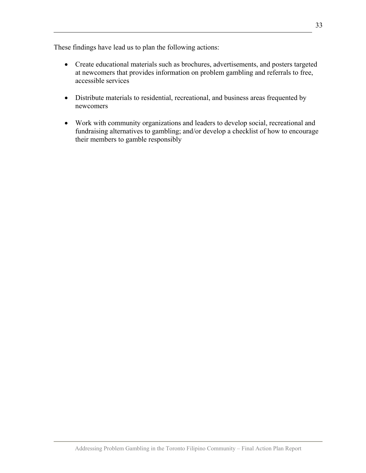These findings have lead us to plan the following actions:

- Create educational materials such as brochures, advertisements, and posters targeted at newcomers that provides information on problem gambling and referrals to free, accessible services
- Distribute materials to residential, recreational, and business areas frequented by newcomers
- Work with community organizations and leaders to develop social, recreational and fundraising alternatives to gambling; and/or develop a checklist of how to encourage their members to gamble responsibly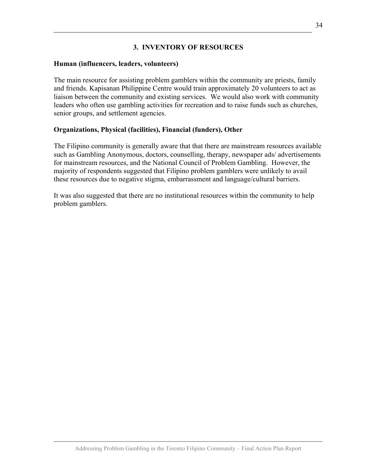#### **3. INVENTORY OF RESOURCES**

#### **Human (influencers, leaders, volunteers)**

The main resource for assisting problem gamblers within the community are priests, family and friends. Kapisanan Philippine Centre would train approximately 20 volunteers to act as liaison between the community and existing services. We would also work with community leaders who often use gambling activities for recreation and to raise funds such as churches, senior groups, and settlement agencies.

#### **Organizations, Physical (facilities), Financial (funders), Other**

The Filipino community is generally aware that that there are mainstream resources available such as Gambling Anonymous, doctors, counselling, therapy, newspaper ads/ advertisements for mainstream resources, and the National Council of Problem Gambling. However, the majority of respondents suggested that Filipino problem gamblers were unlikely to avail these resources due to negative stigma, embarrassment and language/cultural barriers.

It was also suggested that there are no institutional resources within the community to help problem gamblers.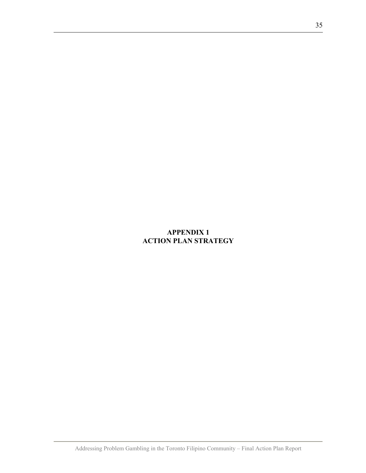# **APPENDIX 1 ACTION PLAN STRATEGY**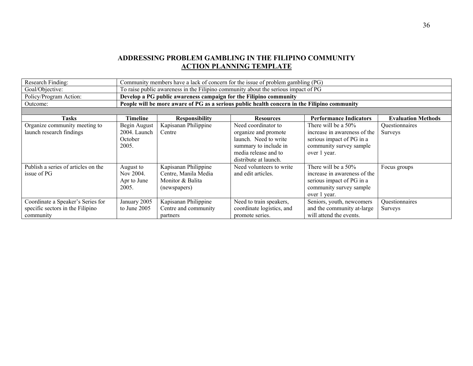#### **ADDRESSING PROBLEM GAMBLING IN THE FILIPINO COMMUNITY ACTION PLANNING TEMPLATE**

| Research Finding:                                                                  | Community members have a lack of concern for the issue of problem gambling (PG) |                                                                                  |                                                                                                                                                |                                                                                                                                |                                  |  |  |  |
|------------------------------------------------------------------------------------|---------------------------------------------------------------------------------|----------------------------------------------------------------------------------|------------------------------------------------------------------------------------------------------------------------------------------------|--------------------------------------------------------------------------------------------------------------------------------|----------------------------------|--|--|--|
| Goal/Objective:                                                                    |                                                                                 |                                                                                  | To raise public awareness in the Filipino community about the serious impact of PG                                                             |                                                                                                                                |                                  |  |  |  |
| Policy/Program Action:                                                             |                                                                                 | Develop a PG public awareness campaign for the Filipino community                |                                                                                                                                                |                                                                                                                                |                                  |  |  |  |
| Outcome:                                                                           |                                                                                 |                                                                                  | People will be more aware of PG as a serious public health concern in the Filipino community                                                   |                                                                                                                                |                                  |  |  |  |
|                                                                                    |                                                                                 |                                                                                  |                                                                                                                                                |                                                                                                                                |                                  |  |  |  |
| <b>Tasks</b>                                                                       | Timeline                                                                        | <b>Responsibility</b>                                                            | <b>Resources</b>                                                                                                                               | <b>Performance Indicators</b>                                                                                                  | <b>Evaluation Methods</b>        |  |  |  |
| Organize community meeting to<br>launch research findings                          | Begin August<br>2004. Launch<br>October<br>2005.                                | Kapisanan Philippine<br>Centre                                                   | Need coordinator to<br>organize and promote<br>launch. Need to write<br>summary to include in<br>media release and to<br>distribute at launch. | There will be a 50%<br>increase in awareness of the<br>serious impact of PG in a<br>community survey sample<br>over 1 year.    | Questionnaires<br><b>Surveys</b> |  |  |  |
| Publish a series of articles on the<br>issue of PG                                 | August to<br>Nov 2004.<br>Apr to June<br>2005.                                  | Kapisanan Philippine<br>Centre, Manila Media<br>Monitor & Balita<br>(newspapers) | Need volunteers to write<br>and edit articles.                                                                                                 | There will be a $50\%$<br>increase in awareness of the<br>serious impact of PG in a<br>community survey sample<br>over 1 year. | Focus groups                     |  |  |  |
| Coordinate a Speaker's Series for<br>specific sectors in the Filipino<br>community | January 2005<br>to June 2005                                                    | Kapisanan Philippine<br>Centre and community<br>partners                         | Need to train speakers,<br>coordinate logistics, and<br>promote series.                                                                        | Seniors, youth, newcomers<br>and the community at-large<br>will attend the events.                                             | Questionnaires<br>Surveys        |  |  |  |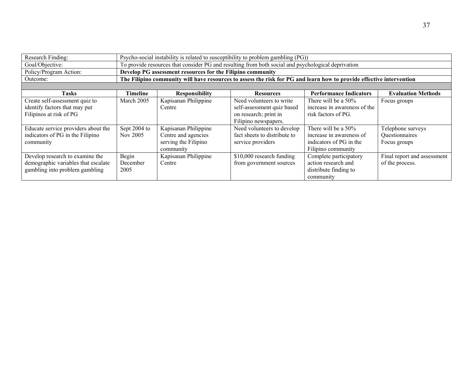| Research Finding:                                                                                        | Psycho-social instability is related to susceptibility to problem gambling (PG)) |                                                                                  |                                                                                                         |                                                                                                                      |                                                     |  |  |  |
|----------------------------------------------------------------------------------------------------------|----------------------------------------------------------------------------------|----------------------------------------------------------------------------------|---------------------------------------------------------------------------------------------------------|----------------------------------------------------------------------------------------------------------------------|-----------------------------------------------------|--|--|--|
| Goal/Objective:                                                                                          |                                                                                  |                                                                                  | To provide resources that consider PG and resulting from both social and psychological deprivation      |                                                                                                                      |                                                     |  |  |  |
| Policy/Program Action:                                                                                   |                                                                                  | Develop PG assessment resources for the Filipino community                       |                                                                                                         |                                                                                                                      |                                                     |  |  |  |
| Outcome:                                                                                                 |                                                                                  |                                                                                  |                                                                                                         | The Filipino community will have resources to assess the risk for PG and learn how to provide effective intervention |                                                     |  |  |  |
|                                                                                                          |                                                                                  |                                                                                  |                                                                                                         |                                                                                                                      |                                                     |  |  |  |
| <b>Tasks</b>                                                                                             | <b>Timeline</b>                                                                  | <b>Responsibility</b>                                                            | <b>Resources</b>                                                                                        | <b>Performance Indicators</b>                                                                                        | <b>Evaluation Methods</b>                           |  |  |  |
| Create self-assessment quiz to<br>identify factors that may put<br>Filipinos at risk of PG               | March 2005                                                                       | Kapisanan Philippine<br>Centre                                                   | Need volunteers to write<br>self-assessment quiz based<br>on research; print in<br>Filipino newspapers. | There will be a 50%<br>increase in awareness of the<br>risk factors of PG.                                           | Focus groups                                        |  |  |  |
| Educate service providers about the<br>indicators of PG in the Filipino<br>community                     | Sept 2004 to<br>Nov 2005                                                         | Kapisanan Philippine<br>Centre and agencies<br>serving the Filipino<br>community | Need volunteers to develop<br>fact sheets to distribute to<br>service providers                         | There will be a 50%<br>increase in awareness of<br>indicators of PG in the<br>Filipino community                     | Telephone surveys<br>Questionnaires<br>Focus groups |  |  |  |
| Develop research to examine the<br>demographic variables that escalate<br>gambling into problem gambling | Begin<br>December<br>2005                                                        | Kapisanan Philippine<br>Centre                                                   | \$10,000 research funding<br>from government sources                                                    | Complete participatory<br>action research and<br>distribute finding to<br>community                                  | Final report and assessment<br>of the process.      |  |  |  |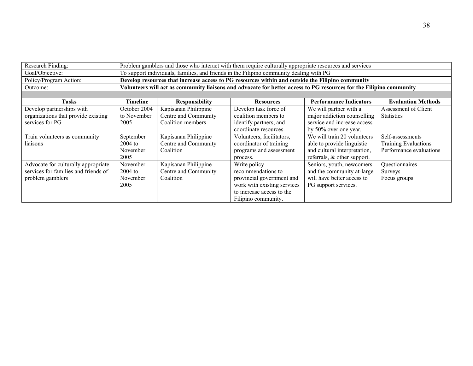| Research Finding:                    | Problem gamblers and those who interact with them require culturally appropriate resources and services |                                                                                                                     |                                                                                                  |                                |                           |  |  |  |  |
|--------------------------------------|---------------------------------------------------------------------------------------------------------|---------------------------------------------------------------------------------------------------------------------|--------------------------------------------------------------------------------------------------|--------------------------------|---------------------------|--|--|--|--|
| Goal/Objective:                      | To support individuals, families, and friends in the Filipino community dealing with PG                 |                                                                                                                     |                                                                                                  |                                |                           |  |  |  |  |
| Policy/Program Action:               |                                                                                                         |                                                                                                                     | Develop resources that increase access to PG resources within and outside the Filipino community |                                |                           |  |  |  |  |
| Outcome:                             |                                                                                                         | Volunteers will act as community liaisons and advocate for better access to PG resources for the Filipino community |                                                                                                  |                                |                           |  |  |  |  |
|                                      |                                                                                                         |                                                                                                                     |                                                                                                  |                                |                           |  |  |  |  |
| <b>Tasks</b>                         | Timeline                                                                                                | <b>Responsibility</b>                                                                                               | <b>Resources</b>                                                                                 | <b>Performance Indicators</b>  | <b>Evaluation Methods</b> |  |  |  |  |
| Develop partnerships with            | October 2004                                                                                            | Kapisanan Philippine                                                                                                | Develop task force of                                                                            | We will partner with a         | Assessment of Client      |  |  |  |  |
| organizations that provide existing  | to November                                                                                             | Centre and Community                                                                                                | coalition members to                                                                             | major addiction counselling    | <b>Statistics</b>         |  |  |  |  |
| services for PG                      | 2005                                                                                                    | Coalition members                                                                                                   | identify partners, and                                                                           | service and increase access    |                           |  |  |  |  |
|                                      |                                                                                                         |                                                                                                                     | coordinate resources.                                                                            | by 50% over one year.          |                           |  |  |  |  |
| Train volunteers as community        | September                                                                                               | Kapisanan Philippine                                                                                                | Volunteers, facilitators,                                                                        | We will train 20 volunteers    | Self-assessments          |  |  |  |  |
| liaisons                             | $2004$ to                                                                                               | Centre and Community                                                                                                | coordinator of training                                                                          | able to provide linguistic     | Training Evaluations      |  |  |  |  |
|                                      | November                                                                                                | Coalition                                                                                                           | programs and assessment                                                                          | and cultural interpretation,   | Performance evaluations   |  |  |  |  |
|                                      | 2005                                                                                                    |                                                                                                                     | process.                                                                                         | referrals, $\&$ other support. |                           |  |  |  |  |
| Advocate for culturally appropriate  | November                                                                                                | Kapisanan Philippine                                                                                                | Write policy                                                                                     | Seniors, youth, newcomers      | Questionnaires            |  |  |  |  |
| services for families and friends of | $2004$ to                                                                                               | Centre and Community                                                                                                | recommendations to                                                                               | and the community at-large     | Surveys                   |  |  |  |  |
| problem gamblers                     | November                                                                                                | Coalition                                                                                                           | provincial government and                                                                        | will have better access to     | Focus groups              |  |  |  |  |
|                                      | 2005                                                                                                    |                                                                                                                     | work with existing services                                                                      | PG support services.           |                           |  |  |  |  |
|                                      |                                                                                                         |                                                                                                                     | to increase access to the                                                                        |                                |                           |  |  |  |  |
|                                      |                                                                                                         |                                                                                                                     | Filipino community.                                                                              |                                |                           |  |  |  |  |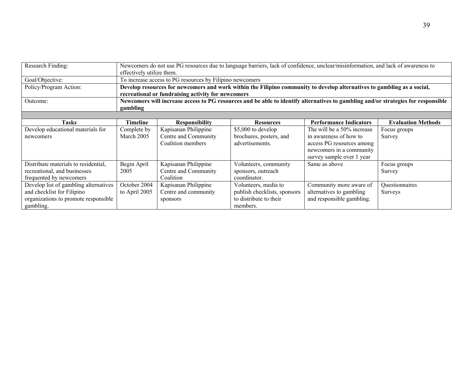| Research Finding:                     | Newcomers do not use PG resources due to language barriers, lack of confidence, unclear/misinformation, and lack of awareness to<br>effectively utilize them.                 |                                                          |                              |                               |                           |  |  |
|---------------------------------------|-------------------------------------------------------------------------------------------------------------------------------------------------------------------------------|----------------------------------------------------------|------------------------------|-------------------------------|---------------------------|--|--|
| Goal/Objective:                       |                                                                                                                                                                               | To increase access to PG resources by Filipino newcomers |                              |                               |                           |  |  |
| Policy/Program Action:                | Develop resources for newcomers and work within the Filipino community to develop alternatives to gambling as a social,<br>recreational or fundraising activity for newcomers |                                                          |                              |                               |                           |  |  |
| Outcome:                              | Newcomers will increase access to PG resources and be able to identify alternatives to gambling and/or strategies for responsible<br>gambling                                 |                                                          |                              |                               |                           |  |  |
|                                       |                                                                                                                                                                               |                                                          |                              |                               |                           |  |  |
| <b>Tasks</b>                          | Timeline                                                                                                                                                                      | <b>Responsibility</b>                                    | <b>Resources</b>             | <b>Performance Indicators</b> | <b>Evaluation Methods</b> |  |  |
| Develop educational materials for     | Complete by                                                                                                                                                                   | Kapisanan Philippine                                     | \$5,000 to develop           | The will be a 50% increase    | Focus groups              |  |  |
| newcomers                             | March 2005                                                                                                                                                                    | Centre and Community                                     | brochures, posters, and      | in awareness of how to        | Survey                    |  |  |
|                                       |                                                                                                                                                                               | Coalition members                                        | advertisements.              | access PG resources among     |                           |  |  |
|                                       |                                                                                                                                                                               |                                                          |                              | newcomers in a community      |                           |  |  |
|                                       |                                                                                                                                                                               |                                                          |                              | survey sample over 1 year     |                           |  |  |
| Distribute materials to residential,  | Begin April                                                                                                                                                                   | Kapisanan Philippine                                     | Volunteers, community        | Same as above                 | Focus groups              |  |  |
| recreational, and businesses          | 2005                                                                                                                                                                          | Centre and Community                                     | sponsors, outreach           |                               | Survey                    |  |  |
| frequented by newcomers               |                                                                                                                                                                               | Coalition                                                | coordinator.                 |                               |                           |  |  |
| Develop list of gambling alternatives | October 2004                                                                                                                                                                  | Kapisanan Philippine                                     | Volunteers, media to         | Community more aware of       | Questionnaires            |  |  |
| and checklist for Filipino            | to April 2005                                                                                                                                                                 | Centre and community                                     | publish checklists, sponsors | alternatives to gambling      | Surveys                   |  |  |
| organizations to promote responsible  |                                                                                                                                                                               | sponsors                                                 | to distribute to their       | and responsible gambling.     |                           |  |  |
| gambling.                             |                                                                                                                                                                               |                                                          | members.                     |                               |                           |  |  |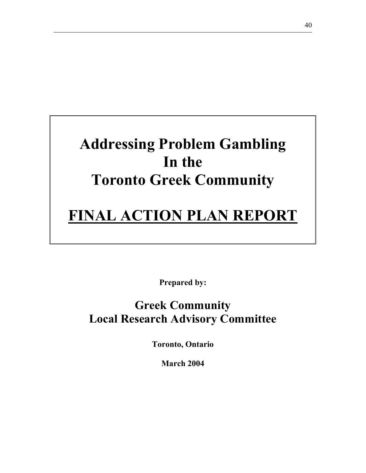# **Addressing Problem Gambling In the Toronto Greek Community**

# **FINAL ACTION PLAN REPORT**

**Prepared by:** 

# **Greek Community Local Research Advisory Committee**

**Toronto, Ontario** 

**March 2004**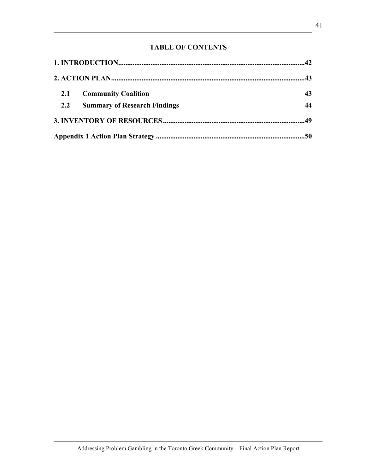# **TABLE OF CONTENTS**

| 2.1 | <b>Community Coalition</b>          | 43 |
|-----|-------------------------------------|----|
| 2.2 | <b>Summary of Research Findings</b> | 44 |
|     |                                     |    |
|     |                                     |    |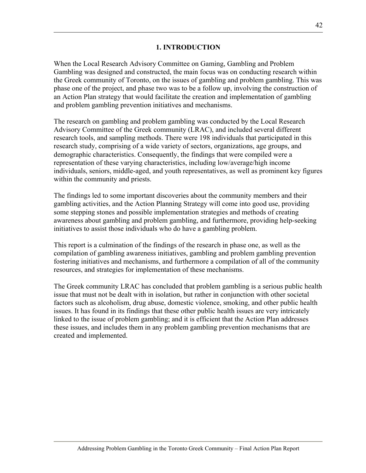#### **1. INTRODUCTION**

When the Local Research Advisory Committee on Gaming, Gambling and Problem Gambling was designed and constructed, the main focus was on conducting research within the Greek community of Toronto, on the issues of gambling and problem gambling. This was phase one of the project, and phase two was to be a follow up, involving the construction of an Action Plan strategy that would facilitate the creation and implementation of gambling and problem gambling prevention initiatives and mechanisms.

The research on gambling and problem gambling was conducted by the Local Research Advisory Committee of the Greek community (LRAC), and included several different research tools, and sampling methods. There were 198 individuals that participated in this research study, comprising of a wide variety of sectors, organizations, age groups, and demographic characteristics. Consequently, the findings that were compiled were a representation of these varying characteristics, including low/average/high income individuals, seniors, middle-aged, and youth representatives, as well as prominent key figures within the community and priests.

The findings led to some important discoveries about the community members and their gambling activities, and the Action Planning Strategy will come into good use, providing some stepping stones and possible implementation strategies and methods of creating awareness about gambling and problem gambling, and furthermore, providing help-seeking initiatives to assist those individuals who do have a gambling problem.

This report is a culmination of the findings of the research in phase one, as well as the compilation of gambling awareness initiatives, gambling and problem gambling prevention fostering initiatives and mechanisms, and furthermore a compilation of all of the community resources, and strategies for implementation of these mechanisms.

The Greek community LRAC has concluded that problem gambling is a serious public health issue that must not be dealt with in isolation, but rather in conjunction with other societal factors such as alcoholism, drug abuse, domestic violence, smoking, and other public health issues. It has found in its findings that these other public health issues are very intricately linked to the issue of problem gambling; and it is efficient that the Action Plan addresses these issues, and includes them in any problem gambling prevention mechanisms that are created and implemented.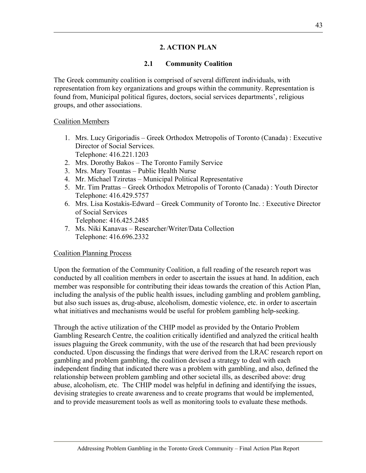# **2. ACTION PLAN**

#### **2.1 Community Coalition**

The Greek community coalition is comprised of several different individuals, with representation from key organizations and groups within the community. Representation is found from, Municipal political figures, doctors, social services departments', religious groups, and other associations.

#### Coalition Members

- 1. Mrs. Lucy Grigoriadis Greek Orthodox Metropolis of Toronto (Canada) : Executive Director of Social Services. Telephone: 416.221.1203
- 2. Mrs. Dorothy Bakos The Toronto Family Service
- 3. Mrs. Mary Tountas Public Health Nurse
- 4. Mr. Michael Tziretas Municipal Political Representative
- 5. Mr. Tim Prattas Greek Orthodox Metropolis of Toronto (Canada) : Youth Director Telephone: 416.429.5757
- 6. Mrs. Lisa Kostakis-Edward Greek Community of Toronto Inc. : Executive Director of Social Services Telephone: 416.425.2485
- 7. Ms. Niki Kanavas Researcher/Writer/Data Collection Telephone: 416.696.2332

#### Coalition Planning Process

Upon the formation of the Community Coalition, a full reading of the research report was conducted by all coalition members in order to ascertain the issues at hand. In addition, each member was responsible for contributing their ideas towards the creation of this Action Plan, including the analysis of the public health issues, including gambling and problem gambling, but also such issues as, drug-abuse, alcoholism, domestic violence, etc. in order to ascertain what initiatives and mechanisms would be useful for problem gambling help-seeking.

Through the active utilization of the CHIP model as provided by the Ontario Problem Gambling Research Centre, the coalition critically identified and analyzed the critical health issues plaguing the Greek community, with the use of the research that had been previously conducted. Upon discussing the findings that were derived from the LRAC research report on gambling and problem gambling, the coalition devised a strategy to deal with each independent finding that indicated there was a problem with gambling, and also, defined the relationship between problem gambling and other societal ills, as described above: drug abuse, alcoholism, etc. The CHIP model was helpful in defining and identifying the issues, devising strategies to create awareness and to create programs that would be implemented, and to provide measurement tools as well as monitoring tools to evaluate these methods.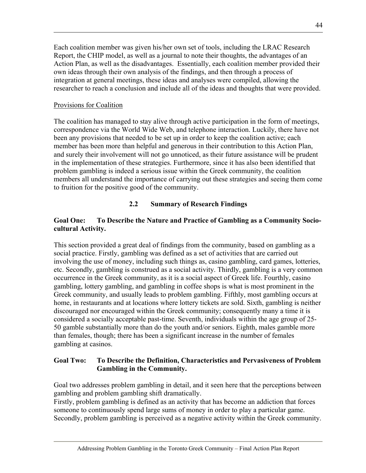Each coalition member was given his/her own set of tools, including the LRAC Research Report, the CHIP model, as well as a journal to note their thoughts, the advantages of an Action Plan, as well as the disadvantages. Essentially, each coalition member provided their own ideas through their own analysis of the findings, and then through a process of integration at general meetings, these ideas and analyses were compiled, allowing the researcher to reach a conclusion and include all of the ideas and thoughts that were provided.

#### Provisions for Coalition

The coalition has managed to stay alive through active participation in the form of meetings, correspondence via the World Wide Web, and telephone interaction. Luckily, there have not been any provisions that needed to be set up in order to keep the coalition active; each member has been more than helpful and generous in their contribution to this Action Plan, and surely their involvement will not go unnoticed, as their future assistance will be prudent in the implementation of these strategies. Furthermore, since it has also been identified that problem gambling is indeed a serious issue within the Greek community, the coalition members all understand the importance of carrying out these strategies and seeing them come to fruition for the positive good of the community.

# **2.2 Summary of Research Findings**

## **Goal One: To Describe the Nature and Practice of Gambling as a Community Sociocultural Activity.**

This section provided a great deal of findings from the community, based on gambling as a social practice. Firstly, gambling was defined as a set of activities that are carried out involving the use of money, including such things as, casino gambling, card games, lotteries, etc. Secondly, gambling is construed as a social activity. Thirdly, gambling is a very common occurrence in the Greek community, as it is a social aspect of Greek life. Fourthly, casino gambling, lottery gambling, and gambling in coffee shops is what is most prominent in the Greek community, and usually leads to problem gambling. Fifthly, most gambling occurs at home, in restaurants and at locations where lottery tickets are sold. Sixth, gambling is neither discouraged nor encouraged within the Greek community; consequently many a time it is considered a socially acceptable past-time. Seventh, individuals within the age group of 25- 50 gamble substantially more than do the youth and/or seniors. Eighth, males gamble more than females, though; there has been a significant increase in the number of females gambling at casinos.

#### **Goal Two: To Describe the Definition, Characteristics and Pervasiveness of Problem Gambling in the Community.**

Goal two addresses problem gambling in detail, and it seen here that the perceptions between gambling and problem gambling shift dramatically.

Firstly, problem gambling is defined as an activity that has become an addiction that forces someone to continuously spend large sums of money in order to play a particular game. Secondly, problem gambling is perceived as a negative activity within the Greek community.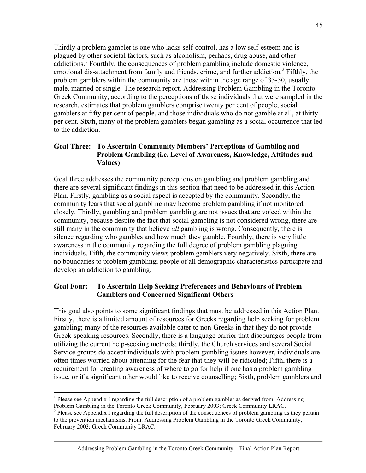Thirdly a problem gambler is one who lacks self-control, has a low self-esteem and is plagued by other societal factors, such as alcoholism, perhaps, drug abuse, and other addictions.<sup>1</sup> Fourthly, the consequences of problem gambling include domestic violence, emotional dis-attachment from family and friends, crime, and further addiction.<sup>2</sup> Fifthly, the problem gamblers within the community are those within the age range of 35-50, usually male, married or single. The research report, Addressing Problem Gambling in the Toronto Greek Community, according to the perceptions of those individuals that were sampled in the research, estimates that problem gamblers comprise twenty per cent of people, social gamblers at fifty per cent of people, and those individuals who do not gamble at all, at thirty per cent. Sixth, many of the problem gamblers began gambling as a social occurrence that led to the addiction.

#### **Goal Three: To Ascertain Community Members' Perceptions of Gambling and Problem Gambling (i.e. Level of Awareness, Knowledge, Attitudes and Values)**

Goal three addresses the community perceptions on gambling and problem gambling and there are several significant findings in this section that need to be addressed in this Action Plan. Firstly, gambling as a social aspect is accepted by the community. Secondly, the community fears that social gambling may become problem gambling if not monitored closely. Thirdly, gambling and problem gambling are not issues that are voiced within the community, because despite the fact that social gambling is not considered wrong, there are still many in the community that believe *all* gambling is wrong. Consequently, there is silence regarding who gambles and how much they gamble. Fourthly, there is very little awareness in the community regarding the full degree of problem gambling plaguing individuals. Fifth, the community views problem gamblers very negatively. Sixth, there are no boundaries to problem gambling; people of all demographic characteristics participate and develop an addiction to gambling.

#### **Goal Four: To Ascertain Help Seeking Preferences and Behaviours of Problem Gamblers and Concerned Significant Others**

This goal also points to some significant findings that must be addressed in this Action Plan. Firstly, there is a limited amount of resources for Greeks regarding help seeking for problem gambling; many of the resources available cater to non-Greeks in that they do not provide Greek-speaking resources. Secondly, there is a language barrier that discourages people from utilizing the current help-seeking methods; thirdly, the Church services and several Social Service groups do accept individuals with problem gambling issues however, individuals are often times worried about attending for the fear that they will be ridiculed; Fifth, there is a requirement for creating awareness of where to go for help if one has a problem gambling issue, or if a significant other would like to receive counselling; Sixth, problem gamblers and

 $\overline{a}$ <sup>1</sup> Please see Appendix I regarding the full description of a problem gambler as derived from: Addressing Problem Gambling in the Toronto Greek Community, February 2003; Greek Community LRAC.

 $2^2$  Please see Appendix I regarding the full description of the consequences of problem gambling as they pertain to the prevention mechanisms. From: Addressing Problem Gambling in the Toronto Greek Community, February 2003; Greek Community LRAC.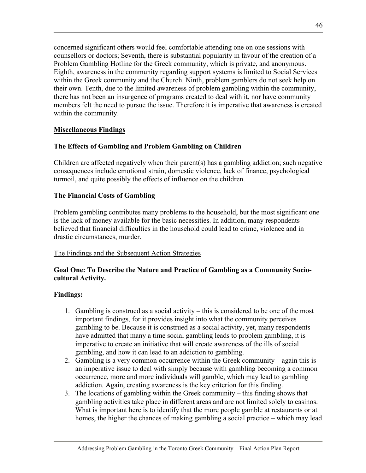concerned significant others would feel comfortable attending one on one sessions with counsellors or doctors; Seventh, there is substantial popularity in favour of the creation of a Problem Gambling Hotline for the Greek community, which is private, and anonymous. Eighth, awareness in the community regarding support systems is limited to Social Services within the Greek community and the Church. Ninth, problem gamblers do not seek help on their own. Tenth, due to the limited awareness of problem gambling within the community, there has not been an insurgence of programs created to deal with it, nor have community members felt the need to pursue the issue. Therefore it is imperative that awareness is created within the community.

#### **Miscellaneous Findings**

#### **The Effects of Gambling and Problem Gambling on Children**

Children are affected negatively when their parent(s) has a gambling addiction; such negative consequences include emotional strain, domestic violence, lack of finance, psychological turmoil, and quite possibly the effects of influence on the children.

#### **The Financial Costs of Gambling**

Problem gambling contributes many problems to the household, but the most significant one is the lack of money available for the basic necessities. In addition, many respondents believed that financial difficulties in the household could lead to crime, violence and in drastic circumstances, murder.

#### The Findings and the Subsequent Action Strategies

#### **Goal One: To Describe the Nature and Practice of Gambling as a Community Sociocultural Activity.**

#### **Findings:**

- 1. Gambling is construed as a social activity this is considered to be one of the most important findings, for it provides insight into what the community perceives gambling to be. Because it is construed as a social activity, yet, many respondents have admitted that many a time social gambling leads to problem gambling, it is imperative to create an initiative that will create awareness of the ills of social gambling, and how it can lead to an addiction to gambling.
- 2. Gambling is a very common occurrence within the Greek community again this is an imperative issue to deal with simply because with gambling becoming a common occurrence, more and more individuals will gamble, which may lead to gambling addiction. Again, creating awareness is the key criterion for this finding.
- 3. The locations of gambling within the Greek community this finding shows that gambling activities take place in different areas and are not limited solely to casinos. What is important here is to identify that the more people gamble at restaurants or at homes, the higher the chances of making gambling a social practice – which may lead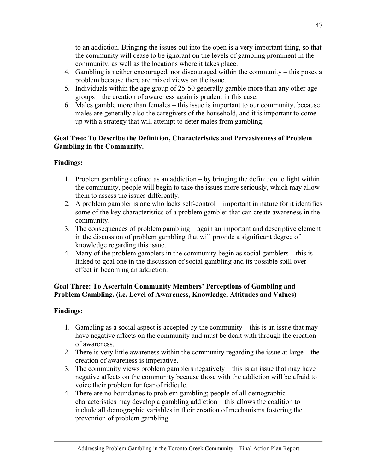to an addiction. Bringing the issues out into the open is a very important thing, so that the community will cease to be ignorant on the levels of gambling prominent in the community, as well as the locations where it takes place.

- 4. Gambling is neither encouraged, nor discouraged within the community this poses a problem because there are mixed views on the issue.
- 5. Individuals within the age group of 25-50 generally gamble more than any other age groups – the creation of awareness again is prudent in this case.
- 6. Males gamble more than females this issue is important to our community, because males are generally also the caregivers of the household, and it is important to come up with a strategy that will attempt to deter males from gambling.

## **Goal Two: To Describe the Definition, Characteristics and Pervasiveness of Problem Gambling in the Community.**

# **Findings:**

- 1. Problem gambling defined as an addiction by bringing the definition to light within the community, people will begin to take the issues more seriously, which may allow them to assess the issues differently.
- 2. A problem gambler is one who lacks self-control important in nature for it identifies some of the key characteristics of a problem gambler that can create awareness in the community.
- 3. The consequences of problem gambling again an important and descriptive element in the discussion of problem gambling that will provide a significant degree of knowledge regarding this issue.
- 4. Many of the problem gamblers in the community begin as social gamblers this is linked to goal one in the discussion of social gambling and its possible spill over effect in becoming an addiction.

#### **Goal Three: To Ascertain Community Members' Perceptions of Gambling and Problem Gambling. (i.e. Level of Awareness, Knowledge, Attitudes and Values)**

#### **Findings:**

- 1. Gambling as a social aspect is accepted by the community this is an issue that may have negative affects on the community and must be dealt with through the creation of awareness.
- 2. There is very little awareness within the community regarding the issue at large the creation of awareness is imperative.
- 3. The community views problem gamblers negatively this is an issue that may have negative affects on the community because those with the addiction will be afraid to voice their problem for fear of ridicule.
- 4. There are no boundaries to problem gambling; people of all demographic characteristics may develop a gambling addiction – this allows the coalition to include all demographic variables in their creation of mechanisms fostering the prevention of problem gambling.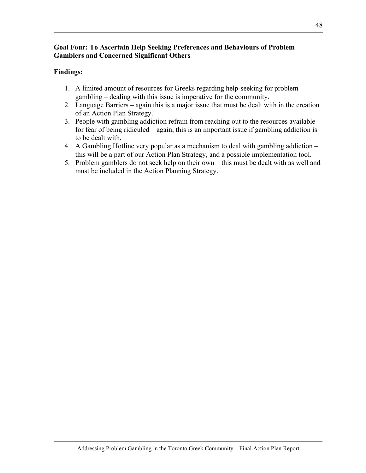#### **Goal Four: To Ascertain Help Seeking Preferences and Behaviours of Problem Gamblers and Concerned Significant Others**

#### **Findings:**

- 1. A limited amount of resources for Greeks regarding help-seeking for problem gambling – dealing with this issue is imperative for the community.
- 2. Language Barriers again this is a major issue that must be dealt with in the creation of an Action Plan Strategy.
- 3. People with gambling addiction refrain from reaching out to the resources available for fear of being ridiculed – again, this is an important issue if gambling addiction is to be dealt with.
- 4. A Gambling Hotline very popular as a mechanism to deal with gambling addiction this will be a part of our Action Plan Strategy, and a possible implementation tool.
- 5. Problem gamblers do not seek help on their own this must be dealt with as well and must be included in the Action Planning Strategy.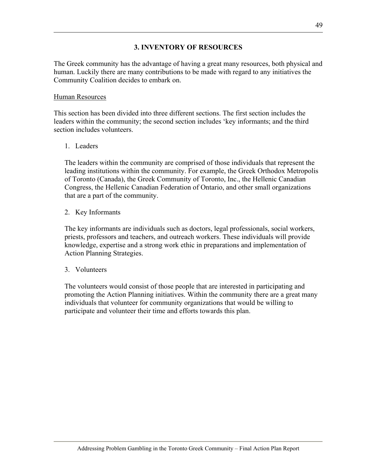#### **3. INVENTORY OF RESOURCES**

The Greek community has the advantage of having a great many resources, both physical and human. Luckily there are many contributions to be made with regard to any initiatives the Community Coalition decides to embark on.

#### Human Resources

This section has been divided into three different sections. The first section includes the leaders within the community; the second section includes 'key informants; and the third section includes volunteers.

#### 1. Leaders

The leaders within the community are comprised of those individuals that represent the leading institutions within the community. For example, the Greek Orthodox Metropolis of Toronto (Canada), the Greek Community of Toronto, Inc., the Hellenic Canadian Congress, the Hellenic Canadian Federation of Ontario, and other small organizations that are a part of the community.

2. Key Informants

The key informants are individuals such as doctors, legal professionals, social workers, priests, professors and teachers, and outreach workers. These individuals will provide knowledge, expertise and a strong work ethic in preparations and implementation of Action Planning Strategies.

#### 3. Volunteers

The volunteers would consist of those people that are interested in participating and promoting the Action Planning initiatives. Within the community there are a great many individuals that volunteer for community organizations that would be willing to participate and volunteer their time and efforts towards this plan.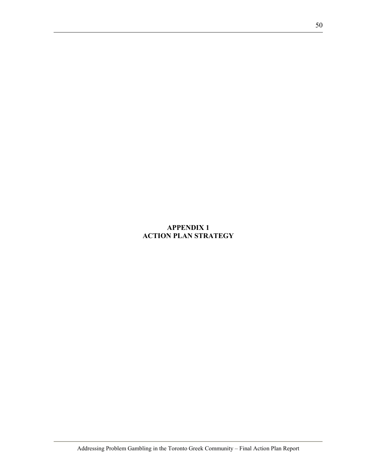# **APPENDIX 1 ACTION PLAN STRATEGY**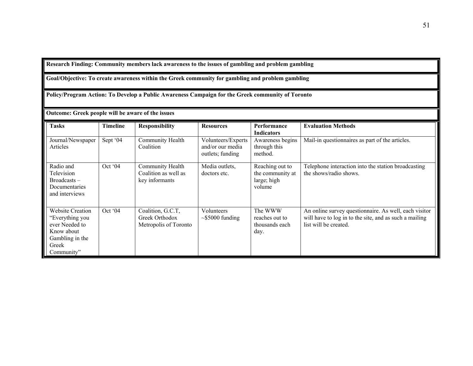#### **Research Finding: Community members lack awareness to the issues of gambling and problem gambling**

#### **Goal/Objective: To create awareness within the Greek community for gambling and problem gambling**

**Policy/Program Action: To Develop a Public Awareness Campaign for the Greek community of Toronto** 

| Outcome: Greek people will be aware of the issues                                                                    |                 |                                                              |                                                            |                                                              |                                                                                                                                          |  |  |
|----------------------------------------------------------------------------------------------------------------------|-----------------|--------------------------------------------------------------|------------------------------------------------------------|--------------------------------------------------------------|------------------------------------------------------------------------------------------------------------------------------------------|--|--|
| <b>Tasks</b>                                                                                                         | <b>Timeline</b> | <b>Responsibility</b>                                        | <b>Resources</b>                                           | <b>Performance</b><br><b>Indicators</b>                      | <b>Evaluation Methods</b>                                                                                                                |  |  |
| Journal/Newspaper<br>Articles                                                                                        | Sept '04        | Community Health<br>Coalition                                | Volunteers/Experts<br>and/or our media<br>outlets; funding | Awareness begins<br>through this<br>method.                  | Mail-in questionnaires as part of the articles.                                                                                          |  |  |
| Radio and<br>Television<br>$Broadcasts -$<br>Documentaries<br>and interviews                                         | Oct '04         | Community Health<br>Coalition as well as<br>key informants   | Media outlets,<br>doctors etc.                             | Reaching out to<br>the community at<br>large; high<br>volume | Telephone interaction into the station broadcasting<br>the shows/radio shows.                                                            |  |  |
| <b>Website Creation</b><br>"Everything you<br>ever Needed to<br>Know about<br>Gambling in the<br>Greek<br>Community" | Oct '04         | Coalition, G.C.T,<br>Greek Orthodox<br>Metropolis of Toronto | Volunteers<br>$\sim$ \$5000 funding                        | The WWW<br>reaches out to<br>thousands each<br>day.          | An online survey questionnaire. As well, each visitor<br>will have to log in to the site, and as such a mailing<br>list will be created. |  |  |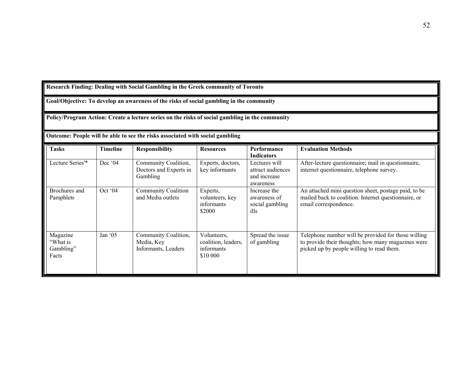**Research Finding: Dealing with Social Gambling in the Greek community of Toronto** 

**Goal/Objective: To develop an awareness of the risks of social gambling in the community** 

**Policy/Program Action: Create a lecture series on the risks of social gambling in the community** 

**Outcome: People will be able to see the risks associated with social gambling** 

|                                            |                 | o attomet i copie win oc aoie to see the rishs associated with social gambining |                                                              |                                                                 |                                                                                                                                                        |
|--------------------------------------------|-----------------|---------------------------------------------------------------------------------|--------------------------------------------------------------|-----------------------------------------------------------------|--------------------------------------------------------------------------------------------------------------------------------------------------------|
| <b>Tasks</b>                               | <b>Timeline</b> | <b>Responsibility</b>                                                           | <b>Resources</b>                                             | Performance<br><b>Indicators</b>                                | <b>Evaluation Methods</b>                                                                                                                              |
| Lecture Series'*                           | Dec '04         | Community Coalition,<br>Doctors and Experts in<br>Gambling                      | Experts, doctors,<br>key informants                          | Lectures will<br>attract audiences<br>and increase<br>awareness | After-lecture questionnaire; mail in questionnaire,<br>internet questionnaire, telephone survey.                                                       |
| Brochures and<br>Pamphlets                 | Oct '04         | <b>Community Coalition</b><br>and Media outlets                                 | Experts,<br>volunteers, key<br>informants<br>\$2000          | Increase the<br>awareness of<br>social gambling<br>ills         | An attached mini question sheet, postage paid, to be<br>mailed back to coalition. Internet questionnaire, or<br>email correspondence.                  |
| Magazine<br>"What is<br>Gambling"<br>Facts | Jan $05$        | Community Coalition,<br>Media, Key<br>Informants, Leaders                       | Volunteers,<br>coalition, leaders,<br>informants<br>\$10 000 | Spread the issue<br>of gambling                                 | Telephone number will be provided for those willing<br>to provide their thoughts; how many magazines were<br>picked up by people willing to read them. |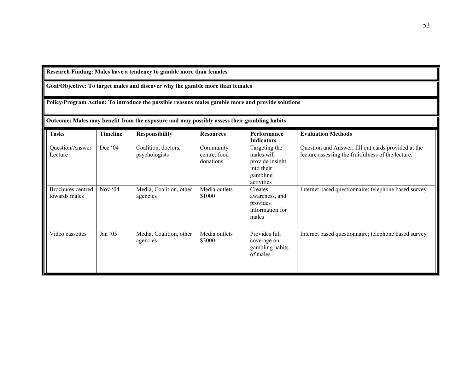**Research Finding: Males have a tendency to gamble more than females** 

**Goal/Objective: To target males and discover why the gamble more than females** 

**Policy/Program Action: To introduce the possible reasons males gamble more and provide solutions** 

**Outcome: Males may benefit from the exposure and may possibly assess their gambling habits** 

| <b>Tasks</b>                       | <b>Timeline</b> | <b>Responsibility</b>                | <b>Resources</b>                       | Performance<br><b>Indicators</b>                                                       | <b>Evaluation Methods</b>                                                                                 |
|------------------------------------|-----------------|--------------------------------------|----------------------------------------|----------------------------------------------------------------------------------------|-----------------------------------------------------------------------------------------------------------|
| Question/Answer<br>Lecture         | Dec '04         | Coalition, doctors,<br>psychologists | Community<br>centre; food<br>donations | Targeting the<br>males will<br>provide insight<br>into their<br>gambling<br>activities | Question and Answer; fill out cards provided at the<br>lecture assessing the fruitfulness of the lecture. |
| Brochures centred<br>towards males | Nov '04         | Media, Coalition, other<br>agencies  | Media outlets<br>\$1000                | Creates<br>awareness, and<br>provides<br>information for<br>males                      | Internet based questionnaire; telephone based survey                                                      |
| Video cassettes                    | Jan $05$        | Media, Coalition, other<br>agencies  | Media outlets<br>\$3000                | Provides full<br>coverage on<br>gambling habits<br>of males                            | Internet based questionnaire; telephone based survey                                                      |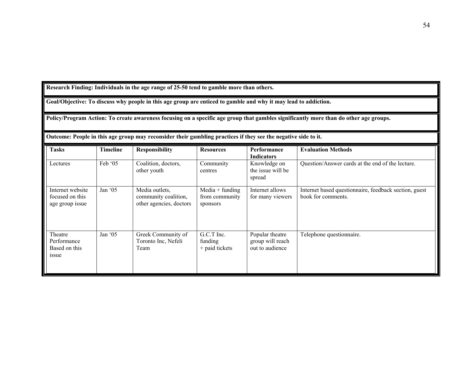**Research Finding: Individuals in the age range of 25-50 tend to gamble more than others.** 

**Goal/Objective: To discuss why people in this age group are enticed to gamble and why it may lead to addiction.** 

**Policy/Program Action: To create awareness focusing on a specific age group that gambles significantly more than do other age groups.** 

**Outcome: People in this age group may reconsider their gambling practices if they see the negative side to it.** 

| <b>Tasks</b>                                           | <b>Timeline</b> | <b>Responsibility</b>                                             | <b>Resources</b>                                | Performance<br><b>Indicators</b>                       | <b>Evaluation Methods</b>                                                   |
|--------------------------------------------------------|-----------------|-------------------------------------------------------------------|-------------------------------------------------|--------------------------------------------------------|-----------------------------------------------------------------------------|
| Lectures                                               | Feb $05$        | Coalition, doctors,<br>other youth                                | Community<br>centres                            | Knowledge on<br>the issue will be<br>spread            | Question/Answer cards at the end of the lecture.                            |
| Internet website<br>focused on this<br>age group issue | Jan '05         | Media outlets,<br>community coalition,<br>other agencies, doctors | $Media + funding$<br>from community<br>sponsors | Internet allows<br>for many viewers                    | Internet based questionnaire, feedback section, guest<br>book for comments. |
| Theatre<br>Performance<br>Based on this<br>issue       | Jan $05$        | Greek Community of<br>Toronto Inc, Nefeli<br>Team                 | G.C.T Inc.<br>funding<br>+ paid tickets         | Popular theatre<br>group will reach<br>out to audience | Telephone questionnaire.                                                    |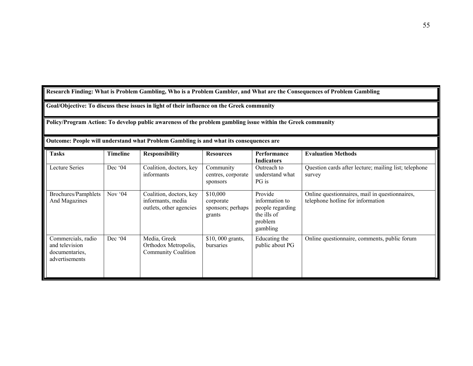**Research Finding: What is Problem Gambling, Who is a Problem Gambler, and What are the Consequences of Problem Gambling** 

**Goal/Objective: To discuss these issues in light of their influence on the Greek community** 

**Policy/Program Action: To develop public awareness of the problem gambling issue within the Greek community** 

| Outcome: People will understand what Problem Gambling is and what its consequences are |
|----------------------------------------------------------------------------------------|
|----------------------------------------------------------------------------------------|

| <b>Tasks</b>                                                             | <b>Timeline</b>   | <b>Responsibility</b>                                                   | <b>Resources</b>                                     | Performance<br><b>Indicators</b>                                                    | <b>Evaluation Methods</b>                                                           |
|--------------------------------------------------------------------------|-------------------|-------------------------------------------------------------------------|------------------------------------------------------|-------------------------------------------------------------------------------------|-------------------------------------------------------------------------------------|
| Lecture Series                                                           | Dec $^{\circ}$ 04 | Coalition, doctors, key<br>informants                                   | Community<br>centres, corporate<br>sponsors          | Outreach to<br>understand what<br>PG is                                             | Question cards after lecture; mailing list; telephone<br>survey                     |
| Brochures/Pamphlets<br>And Magazines                                     | Nov $04$          | Coalition, doctors, key<br>informants, media<br>outlets, other agencies | \$10,000<br>corporate<br>sponsors; perhaps<br>grants | Provide<br>information to<br>people regarding<br>the ills of<br>problem<br>gambling | Online questionnaires, mail in questionnaires,<br>telephone hotline for information |
| Commercials, radio<br>and television<br>documentaries,<br>advertisements | Dec $^{\circ}$ 04 | Media, Greek<br>Orthodox Metropolis,<br><b>Community Coalition</b>      | $$10,000$ grants,<br>bursaries                       | Educating the<br>public about PG                                                    | Online questionnaire, comments, public forum                                        |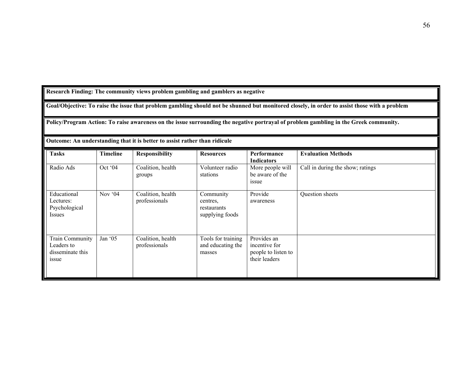**Research Finding: The community views problem gambling and gamblers as negative** 

**Goal/Objective: To raise the issue that problem gambling should not be shunned but monitored closely, in order to assist those with a problem** 

**Policy/Program Action: To raise awareness on the issue surrounding the negative portrayal of problem gambling in the Greek community.** 

| <b>Tasks</b>                                               | Timeline | <b>Responsibility</b>              | <b>Resources</b>                                        | Performance<br><b>Indicators</b>                                     | <b>Evaluation Methods</b>        |
|------------------------------------------------------------|----------|------------------------------------|---------------------------------------------------------|----------------------------------------------------------------------|----------------------------------|
| Radio Ads                                                  | Oct '04  | Coalition, health<br>groups        | Volunteer radio<br>stations                             | More people will<br>be aware of the<br><i>issue</i>                  | Call in during the show; ratings |
| Educational<br>Lectures:<br>Psychological<br>Issues        | Nov $04$ | Coalition, health<br>professionals | Community<br>centres,<br>restaurants<br>supplying foods | Provide<br>awareness                                                 | Question sheets                  |
| Train Community<br>Leaders to<br>disseminate this<br>issue | Jan '05  | Coalition, health<br>professionals | Tools for training<br>and educating the<br>masses       | Provides an<br>incentive for<br>people to listen to<br>their leaders |                                  |

**Outcome: An understanding that it is better to assist rather than ridicule**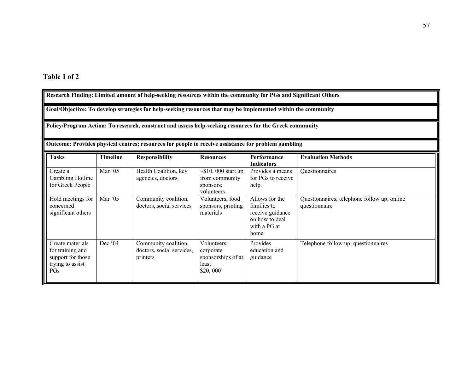| Research Finding: Limited amount of help-seeking resources within the community for PGs and Significant Others |                                                                                                     |                                                               |                                                                        |                                                                                             |                                                              |
|----------------------------------------------------------------------------------------------------------------|-----------------------------------------------------------------------------------------------------|---------------------------------------------------------------|------------------------------------------------------------------------|---------------------------------------------------------------------------------------------|--------------------------------------------------------------|
| Goal/Objective: To develop strategies for help-seeking resources that may be implemented within the community  |                                                                                                     |                                                               |                                                                        |                                                                                             |                                                              |
| Policy/Program Action: To research, construct and assess help-seeking resources for the Greek community        |                                                                                                     |                                                               |                                                                        |                                                                                             |                                                              |
|                                                                                                                | Outcome: Provides physical centres; resources for people to receive assistance for problem gambling |                                                               |                                                                        |                                                                                             |                                                              |
| <b>Tasks</b>                                                                                                   | <b>Timeline</b>                                                                                     | <b>Responsibility</b>                                         | <b>Resources</b>                                                       | Performance<br><b>Indicators</b>                                                            | <b>Evaluation Methods</b>                                    |
| Create a<br><b>Gambling Hotline</b><br>for Greek People                                                        | Mar '05                                                                                             | Health Coalition, key<br>agencies, doctors                    | $\sim$ \$10, 000 start up<br>from community<br>sponsors;<br>volunteers | Provides a means<br>for PGs to receive<br>help.                                             | Questionnaires                                               |
| Hold meetings for<br>concerned<br>significant others                                                           | Mar '05                                                                                             | Community coalition,<br>doctors, social services              | Volunteers, food<br>sponsors, printing<br>materials                    | Allows for the<br>families to<br>receive guidance<br>on how to deal<br>with a PG at<br>home | Questionnaires; telephone follow up; online<br>questionnaire |
| Create materials<br>for training and<br>support for those<br>trying to assist<br>PGs                           | Dec '04                                                                                             | Community coalition,<br>doctors, social services,<br>printers | Volunteers,<br>corporate<br>sponsorships of at<br>least<br>\$20,000    | Provides<br>education and<br>guidance                                                       | Telephone follow up; questionnaires                          |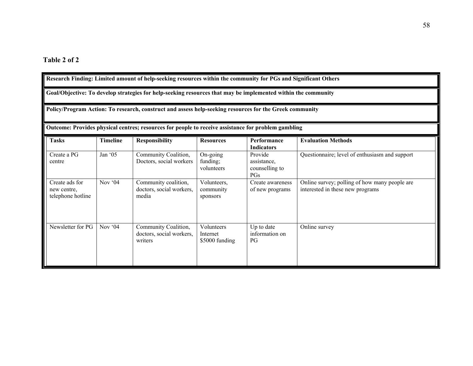| Research Finding: Limited amount of help-seeking resources within the community for PGs and Significant Others                                                                                                           |                 |                                                             |                                          |                                                 |                                                                                   |
|--------------------------------------------------------------------------------------------------------------------------------------------------------------------------------------------------------------------------|-----------------|-------------------------------------------------------------|------------------------------------------|-------------------------------------------------|-----------------------------------------------------------------------------------|
| Goal/Objective: To develop strategies for help-seeking resources that may be implemented within the community<br>Policy/Program Action: To research, construct and assess help-seeking resources for the Greek community |                 |                                                             |                                          |                                                 |                                                                                   |
|                                                                                                                                                                                                                          |                 |                                                             |                                          |                                                 |                                                                                   |
| <b>Tasks</b>                                                                                                                                                                                                             | <b>Timeline</b> | <b>Responsibility</b>                                       | <b>Resources</b>                         | Performance<br><b>Indicators</b>                | <b>Evaluation Methods</b>                                                         |
| Create a PG<br>centre                                                                                                                                                                                                    | Jan '05         | Community Coalition,<br>Doctors, social workers             | On-going<br>funding;<br>volunteers       | Provide<br>assistance.<br>counselling to<br>PGs | Questionnaire; level of enthusiasm and support                                    |
| Create ads for<br>new centre,<br>telephone hotline                                                                                                                                                                       | Nov '04         | Community coalition,<br>doctors, social workers,<br>media   | Volunteers,<br>community<br>sponsors     | Create awareness<br>of new programs             | Online survey; polling of how many people are<br>interested in these new programs |
| Newsletter for PG                                                                                                                                                                                                        | Nov $64$        | Community Coalition,<br>doctors, social workers,<br>writers | Volunteers<br>Internet<br>\$5000 funding | Up to date<br>information on<br>$P$ G           | Online survey                                                                     |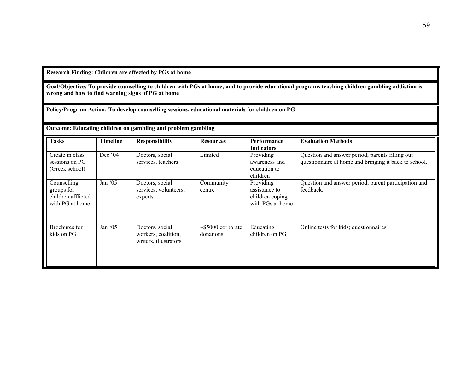**Research Finding: Children are affected by PGs at home** 

**Goal/Objective: To provide counselling to children with PGs at home; and to provide educational programs teaching children gambling addiction is wrong and how to find warning signs of PG at home** 

**Policy/Program Action: To develop counselling sessions, educational materials for children on PG** 

#### **Outcome: Educating children on gambling and problem gambling**

| <b>Tasks</b>                                                       | <b>Timeline</b> | <b>Responsibility</b>                                           | <b>Resources</b>                     | Performance<br><b>Indicators</b>                                  | <b>Evaluation Methods</b>                                                                                |
|--------------------------------------------------------------------|-----------------|-----------------------------------------------------------------|--------------------------------------|-------------------------------------------------------------------|----------------------------------------------------------------------------------------------------------|
| Create in class<br>sessions on PG<br>(Greek school)                | Dec '04         | Doctors, social<br>services, teachers                           | Limited                              | Providing<br>awareness and<br>education to<br>children            | Question and answer period; parents filling out<br>questionnaire at home and bringing it back to school. |
| Counselling<br>groups for<br>children afflicted<br>with PG at home | Jan '05         | Doctors, social<br>services, volunteers,<br>experts             | Community<br>centre                  | Providing<br>assistance to<br>children coping<br>with PGs at home | Question and answer period; parent participation and<br>feedback.                                        |
| Brochures for<br>kids on PG                                        | Jan '05         | Doctors, social<br>workers, coalition,<br>writers, illustrators | $\sim$ \$5000 corporate<br>donations | Educating<br>children on PG                                       | Online tests for kids; questionnaires                                                                    |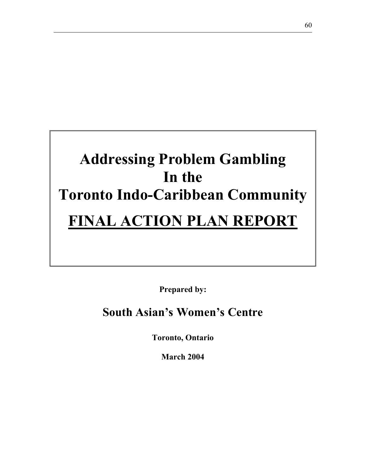# **Addressing Problem Gambling In the Toronto Indo-Caribbean Community FINAL ACTION PLAN REPORT**

**Prepared by:** 

# **South Asian's Women's Centre**

**Toronto, Ontario** 

**March 2004**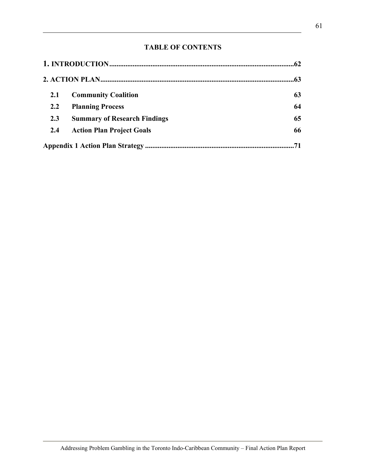# **TABLE OF CONTENTS**

| .62 |                                     |     |  |
|-----|-------------------------------------|-----|--|
|     |                                     | .63 |  |
| 2.1 | <b>Community Coalition</b>          | 63  |  |
| 2.2 | <b>Planning Process</b>             | 64  |  |
| 2.3 | <b>Summary of Research Findings</b> | 65  |  |
| 2.4 | <b>Action Plan Project Goals</b>    | 66  |  |
|     |                                     |     |  |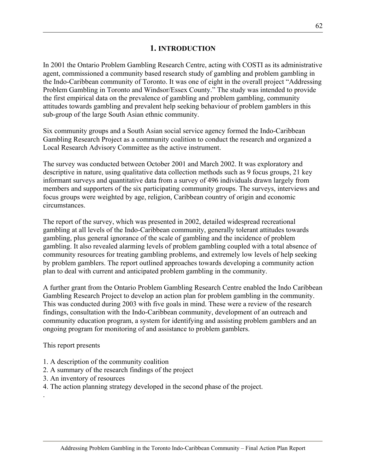## **1. INTRODUCTION**

In 2001 the Ontario Problem Gambling Research Centre, acting with COSTI as its administrative agent, commissioned a community based research study of gambling and problem gambling in the Indo-Caribbean community of Toronto. It was one of eight in the overall project "Addressing Problem Gambling in Toronto and Windsor/Essex County." The study was intended to provide the first empirical data on the prevalence of gambling and problem gambling, community attitudes towards gambling and prevalent help seeking behaviour of problem gamblers in this sub-group of the large South Asian ethnic community.

Six community groups and a South Asian social service agency formed the Indo-Caribbean Gambling Research Project as a community coalition to conduct the research and organized a Local Research Advisory Committee as the active instrument.

The survey was conducted between October 2001 and March 2002. It was exploratory and descriptive in nature, using qualitative data collection methods such as 9 focus groups, 21 key informant surveys and quantitative data from a survey of 496 individuals drawn largely from members and supporters of the six participating community groups. The surveys, interviews and focus groups were weighted by age, religion, Caribbean country of origin and economic circumstances.

The report of the survey, which was presented in 2002, detailed widespread recreational gambling at all levels of the Indo-Caribbean community, generally tolerant attitudes towards gambling, plus general ignorance of the scale of gambling and the incidence of problem gambling. It also revealed alarming levels of problem gambling coupled with a total absence of community resources for treating gambling problems, and extremely low levels of help seeking by problem gamblers. The report outlined approaches towards developing a community action plan to deal with current and anticipated problem gambling in the community.

A further grant from the Ontario Problem Gambling Research Centre enabled the Indo Caribbean Gambling Research Project to develop an action plan for problem gambling in the community. This was conducted during 2003 with five goals in mind. These were a review of the research findings, consultation with the Indo-Caribbean community, development of an outreach and community education program, a system for identifying and assisting problem gamblers and an ongoing program for monitoring of and assistance to problem gamblers.

This report presents

.

- 1. A description of the community coalition
- 2. A summary of the research findings of the project
- 3. An inventory of resources
- 4. The action planning strategy developed in the second phase of the project.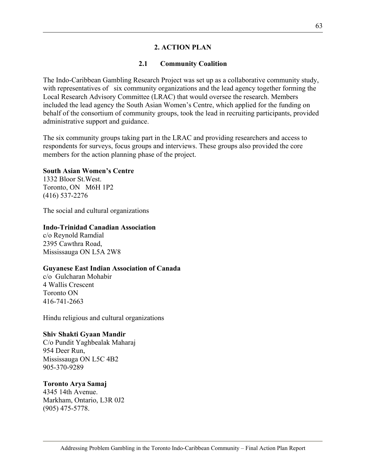#### **2. ACTION PLAN**

#### **2.1 Community Coalition**

The Indo-Caribbean Gambling Research Project was set up as a collaborative community study, with representatives of six community organizations and the lead agency together forming the Local Research Advisory Committee (LRAC) that would oversee the research. Members included the lead agency the South Asian Women's Centre, which applied for the funding on behalf of the consortium of community groups, took the lead in recruiting participants, provided administrative support and guidance.

The six community groups taking part in the LRAC and providing researchers and access to respondents for surveys, focus groups and interviews. These groups also provided the core members for the action planning phase of the project.

#### **South Asian Women's Centre**

1332 Bloor St.West. Toronto, ON M6H 1P2 (416) 537-2276

The social and cultural organizations

#### **Indo-Trinidad Canadian Association**

c/o Reynold Ramdial 2395 Cawthra Road, Mississauga ON L5A 2W8

#### **Guyanese East Indian Association of Canada**

c/o Gulcharan Mohabir 4 Wallis Crescent Toronto ON 416-741-2663

Hindu religious and cultural organizations

#### **Shiv Shakti Gyaan Mandir**

C/o Pundit Yaghbealak Maharaj 954 Deer Run, Mississauga ON L5C 4B2 905-370-9289

#### **Toronto Arya Samaj**

4345 14th Avenue. Markham, Ontario, L3R 0J2 (905) 475-5778.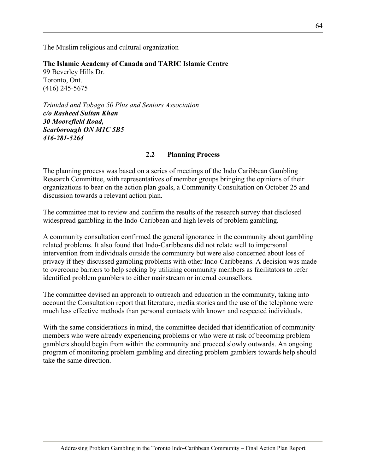The Muslim religious and cultural organization

**The Islamic Academy of Canada and TARIC Islamic Centre** 99 Beverley Hills Dr. Toronto, Ont. (416) 245-5675

*Trinidad and Tobago 50 Plus and Seniors Association c/o Rasheed Sultan Khan 30 Moorefield Road, Scarborough ON M1C 5B5 416-281-5264* 

#### **2.2 Planning Process**

The planning process was based on a series of meetings of the Indo Caribbean Gambling Research Committee, with representatives of member groups bringing the opinions of their organizations to bear on the action plan goals, a Community Consultation on October 25 and discussion towards a relevant action plan.

The committee met to review and confirm the results of the research survey that disclosed widespread gambling in the Indo-Caribbean and high levels of problem gambling.

A community consultation confirmed the general ignorance in the community about gambling related problems. It also found that Indo-Caribbeans did not relate well to impersonal intervention from individuals outside the community but were also concerned about loss of privacy if they discussed gambling problems with other Indo-Caribbeans. A decision was made to overcome barriers to help seeking by utilizing community members as facilitators to refer identified problem gamblers to either mainstream or internal counsellors.

The committee devised an approach to outreach and education in the community, taking into account the Consultation report that literature, media stories and the use of the telephone were much less effective methods than personal contacts with known and respected individuals.

With the same considerations in mind, the committee decided that identification of community members who were already experiencing problems or who were at risk of becoming problem gamblers should begin from within the community and proceed slowly outwards. An ongoing program of monitoring problem gambling and directing problem gamblers towards help should take the same direction.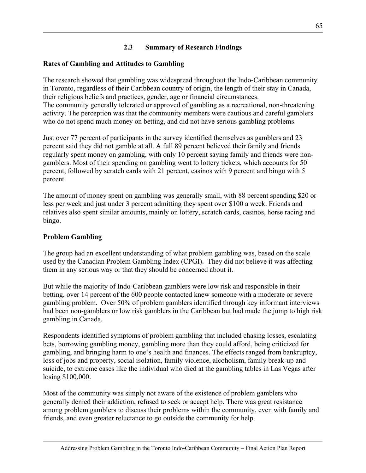# **2.3 Summary of Research Findings**

# **Rates of Gambling and Attitudes to Gambling**

The research showed that gambling was widespread throughout the Indo-Caribbean community in Toronto, regardless of their Caribbean country of origin, the length of their stay in Canada, their religious beliefs and practices, gender, age or financial circumstances. The community generally tolerated or approved of gambling as a recreational, non-threatening activity. The perception was that the community members were cautious and careful gamblers who do not spend much money on betting, and did not have serious gambling problems.

Just over 77 percent of participants in the survey identified themselves as gamblers and 23 percent said they did not gamble at all. A full 89 percent believed their family and friends regularly spent money on gambling, with only 10 percent saying family and friends were nongamblers. Most of their spending on gambling went to lottery tickets, which accounts for 50 percent, followed by scratch cards with 21 percent, casinos with 9 percent and bingo with 5 percent.

The amount of money spent on gambling was generally small, with 88 percent spending \$20 or less per week and just under 3 percent admitting they spent over \$100 a week. Friends and relatives also spent similar amounts, mainly on lottery, scratch cards, casinos, horse racing and bingo.

#### **Problem Gambling**

The group had an excellent understanding of what problem gambling was, based on the scale used by the Canadian Problem Gambling Index (CPGI). They did not believe it was affecting them in any serious way or that they should be concerned about it.

But while the majority of Indo-Caribbean gamblers were low risk and responsible in their betting, over 14 percent of the 600 people contacted knew someone with a moderate or severe gambling problem. Over 50% of problem gamblers identified through key informant interviews had been non-gamblers or low risk gamblers in the Caribbean but had made the jump to high risk gambling in Canada.

Respondents identified symptoms of problem gambling that included chasing losses, escalating bets, borrowing gambling money, gambling more than they could afford, being criticized for gambling, and bringing harm to one's health and finances. The effects ranged from bankruptcy, loss of jobs and property, social isolation, family violence, alcoholism, family break-up and suicide, to extreme cases like the individual who died at the gambling tables in Las Vegas after losing \$100,000.

Most of the community was simply not aware of the existence of problem gamblers who generally denied their addiction, refused to seek or accept help. There was great resistance among problem gamblers to discuss their problems within the community, even with family and friends, and even greater reluctance to go outside the community for help.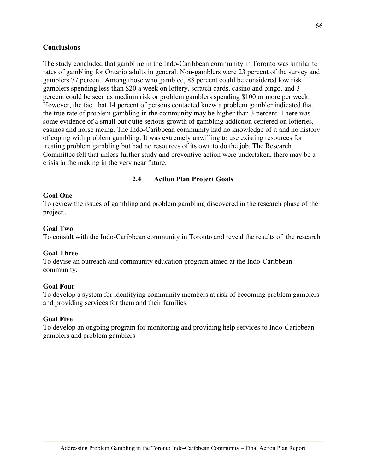#### **Conclusions**

The study concluded that gambling in the Indo-Caribbean community in Toronto was similar to rates of gambling for Ontario adults in general. Non-gamblers were 23 percent of the survey and gamblers 77 percent. Among those who gambled, 88 percent could be considered low risk gamblers spending less than \$20 a week on lottery, scratch cards, casino and bingo, and 3 percent could be seen as medium risk or problem gamblers spending \$100 or more per week. However, the fact that 14 percent of persons contacted knew a problem gambler indicated that the true rate of problem gambling in the community may be higher than 3 percent. There was some evidence of a small but quite serious growth of gambling addiction centered on lotteries, casinos and horse racing. The Indo-Caribbean community had no knowledge of it and no history of coping with problem gambling. It was extremely unwilling to use existing resources for treating problem gambling but had no resources of its own to do the job. The Research Committee felt that unless further study and preventive action were undertaken, there may be a crisis in the making in the very near future.

#### **2.4 Action Plan Project Goals**

#### **Goal One**

To review the issues of gambling and problem gambling discovered in the research phase of the project..

#### **Goal Two**

To consult with the Indo-Caribbean community in Toronto and reveal the results of the research

#### **Goal Three**

To devise an outreach and community education program aimed at the Indo-Caribbean community.

#### **Goal Four**

To develop a system for identifying community members at risk of becoming problem gamblers and providing services for them and their families.

#### **Goal Five**

To develop an ongoing program for monitoring and providing help services to Indo-Caribbean gamblers and problem gamblers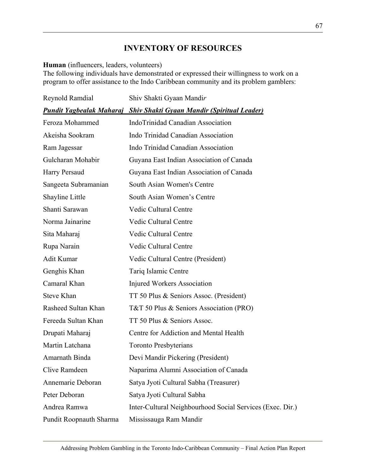# **INVENTORY OF RESOURCES**

#### **Human** (influencers, leaders, volunteers)

The following individuals have demonstrated or expressed their willingness to work on a program to offer assistance to the Indo Caribbean community and its problem gamblers:

| Reynold Ramdial         | Shiv Shakti Gyaan Mandir                                                    |  |  |
|-------------------------|-----------------------------------------------------------------------------|--|--|
|                         | <b>Pundit Yagbealak Maharaj Shiv Shakti Gyaan Mandir (Spiritual Leader)</b> |  |  |
| Feroza Mohammed         | IndoTrinidad Canadian Association                                           |  |  |
| Akeisha Sookram         | Indo Trinidad Canadian Association                                          |  |  |
| Ram Jagessar            | Indo Trinidad Canadian Association                                          |  |  |
| Gulcharan Mohabir       | Guyana East Indian Association of Canada                                    |  |  |
| Harry Persaud           | Guyana East Indian Association of Canada                                    |  |  |
| Sangeeta Subramanian    | South Asian Women's Centre                                                  |  |  |
| Shayline Little         | South Asian Women's Centre                                                  |  |  |
| Shanti Sarawan          | <b>Vedic Cultural Centre</b>                                                |  |  |
| Norma Jainarine         | <b>Vedic Cultural Centre</b>                                                |  |  |
| Sita Maharaj            | Vedic Cultural Centre                                                       |  |  |
| Rupa Narain             | Vedic Cultural Centre                                                       |  |  |
| <b>Adit Kumar</b>       | Vedic Cultural Centre (President)                                           |  |  |
| Genghis Khan            | Tariq Islamic Centre                                                        |  |  |
| Camaral Khan            | Injured Workers Association                                                 |  |  |
| <b>Steve Khan</b>       | TT 50 Plus & Seniors Assoc. (President)                                     |  |  |
| Rasheed Sultan Khan     | T&T 50 Plus & Seniors Association (PRO)                                     |  |  |
| Fereeda Sultan Khan     | TT 50 Plus & Seniors Assoc.                                                 |  |  |
| Drupati Maharaj         | Centre for Addiction and Mental Health                                      |  |  |
| Martin Latchana         | <b>Toronto Presbyterians</b>                                                |  |  |
| Amarnath Binda          | Devi Mandir Pickering (President)                                           |  |  |
| Clive Ramdeen           | Naparima Alumni Association of Canada                                       |  |  |
| Annemarie Deboran       | Satya Jyoti Cultural Sabha (Treasurer)                                      |  |  |
| Peter Deboran           | Satya Jyoti Cultural Sabha                                                  |  |  |
| Andrea Ramwa            | Inter-Cultural Neighbourhood Social Services (Exec. Dir.)                   |  |  |
| Pundit Roopnauth Sharma | Mississauga Ram Mandir                                                      |  |  |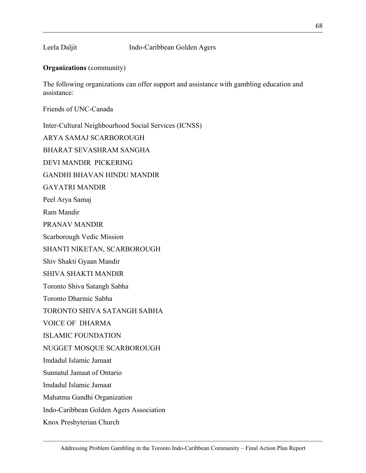#### Leela Daljit Indo-Caribbean Golden Agers

#### **Organizations** (community)

The following organizations can offer support and assistance with gambling education and assistance:

Friends of UNC-Canada

Inter-Cultural Neighbourhood Social Services (ICNSS)

ARYA SAMAJ SCARBOROUGH

BHARAT SEVASHRAM SANGHA

DEVI MANDIR PICKERING

GANDHI BHAVAN HINDU MANDIR

GAYATRI MANDIR

Peel Arya Samaj

Ram Mandir

PRANAV MANDIR

Scarborough Vedic Mission

SHANTI NIKETAN, SCARBOROUGH

Shiv Shakti Gyaan Mandir

SHIVA SHAKTI MANDIR

Toronto Shiva Satangh Sabha

Toronto Dharmic Sabha

TORONTO SHIVA SATANGH SABHA

VOICE OF DHARMA

ISLAMIC FOUNDATION

NUGGET MOSQUE SCARBOROUGH

Imdadul Islamic Jamaat

Sunnatul Jamaat of Ontario

Imdadul Islamic Jamaat

Mahatma Gandhi Organization

Indo-Caribbean Golden Agers Association

Knox Presbyterian Church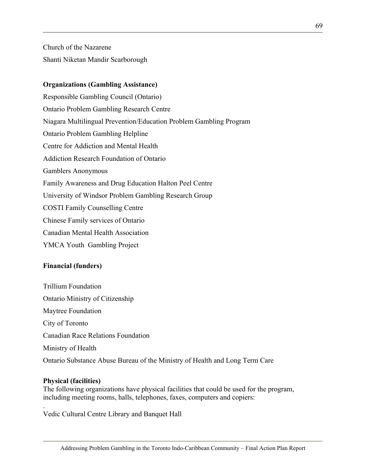Church of the Nazarene Shanti Niketan Mandir Scarborough

#### **Organizations (Gambling Assistance)**

Responsible Gambling Council (Ontario) Ontario Problem Gambling Research Centre Niagara Multilingual Prevention/Education Problem Gambling Program Ontario Problem Gambling Helpline Centre for Addiction and Mental Health Addiction Research Foundation of Ontario Gamblers Anonymous Family Awareness and Drug Education Halton Peel Centre University of Windsor Problem Gambling Research Group COSTI Family Counselling Centre Chinese Family services of Ontario Canadian Mental Health Association YMCA Youth Gambling Project

#### **Financial (funders)**

Trillium Foundation Ontario Ministry of Citizenship Maytree Foundation City of Toronto Canadian Race Relations Foundation Ministry of Health Ontario Substance Abuse Bureau of the Ministry of Health and Long Term Care

#### **Physical (facilities)**

.

The following organizations have physical facilities that could be used for the program, including meeting rooms, halls, telephones, faxes, computers and copiers:

Vedic Cultural Centre Library and Banquet Hall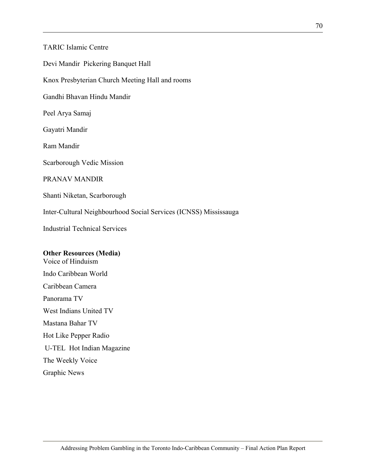TARIC Islamic Centre

Devi Mandir Pickering Banquet Hall

Knox Presbyterian Church Meeting Hall and rooms

Gandhi Bhavan Hindu Mandir

Peel Arya Samaj

Gayatri Mandir

Ram Mandir

Scarborough Vedic Mission

PRANAV MANDIR

Shanti Niketan, Scarborough

Inter-Cultural Neighbourhood Social Services (ICNSS) Mississauga

Industrial Technical Services

#### **Other Resources (Media)**

Voice of Hinduism Indo Caribbean World Caribbean Camera Panorama TV West Indians United TV Mastana Bahar TV Hot Like Pepper Radio U-TEL Hot Indian Magazine The Weekly Voice Graphic News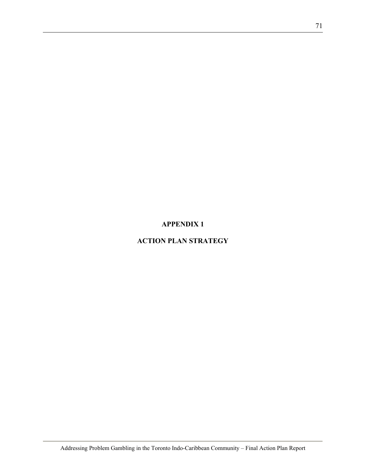#### **APPENDIX 1**

### **ACTION PLAN STRATEGY**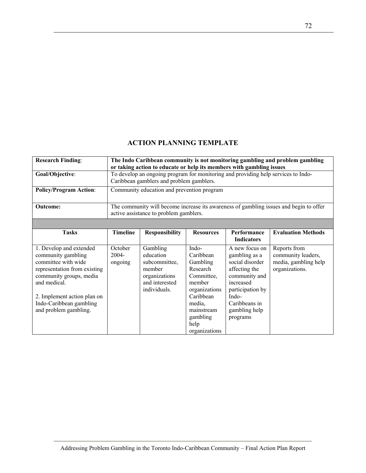#### **ACTION PLANNING TEMPLATE**

| <b>Research Finding:</b>                                                                                                                                                                                                           |                             |                                                                                                     |                                                                                                                                                               |                                                                                                                                                                              | The Indo Caribbean community is not monitoring gambling and problem gambling           |
|------------------------------------------------------------------------------------------------------------------------------------------------------------------------------------------------------------------------------------|-----------------------------|-----------------------------------------------------------------------------------------------------|---------------------------------------------------------------------------------------------------------------------------------------------------------------|------------------------------------------------------------------------------------------------------------------------------------------------------------------------------|----------------------------------------------------------------------------------------|
|                                                                                                                                                                                                                                    |                             | or taking action to educate or help its members with gambling issues                                |                                                                                                                                                               |                                                                                                                                                                              |                                                                                        |
| Goal/Objective:                                                                                                                                                                                                                    |                             | To develop an ongoing program for monitoring and providing help services to Indo-                   |                                                                                                                                                               |                                                                                                                                                                              |                                                                                        |
|                                                                                                                                                                                                                                    |                             | Caribbean gamblers and problem gamblers.                                                            |                                                                                                                                                               |                                                                                                                                                                              |                                                                                        |
| <b>Policy/Program Action:</b>                                                                                                                                                                                                      |                             | Community education and prevention program                                                          |                                                                                                                                                               |                                                                                                                                                                              |                                                                                        |
|                                                                                                                                                                                                                                    |                             |                                                                                                     |                                                                                                                                                               |                                                                                                                                                                              |                                                                                        |
| <b>Outcome:</b>                                                                                                                                                                                                                    |                             |                                                                                                     |                                                                                                                                                               |                                                                                                                                                                              | The community will become increase its awareness of gambling issues and begin to offer |
|                                                                                                                                                                                                                                    |                             | active assistance to problem gamblers.                                                              |                                                                                                                                                               |                                                                                                                                                                              |                                                                                        |
|                                                                                                                                                                                                                                    |                             |                                                                                                     |                                                                                                                                                               |                                                                                                                                                                              |                                                                                        |
| <b>Tasks</b>                                                                                                                                                                                                                       | <b>Timeline</b>             | <b>Responsibility</b>                                                                               | <b>Resources</b>                                                                                                                                              | Performance<br><b>Indicators</b>                                                                                                                                             | <b>Evaluation Methods</b>                                                              |
| 1. Develop and extended<br>community gambling<br>committee with wide<br>representation from existing<br>community groups, media<br>and medical.<br>2. Implement action plan on<br>Indo-Caribbean gambling<br>and problem gambling. | October<br>2004-<br>ongoing | Gambling<br>education<br>subcommittee,<br>member<br>organizations<br>and interested<br>individuals. | Indo-<br>Caribbean<br>Gambling<br>Research<br>Committee,<br>member<br>organizations<br>Caribbean<br>media,<br>mainstream<br>gambling<br>help<br>organizations | A new focus on<br>gambling as a<br>social disorder<br>affecting the<br>community and<br>increased<br>participation by<br>Indo-<br>Caribbeans in<br>gambling help<br>programs | Reports from<br>community leaders,<br>media, gambling help<br>organizations.           |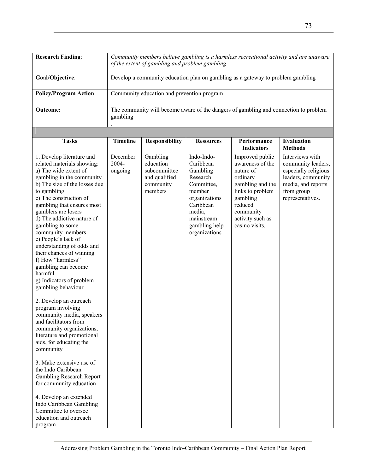| <b>Research Finding:</b>                                                                                                                                                                                                                                                                                                                                                                                                                                                                                                                                                                                                                                                                                                                                                                                                                                                                                                                              | Community members believe gambling is a harmless recreational activity and are unaware<br>of the extent of gambling and problem gambling |                                                                                 |                                                                                                                                                                 |                                                                                                                                                                                |                                                                                                                                             |  |
|-------------------------------------------------------------------------------------------------------------------------------------------------------------------------------------------------------------------------------------------------------------------------------------------------------------------------------------------------------------------------------------------------------------------------------------------------------------------------------------------------------------------------------------------------------------------------------------------------------------------------------------------------------------------------------------------------------------------------------------------------------------------------------------------------------------------------------------------------------------------------------------------------------------------------------------------------------|------------------------------------------------------------------------------------------------------------------------------------------|---------------------------------------------------------------------------------|-----------------------------------------------------------------------------------------------------------------------------------------------------------------|--------------------------------------------------------------------------------------------------------------------------------------------------------------------------------|---------------------------------------------------------------------------------------------------------------------------------------------|--|
| Goal/Objective:                                                                                                                                                                                                                                                                                                                                                                                                                                                                                                                                                                                                                                                                                                                                                                                                                                                                                                                                       |                                                                                                                                          | Develop a community education plan on gambling as a gateway to problem gambling |                                                                                                                                                                 |                                                                                                                                                                                |                                                                                                                                             |  |
| <b>Policy/Program Action:</b>                                                                                                                                                                                                                                                                                                                                                                                                                                                                                                                                                                                                                                                                                                                                                                                                                                                                                                                         |                                                                                                                                          | Community education and prevention program                                      |                                                                                                                                                                 |                                                                                                                                                                                |                                                                                                                                             |  |
| <b>Outcome:</b>                                                                                                                                                                                                                                                                                                                                                                                                                                                                                                                                                                                                                                                                                                                                                                                                                                                                                                                                       | gambling                                                                                                                                 |                                                                                 |                                                                                                                                                                 | The community will become aware of the dangers of gambling and connection to problem                                                                                           |                                                                                                                                             |  |
|                                                                                                                                                                                                                                                                                                                                                                                                                                                                                                                                                                                                                                                                                                                                                                                                                                                                                                                                                       |                                                                                                                                          |                                                                                 |                                                                                                                                                                 |                                                                                                                                                                                |                                                                                                                                             |  |
| <b>Tasks</b>                                                                                                                                                                                                                                                                                                                                                                                                                                                                                                                                                                                                                                                                                                                                                                                                                                                                                                                                          | <b>Timeline</b>                                                                                                                          | <b>Responsibility</b>                                                           | <b>Resources</b>                                                                                                                                                | Performance<br><b>Indicators</b>                                                                                                                                               | <b>Evaluation</b><br><b>Methods</b>                                                                                                         |  |
| 1. Develop literature and<br>related materials showing:<br>a) The wide extent of<br>gambling in the community<br>b) The size of the losses due<br>to gambling<br>c) The construction of<br>gambling that ensures most<br>gamblers are losers<br>d) The addictive nature of<br>gambling to some<br>community members<br>e) People's lack of<br>understanding of odds and<br>their chances of winning<br>f) How "harmless"<br>gambling can become<br>harmful<br>g) Indicators of problem<br>gambling behaviour<br>2. Develop an outreach<br>program involving<br>community media, speakers<br>and facilitators from<br>community organizations,<br>literature and promotional<br>aids, for educating the<br>community<br>3. Make extensive use of<br>the Indo Caribbean<br><b>Gambling Research Report</b><br>for community education<br>4. Develop an extended<br>Indo Caribbean Gambling<br>Committee to oversee<br>education and outreach<br>program | December<br>2004-<br>ongoing                                                                                                             | Gambling<br>education<br>subcommittee<br>and qualified<br>community<br>members  | Indo-Indo-<br>Caribbean<br>Gambling<br>Research<br>Committee,<br>member<br>organizations<br>Caribbean<br>media,<br>mainstream<br>gambling help<br>organizations | Improved public<br>awareness of the<br>nature of<br>ordinary<br>gambling and the<br>links to problem<br>gambling<br>reduced<br>community<br>activity such as<br>casino visits. | Interviews with<br>community leaders,<br>especially religious<br>leaders, community<br>media, and reports<br>from group<br>representatives. |  |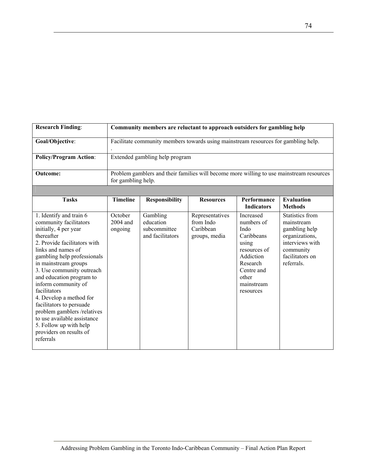| <b>Research Finding:</b>                                                                                                                                                                                                                                                                                                                                                                                                                                                                     |                                  |                                                           | Community members are reluctant to approach outsiders for gambling help            |                                                                                                                                                   |                                                                                                                                   |
|----------------------------------------------------------------------------------------------------------------------------------------------------------------------------------------------------------------------------------------------------------------------------------------------------------------------------------------------------------------------------------------------------------------------------------------------------------------------------------------------|----------------------------------|-----------------------------------------------------------|------------------------------------------------------------------------------------|---------------------------------------------------------------------------------------------------------------------------------------------------|-----------------------------------------------------------------------------------------------------------------------------------|
| Goal/Objective:                                                                                                                                                                                                                                                                                                                                                                                                                                                                              |                                  |                                                           | Facilitate community members towards using mainstream resources for gambling help. |                                                                                                                                                   |                                                                                                                                   |
| <b>Policy/Program Action:</b>                                                                                                                                                                                                                                                                                                                                                                                                                                                                |                                  | Extended gambling help program                            |                                                                                    |                                                                                                                                                   |                                                                                                                                   |
| <b>Outcome:</b>                                                                                                                                                                                                                                                                                                                                                                                                                                                                              | for gambling help.               |                                                           |                                                                                    |                                                                                                                                                   | Problem gamblers and their families will become more willing to use mainstream resources                                          |
|                                                                                                                                                                                                                                                                                                                                                                                                                                                                                              |                                  |                                                           |                                                                                    |                                                                                                                                                   |                                                                                                                                   |
| <b>Tasks</b>                                                                                                                                                                                                                                                                                                                                                                                                                                                                                 | <b>Timeline</b>                  | <b>Responsibility</b>                                     | <b>Resources</b>                                                                   | Performance<br><b>Indicators</b>                                                                                                                  | <b>Evaluation</b><br><b>Methods</b>                                                                                               |
| 1. Identify and train 6<br>community facilitators<br>initially, 4 per year<br>thereafter<br>2. Provide facilitators with<br>links and names of<br>gambling help professionals<br>in mainstream groups<br>3. Use community outreach<br>and education program to<br>inform community of<br>facilitators<br>4. Develop a method for<br>facilitators to persuade<br>problem gamblers /relatives<br>to use available assistance<br>5. Follow up with help<br>providers on results of<br>referrals | October<br>$2004$ and<br>ongoing | Gambling<br>education<br>subcommittee<br>and facilitators | Representatives<br>from Indo<br>Caribbean<br>groups, media                         | Increased<br>numbers of<br>Indo<br>Caribbeans<br>using<br>resources of<br>Addiction<br>Research<br>Centre and<br>other<br>mainstream<br>resources | Statistics from<br>mainstream<br>gambling help<br>organizations,<br>interviews with<br>community<br>facilitators on<br>referrals. |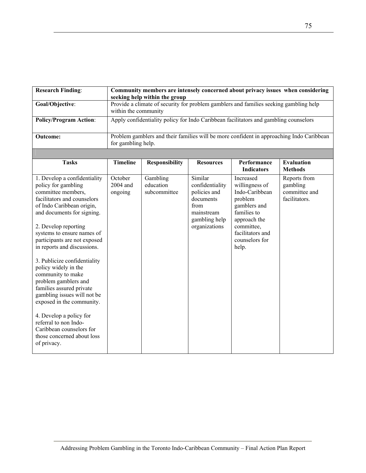| <b>Research Finding:</b>                                                                                                                                                                                                                                                                                                                                                                                                                                                                                                                                                                                           | Community members are intensely concerned about privacy issues when considering<br>seeking help within the group |                                       |                                                                                                                 |                                                                                                                                                                      |                                                                                          |
|--------------------------------------------------------------------------------------------------------------------------------------------------------------------------------------------------------------------------------------------------------------------------------------------------------------------------------------------------------------------------------------------------------------------------------------------------------------------------------------------------------------------------------------------------------------------------------------------------------------------|------------------------------------------------------------------------------------------------------------------|---------------------------------------|-----------------------------------------------------------------------------------------------------------------|----------------------------------------------------------------------------------------------------------------------------------------------------------------------|------------------------------------------------------------------------------------------|
| Goal/Objective:                                                                                                                                                                                                                                                                                                                                                                                                                                                                                                                                                                                                    | within the community                                                                                             |                                       |                                                                                                                 | Provide a climate of security for problem gamblers and families seeking gambling help                                                                                |                                                                                          |
| <b>Policy/Program Action:</b>                                                                                                                                                                                                                                                                                                                                                                                                                                                                                                                                                                                      |                                                                                                                  |                                       |                                                                                                                 | Apply confidentiality policy for Indo Caribbean facilitators and gambling counselors                                                                                 |                                                                                          |
| <b>Outcome:</b>                                                                                                                                                                                                                                                                                                                                                                                                                                                                                                                                                                                                    | for gambling help.                                                                                               |                                       |                                                                                                                 |                                                                                                                                                                      | Problem gamblers and their families will be more confident in approaching Indo Caribbean |
|                                                                                                                                                                                                                                                                                                                                                                                                                                                                                                                                                                                                                    |                                                                                                                  |                                       |                                                                                                                 |                                                                                                                                                                      |                                                                                          |
| <b>Tasks</b>                                                                                                                                                                                                                                                                                                                                                                                                                                                                                                                                                                                                       | <b>Timeline</b>                                                                                                  | <b>Responsibility</b>                 | <b>Resources</b>                                                                                                | Performance<br><b>Indicators</b>                                                                                                                                     | <b>Evaluation</b><br><b>Methods</b>                                                      |
| 1. Develop a confidentiality<br>policy for gambling<br>committee members,<br>facilitators and counselors<br>of Indo Caribbean origin,<br>and documents for signing.<br>2. Develop reporting<br>systems to ensure names of<br>participants are not exposed<br>in reports and discussions.<br>3. Publicize confidentiality<br>policy widely in the<br>community to make<br>problem gamblers and<br>families assured private<br>gambling issues will not be<br>exposed in the community.<br>4. Develop a policy for<br>referral to non Indo-<br>Caribbean counselors for<br>those concerned about loss<br>of privacy. | October<br>2004 and<br>ongoing                                                                                   | Gambling<br>education<br>subcommittee | Similar<br>confidentiality<br>policies and<br>documents<br>from<br>mainstream<br>gambling help<br>organizations | Increased<br>willingness of<br>Indo-Caribbean<br>problem<br>gamblers and<br>families to<br>approach the<br>committee,<br>facilitators and<br>counselors for<br>help. | Reports from<br>gambling<br>committee and<br>facilitators.                               |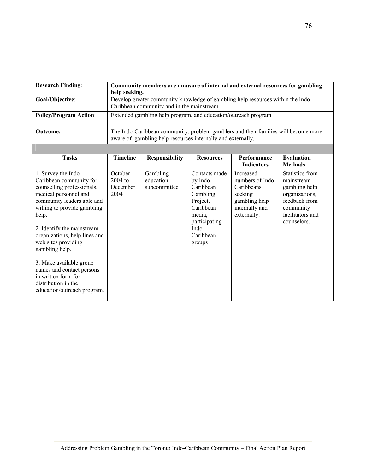| <b>Research Finding:</b>                                                                                                                                                                                                                                                                                                                                                                                                 | help seeking.                          |                                                                |                                                                                                                                      | Community members are unaware of internal and external resources for gambling                           |                                                                                                                                          |
|--------------------------------------------------------------------------------------------------------------------------------------------------------------------------------------------------------------------------------------------------------------------------------------------------------------------------------------------------------------------------------------------------------------------------|----------------------------------------|----------------------------------------------------------------|--------------------------------------------------------------------------------------------------------------------------------------|---------------------------------------------------------------------------------------------------------|------------------------------------------------------------------------------------------------------------------------------------------|
| Goal/Objective:                                                                                                                                                                                                                                                                                                                                                                                                          |                                        | Caribbean community and in the mainstream                      |                                                                                                                                      | Develop greater community knowledge of gambling help resources within the Indo-                         |                                                                                                                                          |
| <b>Policy/Program Action:</b>                                                                                                                                                                                                                                                                                                                                                                                            |                                        | Extended gambling help program, and education/outreach program |                                                                                                                                      |                                                                                                         |                                                                                                                                          |
| <b>Outcome:</b>                                                                                                                                                                                                                                                                                                                                                                                                          |                                        | aware of gambling help resources internally and externally.    |                                                                                                                                      | The Indo-Caribbean community, problem gamblers and their families will become more                      |                                                                                                                                          |
|                                                                                                                                                                                                                                                                                                                                                                                                                          |                                        |                                                                |                                                                                                                                      |                                                                                                         |                                                                                                                                          |
| <b>Tasks</b>                                                                                                                                                                                                                                                                                                                                                                                                             | <b>Timeline</b>                        | <b>Responsibility</b>                                          | <b>Resources</b>                                                                                                                     | Performance<br><b>Indicators</b>                                                                        | <b>Evaluation</b><br><b>Methods</b>                                                                                                      |
| 1. Survey the Indo-<br>Caribbean community for<br>counselling professionals,<br>medical personnel and<br>community leaders able and<br>willing to provide gambling<br>help.<br>2. Identify the mainstream<br>organizations, help lines and<br>web sites providing<br>gambling help.<br>3. Make available group<br>names and contact persons<br>in written form for<br>distribution in the<br>education/outreach program. | October<br>2004 to<br>December<br>2004 | Gambling<br>education<br>subcommittee                          | Contacts made<br>by Indo<br>Caribbean<br>Gambling<br>Project,<br>Caribbean<br>media,<br>participating<br>Indo<br>Caribbean<br>groups | Increased<br>numbers of Indo<br>Caribbeans<br>seeking<br>gambling help<br>internally and<br>externally. | <b>Statistics from</b><br>mainstream<br>gambling help<br>organizations,<br>feedback from<br>community<br>facilitators and<br>counselors. |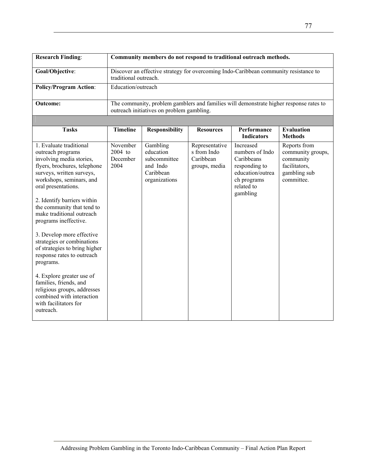| <b>Research Finding:</b>                                                                                                                                                                                                                                                                                                                                                                                                                                                                                                                                                                                    |                                         |                                                                                                               |                                                             | Community members do not respond to traditional outreach methods.                                                        |                                                                                               |
|-------------------------------------------------------------------------------------------------------------------------------------------------------------------------------------------------------------------------------------------------------------------------------------------------------------------------------------------------------------------------------------------------------------------------------------------------------------------------------------------------------------------------------------------------------------------------------------------------------------|-----------------------------------------|---------------------------------------------------------------------------------------------------------------|-------------------------------------------------------------|--------------------------------------------------------------------------------------------------------------------------|-----------------------------------------------------------------------------------------------|
| Goal/Objective:                                                                                                                                                                                                                                                                                                                                                                                                                                                                                                                                                                                             |                                         | Discover an effective strategy for overcoming Indo-Caribbean community resistance to<br>traditional outreach. |                                                             |                                                                                                                          |                                                                                               |
| <b>Policy/Program Action:</b>                                                                                                                                                                                                                                                                                                                                                                                                                                                                                                                                                                               | Education/outreach                      |                                                                                                               |                                                             |                                                                                                                          |                                                                                               |
| <b>Outcome:</b>                                                                                                                                                                                                                                                                                                                                                                                                                                                                                                                                                                                             |                                         | outreach initiatives on problem gambling.                                                                     |                                                             |                                                                                                                          | The community, problem gamblers and families will demonstrate higher response rates to        |
|                                                                                                                                                                                                                                                                                                                                                                                                                                                                                                                                                                                                             |                                         |                                                                                                               |                                                             |                                                                                                                          |                                                                                               |
| <b>Tasks</b>                                                                                                                                                                                                                                                                                                                                                                                                                                                                                                                                                                                                | <b>Timeline</b>                         | <b>Responsibility</b>                                                                                         | <b>Resources</b>                                            | Performance<br><b>Indicators</b>                                                                                         | <b>Evaluation</b><br><b>Methods</b>                                                           |
| 1. Evaluate traditional<br>outreach programs<br>involving media stories,<br>flyers, brochures, telephone<br>surveys, written surveys,<br>workshops, seminars, and<br>oral presentations.<br>2. Identify barriers within<br>the community that tend to<br>make traditional outreach<br>programs ineffective.<br>3. Develop more effective<br>strategies or combinations<br>of strategies to bring higher<br>response rates to outreach<br>programs.<br>4. Explore greater use of<br>families, friends, and<br>religious groups, addresses<br>combined with interaction<br>with facilitators for<br>outreach. | November<br>2004 to<br>December<br>2004 | Gambling<br>education<br>subcommittee<br>and Indo<br>Caribbean<br>organizations                               | Representative<br>s from Indo<br>Caribbean<br>groups, media | Increased<br>numbers of Indo<br>Caribbeans<br>responding to<br>education/outrea<br>ch programs<br>related to<br>gambling | Reports from<br>community groups,<br>community<br>facilitators,<br>gambling sub<br>committee. |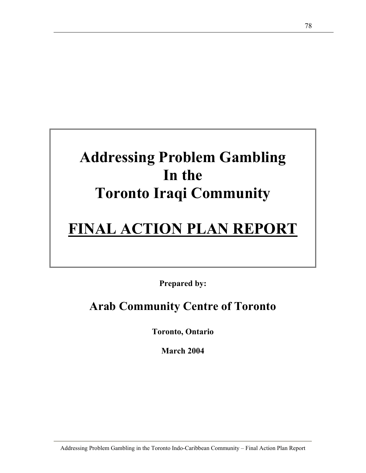# **Addressing Problem Gambling In the Toronto Iraqi Community**

# **FINAL ACTION PLAN REPORT**

**Prepared by:** 

## **Arab Community Centre of Toronto**

**Toronto, Ontario** 

**March 2004**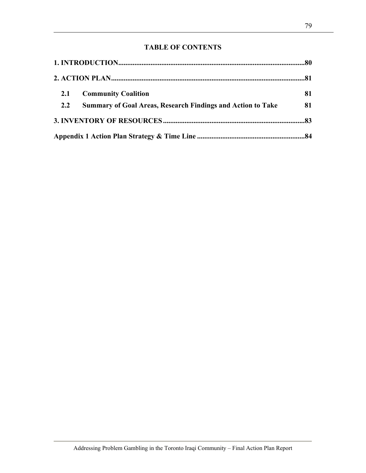### **TABLE OF CONTENTS**

| 2.1 | <b>Community Coalition</b>                                         | 81 |
|-----|--------------------------------------------------------------------|----|
| 2.2 | <b>Summary of Goal Areas, Research Findings and Action to Take</b> | 81 |
|     |                                                                    |    |
|     |                                                                    |    |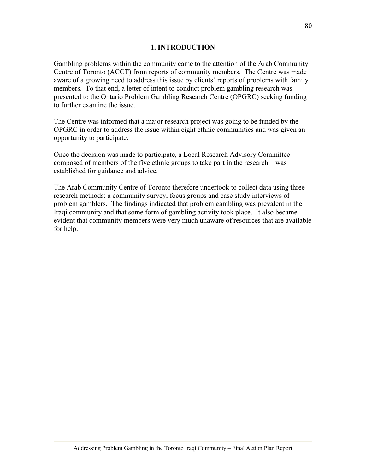#### **1. INTRODUCTION**

Gambling problems within the community came to the attention of the Arab Community Centre of Toronto (ACCT) from reports of community members. The Centre was made aware of a growing need to address this issue by clients' reports of problems with family members. To that end, a letter of intent to conduct problem gambling research was presented to the Ontario Problem Gambling Research Centre (OPGRC) seeking funding to further examine the issue.

The Centre was informed that a major research project was going to be funded by the OPGRC in order to address the issue within eight ethnic communities and was given an opportunity to participate.

Once the decision was made to participate, a Local Research Advisory Committee – composed of members of the five ethnic groups to take part in the research – was established for guidance and advice.

The Arab Community Centre of Toronto therefore undertook to collect data using three research methods: a community survey, focus groups and case study interviews of problem gamblers. The findings indicated that problem gambling was prevalent in the Iraqi community and that some form of gambling activity took place. It also became evident that community members were very much unaware of resources that are available for help.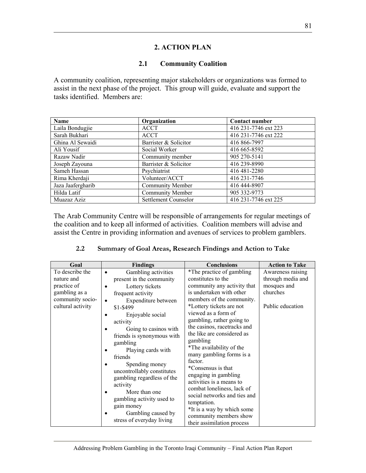#### **2. ACTION PLAN**

#### **2.1 Community Coalition**

A community coalition, representing major stakeholders or organizations was formed to assist in the next phase of the project. This group will guide, evaluate and support the tasks identified. Members are:

| <b>Name</b>       | Organization            | <b>Contact number</b> |
|-------------------|-------------------------|-----------------------|
| Laila Bondugjie   | <b>ACCT</b>             | 416 231-7746 ext 223  |
| Sarah Bukhari     | <b>ACCT</b>             | 416 231-7746 ext 222  |
| Ghina Al Sewaidi  | Barrister & Solicitor   | 416 866-7997          |
| Ali Yousif        | Social Worker           | 416 665-8592          |
| Razaw Nadir       | Community member        | 905 270-5141          |
| Joseph Zayouna    | Barrister & Solicitor   | 416 239-8990          |
| Sameh Hassan      | Psychiatrist            | 416 481-2280          |
| Rima Kherdaji     | Volunteer/ACCT          | 416 231-7746          |
| Jaza Jaafergharib | Community Member        | 416 444-8907          |
| Hilda Latif       | <b>Community Member</b> | 905 332-9773          |
| Muazaz Aziz       | Settlement Counselor    | 416 231-7746 ext 225  |

The Arab Community Centre will be responsible of arrangements for regular meetings of the coalition and to keep all informed of activities. Coalition members will advise and assist the Centre in providing information and avenues of services to problem gamblers.

| Goal              | <b>Findings</b>            | <b>Conclusions</b>           | <b>Action to Take</b> |
|-------------------|----------------------------|------------------------------|-----------------------|
| To describe the   | Gambling activities        | *The practice of gambling    | Awareness raising     |
| nature and        | present in the community   | constitutes to the           | through media and     |
| practice of       | Lottery tickets            | community any activity that  | mosques and           |
| gambling as a     | frequent activity          | is undertaken with other     | churches              |
| community socio-  | Expenditure between        | members of the community.    |                       |
| cultural activity | \$1-\$499                  | *Lottery tickets are not     | Public education      |
|                   | Enjoyable social           | viewed as a form of          |                       |
|                   | activity                   | gambling, rather going to    |                       |
|                   | Going to casinos with      | the casinos, racetracks and  |                       |
|                   | friends is synonymous with | the like are considered as   |                       |
|                   | gambling                   | gambling                     |                       |
|                   | Playing cards with         | *The availability of the     |                       |
|                   | friends                    | many gambling forms is a     |                       |
|                   | Spending money             | factor.                      |                       |
|                   | uncontrollably constitutes | *Consensus is that           |                       |
|                   | gambling regardless of the | engaging in gambling         |                       |
|                   | activity                   | activities is a means to     |                       |
|                   | More than one              | combat loneliness, lack of   |                       |
|                   | gambling activity used to  | social networks and ties and |                       |
|                   | gain money                 | temptation.                  |                       |
|                   |                            | *It is a way by which some   |                       |
|                   | Gambling caused by         | community members show       |                       |
|                   | stress of everyday living  | their assimilation process   |                       |

#### **2.2 Summary of Goal Areas, Research Findings and Action to Take**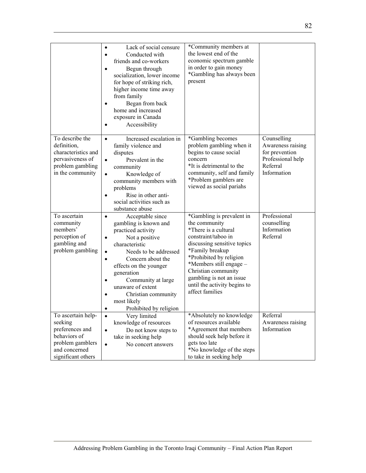|                                                                                                                             | Lack of social censure<br>$\bullet$<br>Conducted with<br>$\bullet$<br>friends and co-workers<br>Begun through<br>$\bullet$<br>socialization, lower income<br>for hope of striking rich,<br>higher income time away<br>from family<br>Began from back<br>$\bullet$<br>home and increased<br>exposure in Canada<br>Accessibility                           | *Community members at<br>the lowest end of the<br>economic spectrum gamble<br>in order to gain money<br>*Gambling has always been<br>present                                                                                                                                                            |                                                                                                    |
|-----------------------------------------------------------------------------------------------------------------------------|----------------------------------------------------------------------------------------------------------------------------------------------------------------------------------------------------------------------------------------------------------------------------------------------------------------------------------------------------------|---------------------------------------------------------------------------------------------------------------------------------------------------------------------------------------------------------------------------------------------------------------------------------------------------------|----------------------------------------------------------------------------------------------------|
| To describe the<br>definition,<br>characteristics and<br>pervasiveness of<br>problem gambling<br>in the community           | Increased escalation in<br>$\bullet$<br>family violence and<br>disputes<br>Prevalent in the<br>$\bullet$<br>community<br>Knowledge of<br>$\bullet$<br>community members with<br>problems<br>Rise in other anti-<br>social activities such as<br>substance abuse                                                                                          | *Gambling becomes<br>problem gambling when it<br>begins to cause social<br>concern<br>*It is detrimental to the<br>community, self and family<br>*Problem gamblers are<br>viewed as social pariahs                                                                                                      | Counselling<br>Awareness raising<br>for prevention<br>Professional help<br>Referral<br>Information |
| To ascertain<br>community<br>members'<br>perception of<br>gambling and<br>problem gambling                                  | Acceptable since<br>$\bullet$<br>gambling is known and<br>practiced activity<br>Not a positive<br>$\bullet$<br>characteristic<br>Needs to be addressed<br>$\bullet$<br>Concern about the<br>$\bullet$<br>effects on the younger<br>generation<br>Community at large<br>unaware of extent<br>Christian community<br>most likely<br>Prohibited by religion | *Gambling is prevalent in<br>the community<br>*There is a cultural<br>constraint/taboo in<br>discussing sensitive topics<br>*Family breakup<br>*Prohibited by religion<br>*Members still engage -<br>Christian community<br>gambling is not an issue<br>until the activity begins to<br>affect families | Professional<br>counselling<br>Information<br>Referral                                             |
| To ascertain help-<br>seeking<br>preferences and<br>behaviors of<br>problem gamblers<br>and concerned<br>significant others | Very limited<br>$\bullet$<br>knowledge of resources<br>Do not know steps to<br>$\bullet$<br>take in seeking help<br>No concert answers<br>$\bullet$                                                                                                                                                                                                      | *Absolutely no knowledge<br>of resources available<br>*Agreement that members<br>should seek help before it<br>gets too late<br>*No knowledge of the steps<br>to take in seeking help                                                                                                                   | Referral<br>Awareness raising<br>Information                                                       |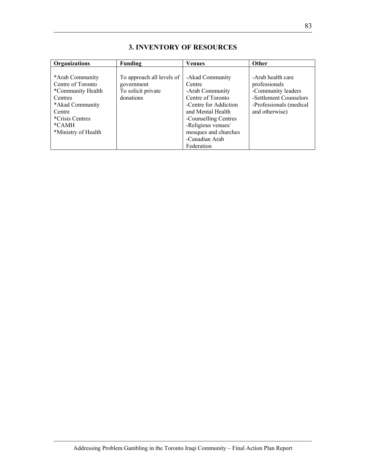| Organizations                                                                                                                                                 | Funding                                                                    | <b>Venues</b>                                                                                                                                                                                                         | <b>Other</b>                                                                                                                    |
|---------------------------------------------------------------------------------------------------------------------------------------------------------------|----------------------------------------------------------------------------|-----------------------------------------------------------------------------------------------------------------------------------------------------------------------------------------------------------------------|---------------------------------------------------------------------------------------------------------------------------------|
| *Arab Community<br>Centre of Toronto<br>*Community Health<br>Centres<br>*Akad Community<br>Centre<br><i>*Crisis Centres</i><br>$*CAMH$<br>*Ministry of Health | To approach all levels of<br>government<br>To solicit private<br>donations | -Akad Community<br>Centre<br>-Arab Community<br>Centre of Toronto<br>-Centre for Addiction<br>and Mental Health<br>-Counselling Centres<br>-Religious venues/<br>mosques and churches<br>-Canadian Arab<br>Federation | -Arab health care<br>professionals<br>-Community leaders<br>-Settlement Counselors<br>-Professionals (medical<br>and otherwise) |

### **3. INVENTORY OF RESOURCES**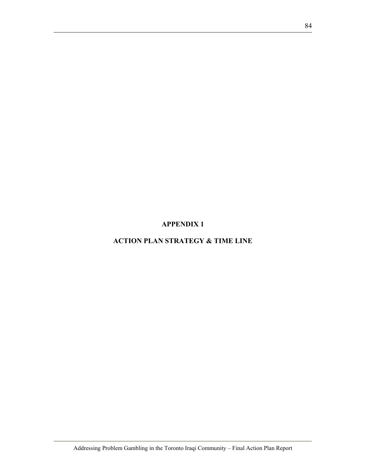**APPENDIX 1** 

**ACTION PLAN STRATEGY & TIME LINE**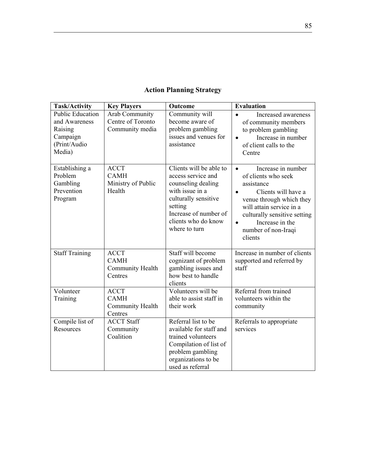|  |  |  | <b>Action Planning Strategy</b> |
|--|--|--|---------------------------------|
|--|--|--|---------------------------------|

| <b>Task/Activity</b>                                                                      | <b>Key Players</b>                                            | Outcome                                                                                                                                                                                    | <b>Evaluation</b>                                                                                                                                                                                                                                                  |
|-------------------------------------------------------------------------------------------|---------------------------------------------------------------|--------------------------------------------------------------------------------------------------------------------------------------------------------------------------------------------|--------------------------------------------------------------------------------------------------------------------------------------------------------------------------------------------------------------------------------------------------------------------|
| <b>Public Education</b><br>and Awareness<br>Raising<br>Campaign<br>(Print/Audio<br>Media) | <b>Arab Community</b><br>Centre of Toronto<br>Community media | Community will<br>become aware of<br>problem gambling<br>issues and venues for<br>assistance                                                                                               | Increased awareness<br>of community members<br>to problem gambling<br>Increase in number<br>$\bullet$<br>of client calls to the<br>Centre                                                                                                                          |
| Establishing a<br>Problem<br>Gambling<br>Prevention<br>Program                            | <b>ACCT</b><br><b>CAMH</b><br>Ministry of Public<br>Health    | Clients will be able to<br>access service and<br>counseling dealing<br>with issue in a<br>culturally sensitive<br>setting<br>Increase of number of<br>clients who do know<br>where to turn | Increase in number<br>$\bullet$<br>of clients who seek<br>assistance<br>Clients will have a<br>$\bullet$<br>venue through which they<br>will attain service in a<br>culturally sensitive setting<br>Increase in the<br>$\bullet$<br>number of non-Iraqi<br>clients |
| <b>Staff Training</b>                                                                     | <b>ACCT</b><br><b>CAMH</b><br>Community Health<br>Centres     | Staff will become<br>cognizant of problem<br>gambling issues and<br>how best to handle<br>clients                                                                                          | Increase in number of clients<br>supported and referred by<br>staff                                                                                                                                                                                                |
| Volunteer<br>Training                                                                     | <b>ACCT</b><br><b>CAMH</b><br>Community Health<br>Centres     | Volunteers will be<br>able to assist staff in<br>their work                                                                                                                                | Referral from trained<br>volunteers within the<br>community                                                                                                                                                                                                        |
| Compile list of<br>Resources                                                              | <b>ACCT Staff</b><br>Community<br>Coalition                   | Referral list to be<br>available for staff and<br>trained volunteers<br>Compilation of list of<br>problem gambling<br>organizations to be<br>used as referral                              | Referrals to appropriate<br>services                                                                                                                                                                                                                               |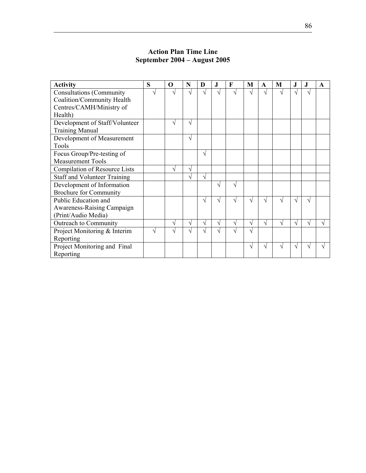| <b>Activity</b>                     | S | O | N | D | J. | F          | M  | A | M | J.       | J. | $\mathbf A$ |
|-------------------------------------|---|---|---|---|----|------------|----|---|---|----------|----|-------------|
| <b>Consultations (Community)</b>    |   |   |   |   |    |            | اد |   |   |          |    |             |
| Coalition/Community Health          |   |   |   |   |    |            |    |   |   |          |    |             |
| Centres/CAMH/Ministry of            |   |   |   |   |    |            |    |   |   |          |    |             |
| Health)                             |   |   |   |   |    |            |    |   |   |          |    |             |
| Development of Staff/Volunteer      |   | ٦ | V |   |    |            |    |   |   |          |    |             |
| <b>Training Manual</b>              |   |   |   |   |    |            |    |   |   |          |    |             |
| Development of Measurement          |   |   | V |   |    |            |    |   |   |          |    |             |
| Tools                               |   |   |   |   |    |            |    |   |   |          |    |             |
| Focus Group/Pre-testing of          |   |   |   | V |    |            |    |   |   |          |    |             |
| <b>Measurement Tools</b>            |   |   |   |   |    |            |    |   |   |          |    |             |
| Compilation of Resource Lists       |   | V | V |   |    |            |    |   |   |          |    |             |
| <b>Staff and Volunteer Training</b> |   |   |   | N |    |            |    |   |   |          |    |             |
| Development of Information          |   |   |   |   | N  | V          |    |   |   |          |    |             |
| <b>Brochure for Community</b>       |   |   |   |   |    |            |    |   |   |          |    |             |
| Public Education and                |   |   |   |   |    | اد         | V  | N | ٦ | $\gamma$ | ٦I |             |
| Awareness-Raising Campaign          |   |   |   |   |    |            |    |   |   |          |    |             |
| (Print/Audio Media)                 |   |   |   |   |    |            |    |   |   |          |    |             |
| Outreach to Community               |   | N | V | N | N  | $\sqrt{ }$ | V  | V | N | N        | V  |             |
| Project Monitoring & Interim        |   |   |   |   |    |            | V  |   |   |          |    |             |
| Reporting                           |   |   |   |   |    |            |    |   |   |          |    |             |
| Project Monitoring and Final        |   |   |   |   |    |            | V  | ٦ |   | اد       |    |             |
| Reporting                           |   |   |   |   |    |            |    |   |   |          |    |             |

#### **Action Plan Time Line September 2004 – August 2005**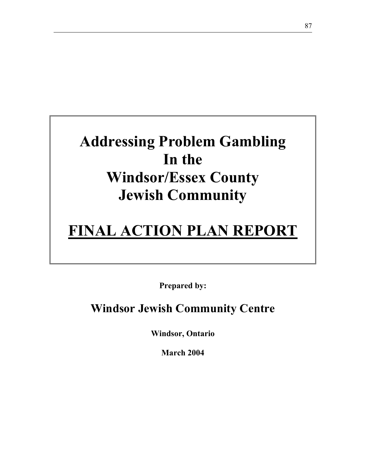# **Addressing Problem Gambling In the Windsor/Essex County Jewish Community**

# **FINAL ACTION PLAN REPORT**

**Prepared by:** 

**Windsor Jewish Community Centre** 

**Windsor, Ontario** 

**March 2004**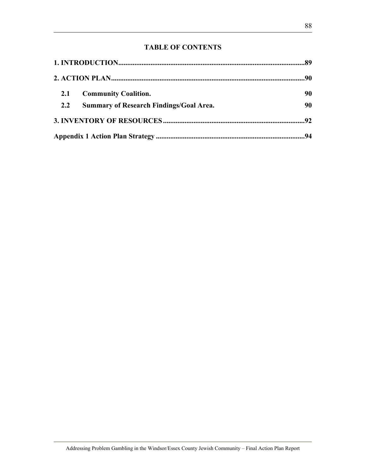### **TABLE OF CONTENTS**

| 2.1 | <b>Community Coalition.</b>                    | 90 |
|-----|------------------------------------------------|----|
| 2.2 | <b>Summary of Research Findings/Goal Area.</b> | 90 |
|     |                                                |    |
|     |                                                |    |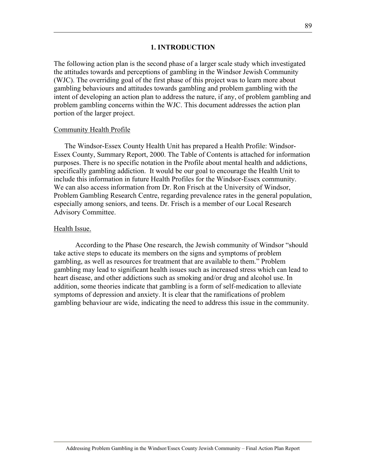#### **1. INTRODUCTION**

The following action plan is the second phase of a larger scale study which investigated the attitudes towards and perceptions of gambling in the Windsor Jewish Community (WJC). The overriding goal of the first phase of this project was to learn more about gambling behaviours and attitudes towards gambling and problem gambling with the intent of developing an action plan to address the nature, if any, of problem gambling and problem gambling concerns within the WJC. This document addresses the action plan portion of the larger project.

#### Community Health Profile

The Windsor-Essex County Health Unit has prepared a Health Profile: Windsor-Essex County, Summary Report, 2000. The Table of Contents is attached for information purposes. There is no specific notation in the Profile about mental health and addictions, specifically gambling addiction. It would be our goal to encourage the Health Unit to include this information in future Health Profiles for the Windsor-Essex community. We can also access information from Dr. Ron Frisch at the University of Windsor, Problem Gambling Research Centre, regarding prevalence rates in the general population, especially among seniors, and teens. Dr. Frisch is a member of our Local Research Advisory Committee.

#### Health Issue.

According to the Phase One research, the Jewish community of Windsor "should take active steps to educate its members on the signs and symptoms of problem gambling, as well as resources for treatment that are available to them." Problem gambling may lead to significant health issues such as increased stress which can lead to heart disease, and other addictions such as smoking and/or drug and alcohol use. In addition, some theories indicate that gambling is a form of self-medication to alleviate symptoms of depression and anxiety. It is clear that the ramifications of problem gambling behaviour are wide, indicating the need to address this issue in the community.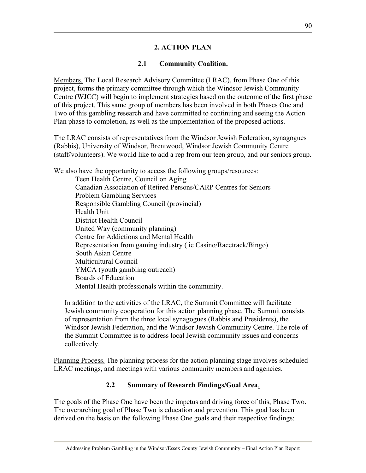#### **2. ACTION PLAN**

#### **2.1 Community Coalition.**

Members. The Local Research Advisory Committee (LRAC), from Phase One of this project, forms the primary committee through which the Windsor Jewish Community Centre (WJCC) will begin to implement strategies based on the outcome of the first phase of this project. This same group of members has been involved in both Phases One and Two of this gambling research and have committed to continuing and seeing the Action Plan phase to completion, as well as the implementation of the proposed actions.

The LRAC consists of representatives from the Windsor Jewish Federation, synagogues (Rabbis), University of Windsor, Brentwood, Windsor Jewish Community Centre (staff/volunteers). We would like to add a rep from our teen group, and our seniors group.

We also have the opportunity to access the following groups/resources:

Teen Health Centre, Council on Aging Canadian Association of Retired Persons/CARP Centres for Seniors Problem Gambling Services Responsible Gambling Council (provincial) Health Unit District Health Council United Way (community planning) Centre for Addictions and Mental Health Representation from gaming industry ( ie Casino/Racetrack/Bingo) South Asian Centre Multicultural Council YMCA (youth gambling outreach) Boards of Education Mental Health professionals within the community.

In addition to the activities of the LRAC, the Summit Committee will facilitate Jewish community cooperation for this action planning phase. The Summit consists of representation from the three local synagogues (Rabbis and Presidents), the Windsor Jewish Federation, and the Windsor Jewish Community Centre. The role of the Summit Committee is to address local Jewish community issues and concerns collectively.

Planning Process. The planning process for the action planning stage involves scheduled LRAC meetings, and meetings with various community members and agencies.

#### **2.2 Summary of Research Findings/Goal Area**.

The goals of the Phase One have been the impetus and driving force of this, Phase Two. The overarching goal of Phase Two is education and prevention. This goal has been derived on the basis on the following Phase One goals and their respective findings: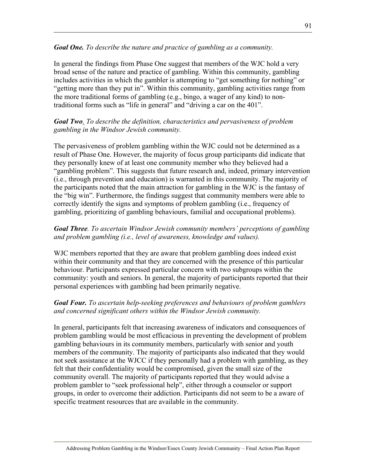#### *Goal One. To describe the nature and practice of gambling as a community.*

In general the findings from Phase One suggest that members of the WJC hold a very broad sense of the nature and practice of gambling. Within this community, gambling includes activities in which the gambler is attempting to "get something for nothing" or "getting more than they put in". Within this community, gambling activities range from the more traditional forms of gambling (e.g., bingo, a wager of any kind) to nontraditional forms such as "life in general" and "driving a car on the 401".

#### *Goal Two. To describe the definition, characteristics and pervasiveness of problem gambling in the Windsor Jewish community.*

The pervasiveness of problem gambling within the WJC could not be determined as a result of Phase One. However, the majority of focus group participants did indicate that they personally knew of at least one community member who they believed had a "gambling problem". This suggests that future research and, indeed, primary intervention (i.e., through prevention and education) is warranted in this community. The majority of the participants noted that the main attraction for gambling in the WJC is the fantasy of the "big win". Furthermore, the findings suggest that community members were able to correctly identify the signs and symptoms of problem gambling (i.e., frequency of gambling, prioritizing of gambling behaviours, familial and occupational problems).

#### *Goal Three. To ascertain Windsor Jewish community members' perceptions of gambling and problem gambling (i.e., level of awareness, knowledge and values).*

WJC members reported that they are aware that problem gambling does indeed exist within their community and that they are concerned with the presence of this particular behaviour. Participants expressed particular concern with two subgroups within the community: youth and seniors. In general, the majority of participants reported that their personal experiences with gambling had been primarily negative.

#### *Goal Four. To ascertain help-seeking preferences and behaviours of problem gamblers and concerned significant others within the Windsor Jewish community.*

In general, participants felt that increasing awareness of indicators and consequences of problem gambling would be most efficacious in preventing the development of problem gambling behaviours in its community members, particularly with senior and youth members of the community. The majority of participants also indicated that they would not seek assistance at the WJCC if they personally had a problem with gambling, as they felt that their confidentiality would be compromised, given the small size of the community overall. The majority of participants reported that they would advise a problem gambler to "seek professional help", either through a counselor or support groups, in order to overcome their addiction. Participants did not seem to be a aware of specific treatment resources that are available in the community.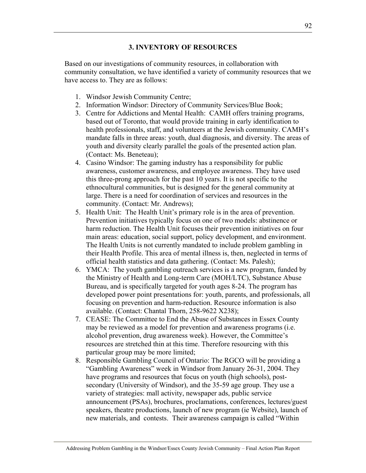#### **3. INVENTORY OF RESOURCES**

Based on our investigations of community resources, in collaboration with community consultation, we have identified a variety of community resources that we have access to. They are as follows:

- 1. Windsor Jewish Community Centre;
- 2. Information Windsor: Directory of Community Services/Blue Book;
- 3. Centre for Addictions and Mental Health: CAMH offers training programs, based out of Toronto, that would provide training in early identification to health professionals, staff, and volunteers at the Jewish community. CAMH's mandate falls in three areas: youth, dual diagnosis, and diversity. The areas of youth and diversity clearly parallel the goals of the presented action plan. (Contact: Ms. Beneteau);
- 4. Casino Windsor: The gaming industry has a responsibility for public awareness, customer awareness, and employee awareness. They have used this three-prong approach for the past 10 years. It is not specific to the ethnocultural communities, but is designed for the general community at large. There is a need for coordination of services and resources in the community. (Contact: Mr. Andrews);
- 5. Health Unit: The Health Unit's primary role is in the area of prevention. Prevention initiatives typically focus on one of two models: abstinence or harm reduction. The Health Unit focuses their prevention initiatives on four main areas: education, social support, policy development, and environment. The Health Units is not currently mandated to include problem gambling in their Health Profile. This area of mental illness is, then, neglected in terms of official health statistics and data gathering. (Contact: Ms. Palesh);
- 6. YMCA: The youth gambling outreach services is a new program, funded by the Ministry of Health and Long-term Care (MOH/LTC), Substance Abuse Bureau, and is specifically targeted for youth ages 8-24. The program has developed power point presentations for: youth, parents, and professionals, all focusing on prevention and harm-reduction. Resource information is also available. (Contact: Chantal Thorn, 258-9622 X238);
- 7. CEASE: The Committee to End the Abuse of Substances in Essex County may be reviewed as a model for prevention and awareness programs (i.e. alcohol prevention, drug awareness week). However, the Committee's resources are stretched thin at this time. Therefore resourcing with this particular group may be more limited;
- 8. Responsible Gambling Council of Ontario: The RGCO will be providing a "Gambling Awareness" week in Windsor from January 26-31, 2004. They have programs and resources that focus on youth (high schools), postsecondary (University of Windsor), and the 35-59 age group. They use a variety of strategies: mall activity, newspaper ads, public service announcement (PSAs), brochures, proclamations, conferences, lectures/guest speakers, theatre productions, launch of new program (ie Website), launch of new materials, and contests. Their awareness campaign is called "Within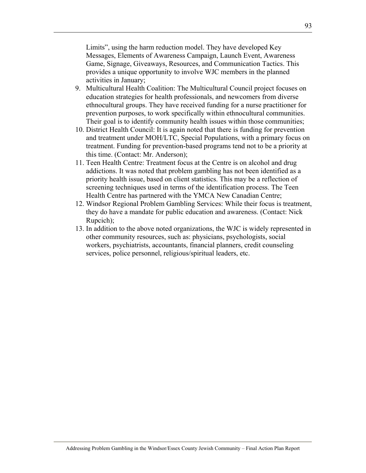Limits", using the harm reduction model. They have developed Key Messages, Elements of Awareness Campaign, Launch Event, Awareness Game, Signage, Giveaways, Resources, and Communication Tactics. This provides a unique opportunity to involve WJC members in the planned activities in January;

- 9. Multicultural Health Coalition: The Multicultural Council project focuses on education strategies for health professionals, and newcomers from diverse ethnocultural groups. They have received funding for a nurse practitioner for prevention purposes, to work specifically within ethnocultural communities. Their goal is to identify community health issues within those communities;
- 10. District Health Council: It is again noted that there is funding for prevention and treatment under MOH/LTC, Special Populations, with a primary focus on treatment. Funding for prevention-based programs tend not to be a priority at this time. (Contact: Mr. Anderson);
- 11. Teen Health Centre: Treatment focus at the Centre is on alcohol and drug addictions. It was noted that problem gambling has not been identified as a priority health issue, based on client statistics. This may be a reflection of screening techniques used in terms of the identification process. The Teen Health Centre has partnered with the YMCA New Canadian Centre;
- 12. Windsor Regional Problem Gambling Services: While their focus is treatment, they do have a mandate for public education and awareness. (Contact: Nick Rupcich);
- 13. In addition to the above noted organizations, the WJC is widely represented in other community resources, such as: physicians, psychologists, social workers, psychiatrists, accountants, financial planners, credit counseling services, police personnel, religious/spiritual leaders, etc.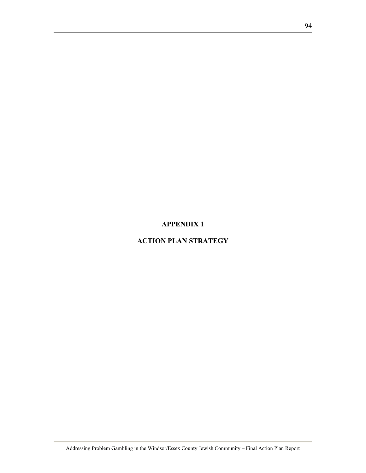#### **APPENDIX 1**

### **ACTION PLAN STRATEGY**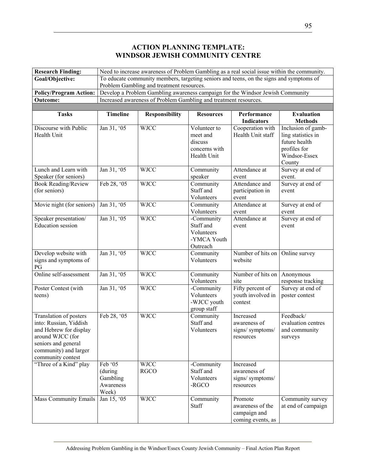#### **ACTION PLANNING TEMPLATE: WINDSOR JEWISH COMMUNITY CENTRE**

| <b>Research Finding:</b>                                                                                                                                            | Need to increase awareness of Problem Gambling as a real social issue within the community. |                                                                                         |                                                                     |                                                                  |                                                                                                      |  |  |
|---------------------------------------------------------------------------------------------------------------------------------------------------------------------|---------------------------------------------------------------------------------------------|-----------------------------------------------------------------------------------------|---------------------------------------------------------------------|------------------------------------------------------------------|------------------------------------------------------------------------------------------------------|--|--|
| Goal/Objective:                                                                                                                                                     |                                                                                             | To educate community members, targeting seniors and teens, on the signs and symptoms of |                                                                     |                                                                  |                                                                                                      |  |  |
|                                                                                                                                                                     |                                                                                             | Problem Gambling and treatment resources.                                               |                                                                     |                                                                  |                                                                                                      |  |  |
| <b>Policy/Program Action:</b>                                                                                                                                       |                                                                                             | Develop a Problem Gambling awareness campaign for the Windsor Jewish Community          |                                                                     |                                                                  |                                                                                                      |  |  |
| <b>Outcome:</b>                                                                                                                                                     |                                                                                             | Increased awareness of Problem Gambling and treatment resources.                        |                                                                     |                                                                  |                                                                                                      |  |  |
|                                                                                                                                                                     |                                                                                             |                                                                                         |                                                                     |                                                                  |                                                                                                      |  |  |
| <b>Tasks</b>                                                                                                                                                        | <b>Timeline</b>                                                                             | <b>Responsibility</b>                                                                   | <b>Resources</b>                                                    | Performance<br><b>Indicators</b>                                 | <b>Evaluation</b><br><b>Methods</b>                                                                  |  |  |
| Discourse with Public<br>Health Unit                                                                                                                                | Jan 31, '05                                                                                 | <b>WJCC</b>                                                                             | Volunteer to<br>meet and<br>discuss<br>concerns with<br>Health Unit | Cooperation with<br>Health Unit staff                            | Inclusion of gamb-<br>ling statistics in<br>future health<br>profiles for<br>Windsor-Essex<br>County |  |  |
| Lunch and Learn with                                                                                                                                                | Jan 31, '05                                                                                 | <b>WJCC</b>                                                                             | Community                                                           | Attendance at                                                    | Survey at end of                                                                                     |  |  |
| Speaker (for seniors)                                                                                                                                               |                                                                                             |                                                                                         | speaker                                                             | event                                                            | event.                                                                                               |  |  |
| <b>Book Reading/Review</b><br>(for seniors)                                                                                                                         | Feb 28, '05                                                                                 | <b>WJCC</b>                                                                             | Community<br>Staff and<br>Volunteers                                | Attendance and<br>participation in<br>event                      | Survey at end of<br>event                                                                            |  |  |
| Movie night (for seniors)                                                                                                                                           | Jan 31, '05                                                                                 | <b>WJCC</b>                                                                             | Community<br>Volunteers                                             | Attendance at<br>event                                           | Survey at end of<br>event                                                                            |  |  |
| Speaker presentation/<br><b>Education</b> session                                                                                                                   | Jan 31, '05                                                                                 | <b>WJCC</b>                                                                             | -Community<br>Staff and<br>Volunteers<br>-YMCA Youth<br>Outreach    | Attendance at<br>event                                           | Survey at end of<br>event                                                                            |  |  |
| Develop website with<br>signs and symptoms of<br>PG                                                                                                                 | Jan 31, '05                                                                                 | <b>WJCC</b>                                                                             | Community<br>Volunteers                                             | Number of hits on<br>website                                     | Online survey                                                                                        |  |  |
| Online self-assessment                                                                                                                                              | Jan 31, '05                                                                                 | <b>WJCC</b>                                                                             | Community<br>Volunteers                                             | Number of hits on<br>site                                        | Anonymous<br>response tracking                                                                       |  |  |
| Poster Contest (with<br>teens)                                                                                                                                      | Jan 31, '05                                                                                 | <b>WJCC</b>                                                                             | -Community<br>Volunteers<br>-WJCC youth<br>group staff              | Fifty percent of<br>youth involved in<br>contest                 | Survey at end of<br>poster contest                                                                   |  |  |
| Translation of posters<br>into: Russian, Yiddish<br>and Hebrew for display<br>around WJCC (for<br>seniors and general<br>community) and larger<br>community contest | Feb 28, '05                                                                                 | <b>WJCC</b>                                                                             | Community<br>Staff and<br>Volunteers                                | Increased<br>awareness of<br>signs/symptoms/<br>resources        | Feedback/<br>evaluation centres<br>and community<br>surveys                                          |  |  |
| "Three of a Kind" play                                                                                                                                              | Feb '05<br>(during<br>Gambling<br>Awareness<br>Week)                                        | <b>WJCC</b><br><b>RGCO</b>                                                              | -Community<br>Staff and<br>Volunteers<br>-RGCO                      | Increased<br>awareness of<br>signs/symptoms/<br>resources        |                                                                                                      |  |  |
| <b>Mass Community Emails</b>                                                                                                                                        | Jan 15, $\overline{05}$                                                                     | <b>WJCC</b>                                                                             | Community<br>Staff                                                  | Promote<br>awareness of the<br>campaign and<br>coming events, as | Community survey<br>at end of campaign                                                               |  |  |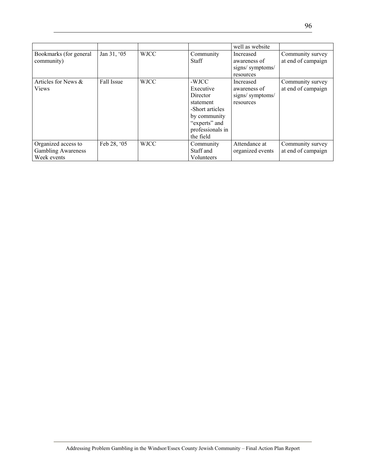|                                                                 |             |             |                                                                                                                                  | well as website                                           |                                        |
|-----------------------------------------------------------------|-------------|-------------|----------------------------------------------------------------------------------------------------------------------------------|-----------------------------------------------------------|----------------------------------------|
| Bookmarks (for general<br>community)                            | Jan 31, '05 | <b>WJCC</b> | Community<br><b>Staff</b>                                                                                                        | Increased<br>awareness of<br>signs/symptoms/<br>resources | Community survey<br>at end of campaign |
| Articles for News &<br><b>Views</b>                             | Fall Issue  | <b>WJCC</b> | -WJCC<br>Executive<br>Director<br>statement<br>-Short articles<br>by community<br>"experts" and<br>professionals in<br>the field | Increased<br>awareness of<br>signs/symptoms/<br>resources | Community survey<br>at end of campaign |
| Organized access to<br><b>Gambling Awareness</b><br>Week events | Feb 28, '05 | <b>WJCC</b> | Community<br>Staff and<br>Volunteers                                                                                             | Attendance at<br>organized events                         | Community survey<br>at end of campaign |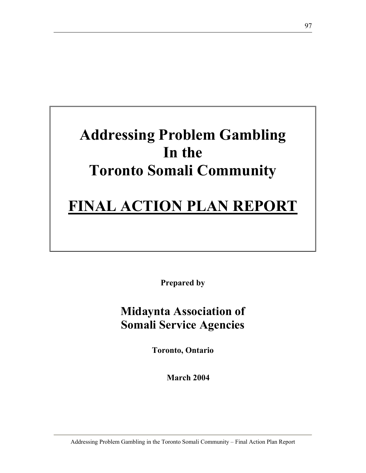# **Addressing Problem Gambling In the Toronto Somali Community**

# **FINAL ACTION PLAN REPORT**

**Prepared by** 

## **Midaynta Association of Somali Service Agencies**

**Toronto, Ontario** 

**March 2004**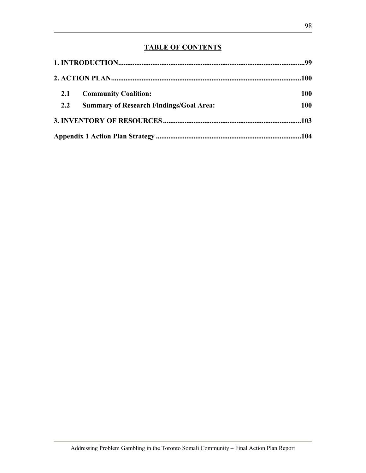### **TABLE OF CONTENTS**

| 2.1 | <b>Community Coalition:</b>                    | 100        |
|-----|------------------------------------------------|------------|
| 2.2 | <b>Summary of Research Findings/Goal Area:</b> | <b>100</b> |
|     |                                                |            |
|     |                                                |            |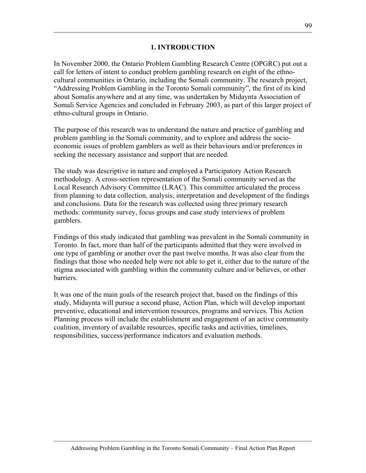#### **1. INTRODUCTION**

In November 2000, the Ontario Problem Gambling Research Centre (OPGRC) put out a call for letters of intent to conduct problem gambling research on eight of the ethnocultural communities in Ontario, including the Somali community. The research project, "Addressing Problem Gambling in the Toronto Somali community", the first of its kind about Somalis anywhere and at any time, was undertaken by Midaynta Association of Somali Service Agencies and concluded in February 2003, as part of this larger project of ethno-cultural groups in Ontario.

The purpose of this research was to understand the nature and practice of gambling and problem gambling in the Somali community, and to explore and address the socioeconomic issues of problem gamblers as well as their behaviours and/or preferences in seeking the necessary assistance and support that are needed.

The study was descriptive in nature and employed a Participatory Action Research methodology. A cross-section representation of the Somali community served as the Local Research Advisory Committee (LRAC). This committee articulated the process from planning to data collection, analysis, interpretation and development of the findings and conclusions. Data for the research was collected using three primary research methods: community survey, focus groups and case study interviews of problem gamblers.

Findings of this study indicated that gambling was prevalent in the Somali community in Toronto. In fact, more than half of the participants admitted that they were involved in one type of gambling or another over the past twelve months. It was also clear from the findings that those who needed help were not able to get it, either due to the nature of the stigma associated with gambling within the community culture and/or believes, or other barriers.

It was one of the main goals of the research project that, based on the findings of this study, Midaynta will pursue a second phase, Action Plan, which will develop important preventive, educational and intervention resources, programs and services. This Action Planning process will include the establishment and engagement of an active community coalition, inventory of available resources, specific tasks and activities, timelines, responsibilities, success/performance indicators and evaluation methods.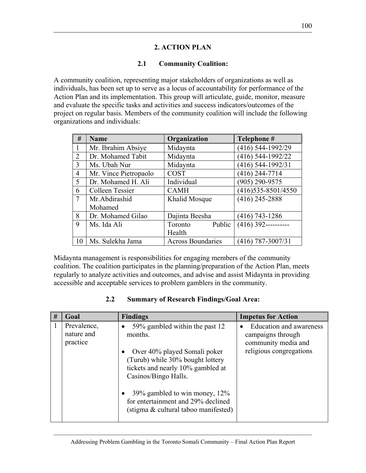#### **2. ACTION PLAN**

#### **2.1 Community Coalition:**

A community coalition, representing major stakeholders of organizations as well as individuals, has been set up to serve as a locus of accountability for performance of the Action Plan and its implementation. This group will articulate, guide, monitor, measure and evaluate the specific tasks and activities and success indicators/outcomes of the project on regular basis. Members of the community coalition will include the following organizations and individuals:

| #              | <b>Name</b>           | Organization             | Telephone #           |  |
|----------------|-----------------------|--------------------------|-----------------------|--|
|                | Mr. Ibrahim Absiye    | Midaynta                 | (416) 544-1992/29     |  |
| $\overline{2}$ | Dr. Mohamed Tabit     | Midaynta                 | (416) 544-1992/22     |  |
| 3              | Ms. Ubah Nur          | Midaynta                 | (416) 544-1992/31     |  |
| $\overline{4}$ | Mr. Vince Pietropaolo | <b>COST</b>              | $(416)$ 244-7714      |  |
| 5              | Dr. Mohamed H. Ali    | Individual               | $(905)$ 290-9575      |  |
| 6              | Colleen Tessier       | <b>CAMH</b>              | (416) 535-8501/4550   |  |
| 7              | Mr.Abdirashid         | Khalid Mosque            | $(416)$ 245-2888      |  |
|                | Mohamed               |                          |                       |  |
| 8              | Dr. Mohamed Gilao     | Dajinta Beesha           | (416) 743-1286        |  |
| 9              | Ms. Ida Ali           | Public<br>Toronto        | $(416)$ 392---------- |  |
|                |                       | Health                   |                       |  |
| 10             | Ms. Sulekha Jama      | <b>Across Boundaries</b> | $(416)$ 787-3007/31   |  |

Midaynta management is responsibilities for engaging members of the community coalition. The coalition participates in the planning/preparation of the Action Plan, meets regularly to analyze activities and outcomes, and advise and assist Midaynta in providing accessible and acceptable services to problem gamblers in the community.

#### **2.2 Summary of Research Findings/Goal Area:**

| # | Goal                                  | <b>Findings</b>                                                                                                                                                                                                                                                                              | <b>Impetus for Action</b>                                                                      |
|---|---------------------------------------|----------------------------------------------------------------------------------------------------------------------------------------------------------------------------------------------------------------------------------------------------------------------------------------------|------------------------------------------------------------------------------------------------|
|   | Prevalence,<br>nature and<br>practice | 59% gambled within the past 12<br>months.<br>Over 40% played Somali poker<br>(Turub) while 30% bought lottery<br>tickets and nearly 10% gambled at<br>Casinos/Bingo Halls.<br>39% gambled to win money, $12\%$<br>for entertainment and 29% declined<br>(stigma & cultural taboo manifested) | Education and awareness<br>campaigns through<br>community media and<br>religious congregations |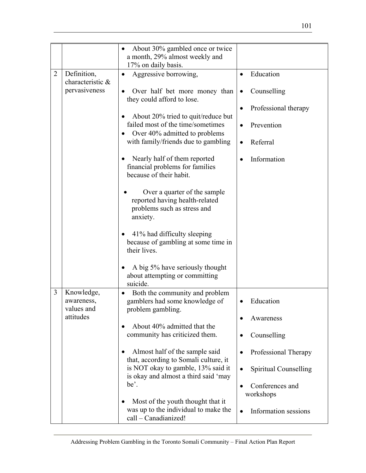|                |                                                  | About 30% gambled once or twice<br>a month, 29% almost weekly and<br>17% on daily basis.                                                                                                                                                                                                                                                                                                                |                                                                                            |
|----------------|--------------------------------------------------|---------------------------------------------------------------------------------------------------------------------------------------------------------------------------------------------------------------------------------------------------------------------------------------------------------------------------------------------------------------------------------------------------------|--------------------------------------------------------------------------------------------|
| $\overline{2}$ | Definition,<br>characteristic &<br>pervasiveness | Aggressive borrowing,<br>Over half bet more money than<br>they could afford to lose.<br>About 20% tried to quit/reduce but<br>failed most of the time/sometimes<br>Over 40% admitted to problems<br>with family/friends due to gambling<br>Nearly half of them reported<br>financial problems for families<br>because of their habit.<br>Over a quarter of the sample<br>reported having health-related | Education<br>Counselling<br>Professional therapy<br>Prevention<br>Referral<br>Information  |
| 3              | Knowledge,                                       | problems such as stress and<br>anxiety.<br>41% had difficulty sleeping<br>because of gambling at some time in<br>their lives.<br>A big 5% have seriously thought<br>about attempting or committing<br>suicide.<br>Both the community and problem<br>$\bullet$                                                                                                                                           |                                                                                            |
|                | awareness,<br>values and<br>attitudes            | gamblers had some knowledge of<br>problem gambling.<br>About 40% admitted that the<br>community has criticized them.<br>Almost half of the sample said<br>that, according to Somali culture, it                                                                                                                                                                                                         | Education<br>Awareness<br>Counselling<br>Professional Therapy                              |
|                |                                                  | is NOT okay to gamble, 13% said it<br>is okay and almost a third said 'may<br>be'.<br>Most of the youth thought that it<br>was up to the individual to make the<br>call - Canadianized!                                                                                                                                                                                                                 | Spiritual Counselling<br>$\bullet$<br>Conferences and<br>workshops<br>Information sessions |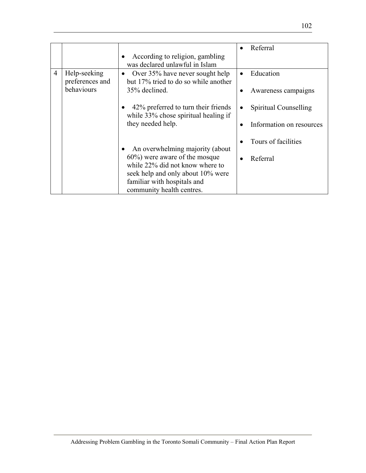|                |                                 |                                                                                                           | Referral                 |
|----------------|---------------------------------|-----------------------------------------------------------------------------------------------------------|--------------------------|
|                |                                 | According to religion, gambling<br>was declared unlawful in Islam                                         |                          |
| $\overline{4}$ | Help-seeking<br>preferences and | Over 35% have never sought help<br>$\bullet$<br>but 17% tried to do so while another                      | Education                |
|                | behaviours                      | 35% declined.                                                                                             | Awareness campaigns      |
|                |                                 | 42% preferred to turn their friends<br>while 33% chose spiritual healing if                               | Spiritual Counselling    |
|                |                                 | they needed help.                                                                                         | Information on resources |
|                |                                 | An overwhelming majority (about                                                                           | Tours of facilities      |
|                |                                 | $60\%$ ) were aware of the mosque<br>while 22% did not know where to<br>seek help and only about 10% were | Referral                 |
|                |                                 | familiar with hospitals and<br>community health centres.                                                  |                          |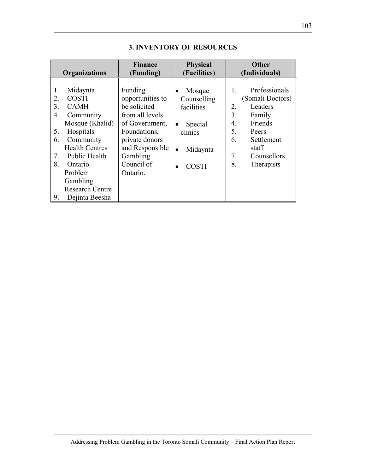| <b>Organizations</b>                                                                                                                                                                                                                                                            | <b>Finance</b>                                                                                                                                                              | <b>Physical</b>                                                                                                              | <b>Other</b>                                                                                                                                                                   |
|---------------------------------------------------------------------------------------------------------------------------------------------------------------------------------------------------------------------------------------------------------------------------------|-----------------------------------------------------------------------------------------------------------------------------------------------------------------------------|------------------------------------------------------------------------------------------------------------------------------|--------------------------------------------------------------------------------------------------------------------------------------------------------------------------------|
|                                                                                                                                                                                                                                                                                 | (Funding)                                                                                                                                                                   | (Facilities)                                                                                                                 | (Individuals)                                                                                                                                                                  |
| Midaynta<br>1.<br><b>COSTI</b><br>2.<br>3.<br><b>CAMH</b><br>4.<br>Community<br>Mosque (Khalid)<br>Hospitals<br>5.<br>Community<br>6.<br><b>Health Centres</b><br>Public Health<br>7.<br>8.<br>Ontario<br>Problem<br>Gambling<br><b>Research Centre</b><br>Dejinta Beesha<br>9. | Funding<br>opportunities to<br>be solicited<br>from all levels<br>of Government,<br>Foundations,<br>private donors<br>and Responsible<br>Gambling<br>Council of<br>Ontario. | Mosque<br>$\bullet$<br>Counselling<br>facilities<br>Special<br>$\bullet$<br>clinics<br>Midaynta<br>$\bullet$<br><b>COSTI</b> | Professionals<br>1.<br>(Somali Doctors)<br>Leaders<br>2.<br>3.<br>Family<br>Friends<br>4.<br>5.<br>Peers<br>6.<br>Settlement<br>staff<br>7.<br>Counsellors<br>8.<br>Therapists |

#### **3. INVENTORY OF RESOURCES**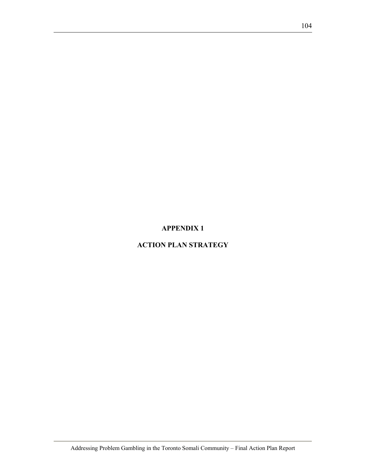### **APPENDIX 1**

### **ACTION PLAN STRATEGY**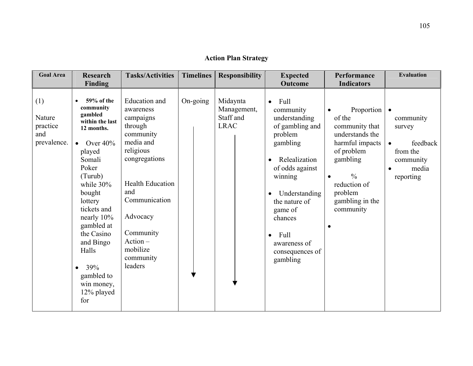### **Action Plan Strategy**

| <b>Goal Area</b>                                | <b>Research</b><br>Finding                                                                                                                                                                                                                                                                               | <b>Tasks/Activities</b>                                                                                                                                                                                                                         | <b>Timelines</b> | <b>Responsibility</b>                               | <b>Expected</b><br>Outcome                                                                                                                                                                                                                                                                     | Performance<br><b>Indicators</b>                                                                                                                                                     | <b>Evaluation</b>                                                                           |
|-------------------------------------------------|----------------------------------------------------------------------------------------------------------------------------------------------------------------------------------------------------------------------------------------------------------------------------------------------------------|-------------------------------------------------------------------------------------------------------------------------------------------------------------------------------------------------------------------------------------------------|------------------|-----------------------------------------------------|------------------------------------------------------------------------------------------------------------------------------------------------------------------------------------------------------------------------------------------------------------------------------------------------|--------------------------------------------------------------------------------------------------------------------------------------------------------------------------------------|---------------------------------------------------------------------------------------------|
| (1)<br>Nature<br>practice<br>and<br>prevalence. | 59% of the<br>community<br>gambled<br>within the last<br>12 months.<br>• Over $40\%$<br>played<br>Somali<br>Poker<br>(Turub)<br>while $30\%$<br>bought<br>lottery<br>tickets and<br>nearly 10%<br>gambled at<br>the Casino<br>and Bingo<br>Halls<br>39%<br>gambled to<br>win money,<br>12% played<br>for | <b>Education</b> and<br>awareness<br>campaigns<br>through<br>community<br>media and<br>religious<br>congregations<br><b>Health Education</b><br>and<br>Communication<br>Advocacy<br>Community<br>$Action -$<br>mobilize<br>community<br>leaders | On-going         | Midaynta<br>Management,<br>Staff and<br><b>LRAC</b> | Full<br>$\bullet$<br>community<br>understanding<br>of gambling and<br>problem<br>gambling<br>Relealization<br>$\bullet$<br>of odds against<br>winning<br>Understanding<br>$\bullet$<br>the nature of<br>game of<br>chances<br>Full<br>$\bullet$<br>awareness of<br>consequences of<br>gambling | Proportion  <br>of the<br>community that<br>understands the<br>harmful impacts<br>of problem<br>gambling<br>$\frac{0}{0}$<br>reduction of<br>problem<br>gambling in the<br>community | community<br>survey<br>feedback<br>$\bullet$<br>from the<br>community<br>media<br>reporting |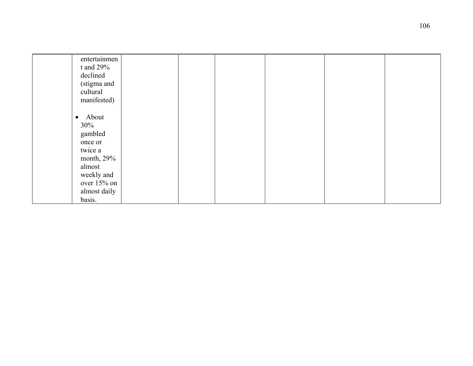| entertainmen<br>t and $29%$<br>declined<br>(stigma and<br>cultural<br>manifested)                                                  |  |  |  |
|------------------------------------------------------------------------------------------------------------------------------------|--|--|--|
| • About<br>30%<br>gambled<br>once or<br>twice a<br>month, $29%$<br>almost<br>weekly and<br>over $15%$ on<br>almost daily<br>basis. |  |  |  |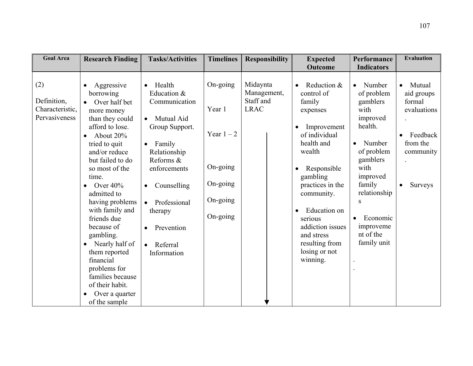| <b>Goal Area</b>                                       | <b>Research Finding</b>                                                                                                                                                                                                                                                                                                                                                                                                                                                                                         | <b>Tasks/Activities</b>                                                                                                                                                                                                                                | <b>Timelines</b>                                                                   | <b>Responsibility</b>                               | <b>Expected</b>                                                                                                                                                                                                                                                                                                                    | Performance                                                                                                                                                                                                                                                             | <b>Evaluation</b>                                                                                          |
|--------------------------------------------------------|-----------------------------------------------------------------------------------------------------------------------------------------------------------------------------------------------------------------------------------------------------------------------------------------------------------------------------------------------------------------------------------------------------------------------------------------------------------------------------------------------------------------|--------------------------------------------------------------------------------------------------------------------------------------------------------------------------------------------------------------------------------------------------------|------------------------------------------------------------------------------------|-----------------------------------------------------|------------------------------------------------------------------------------------------------------------------------------------------------------------------------------------------------------------------------------------------------------------------------------------------------------------------------------------|-------------------------------------------------------------------------------------------------------------------------------------------------------------------------------------------------------------------------------------------------------------------------|------------------------------------------------------------------------------------------------------------|
| (2)<br>Definition,<br>Characteristic,<br>Pervasiveness | Aggressive<br>$\bullet$<br>borrowing<br>Over half bet<br>$\bullet$<br>more money<br>than they could<br>afford to lose.<br>About 20%<br>$\bullet$<br>tried to quit<br>and/or reduce<br>but failed to do<br>so most of the<br>time.<br>Over $40\%$<br>$\bullet$<br>admitted to<br>having problems<br>with family and<br>friends due<br>because of<br>gambling.<br>Nearly half of<br>$\bullet$<br>them reported<br>financial<br>problems for<br>families because<br>of their habit.<br>Over a quarter<br>$\bullet$ | Health<br>$\bullet$<br>Education &<br>Communication<br>Mutual Aid<br>Group Support.<br>$\bullet$ Family<br>Relationship<br>Reforms &<br>enforcements<br>Counselling<br>$\bullet$<br>Professional<br>therapy<br>Prevention<br>• Referral<br>Information | On-going<br>Year 1<br>Year $1 - 2$<br>On-going<br>On-going<br>On-going<br>On-going | Midaynta<br>Management,<br>Staff and<br><b>LRAC</b> | Outcome<br>Reduction &<br>$\bullet$<br>control of<br>family<br>expenses<br>Improvement<br>$\bullet$<br>of individual<br>health and<br>wealth<br>Responsible<br>gambling<br>practices in the<br>community.<br>Education on<br>$\bullet$<br>serious<br>addiction issues<br>and stress<br>resulting from<br>losing or not<br>winning. | <b>Indicators</b><br>Number<br>$\bullet$<br>of problem<br>gamblers<br>with<br>improved<br>health.<br>Number<br>$\bullet$<br>of problem<br>gamblers<br>with<br>improved<br>family<br>relationship<br>S<br>Economic<br>$\bullet$<br>improveme<br>nt of the<br>family unit | Mutual<br>$\bullet$<br>aid groups<br>formal<br>evaluations<br>Feedback<br>from the<br>community<br>Surveys |
|                                                        | of the sample                                                                                                                                                                                                                                                                                                                                                                                                                                                                                                   |                                                                                                                                                                                                                                                        |                                                                                    |                                                     |                                                                                                                                                                                                                                                                                                                                    |                                                                                                                                                                                                                                                                         |                                                                                                            |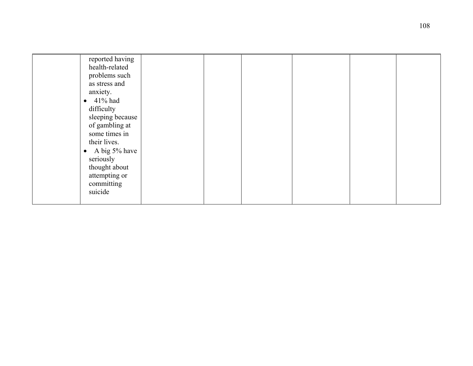| reported having    |  |  |  |
|--------------------|--|--|--|
| health-related     |  |  |  |
| problems such      |  |  |  |
| as stress and      |  |  |  |
| anxiety.           |  |  |  |
| $\bullet$ 41% had  |  |  |  |
| difficulty         |  |  |  |
| sleeping because   |  |  |  |
| of gambling at     |  |  |  |
| some times in      |  |  |  |
| their lives.       |  |  |  |
| • A big $5\%$ have |  |  |  |
| seriously          |  |  |  |
| thought about      |  |  |  |
| attempting or      |  |  |  |
| committing         |  |  |  |
| suicide            |  |  |  |
|                    |  |  |  |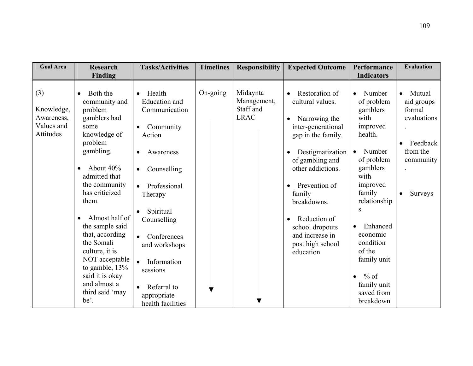| <b>Goal Area</b>                                           | <b>Research</b><br>Finding                                                                                                                                                                                                                                                                                                                                               | <b>Tasks/Activities</b>                                                                                                                                                                                                                                                                                                                                     | <b>Timelines</b> | <b>Responsibility</b>                               | <b>Expected Outcome</b>                                                                                                                                                                                                                                                                                                | Performance<br><b>Indicators</b>                                                                                                                                                                                                                                                                    | <b>Evaluation</b>                                                                                          |
|------------------------------------------------------------|--------------------------------------------------------------------------------------------------------------------------------------------------------------------------------------------------------------------------------------------------------------------------------------------------------------------------------------------------------------------------|-------------------------------------------------------------------------------------------------------------------------------------------------------------------------------------------------------------------------------------------------------------------------------------------------------------------------------------------------------------|------------------|-----------------------------------------------------|------------------------------------------------------------------------------------------------------------------------------------------------------------------------------------------------------------------------------------------------------------------------------------------------------------------------|-----------------------------------------------------------------------------------------------------------------------------------------------------------------------------------------------------------------------------------------------------------------------------------------------------|------------------------------------------------------------------------------------------------------------|
| (3)<br>Knowledge,<br>Awareness,<br>Values and<br>Attitudes | Both the<br>community and<br>problem<br>gamblers had<br>some<br>knowledge of<br>problem<br>gambling.<br>About 40%<br>admitted that<br>the community<br>has criticized<br>them.<br>Almost half of<br>the sample said<br>that, according<br>the Somali<br>culture, it is<br>NOT acceptable<br>to gamble, 13%<br>said it is okay<br>and almost a<br>third said 'may<br>be'. | Health<br>$\bullet$<br>Education and<br>Communication<br>Community<br>$\bullet$<br>Action<br>Awareness<br>$\bullet$<br>Counselling<br>$\bullet$<br>Professional<br>$\bullet$<br>Therapy<br>Spiritual<br>Counselling<br>Conferences<br>and workshops<br>$\bullet$<br>Information<br>sessions<br>Referral to<br>$\bullet$<br>appropriate<br>health facilities | On-going         | Midaynta<br>Management,<br>Staff and<br><b>LRAC</b> | Restoration of<br>cultural values.<br>Narrowing the<br>inter-generational<br>gap in the family.<br>Destigmatization<br>of gambling and<br>other addictions.<br>Prevention of<br>$\bullet$<br>family<br>breakdowns.<br>Reduction of<br>$\bullet$<br>school dropouts<br>and increase in<br>post high school<br>education | Number<br>of problem<br>gamblers<br>with<br>improved<br>health.<br>Number<br>$\bullet$<br>of problem<br>gamblers<br>with<br>improved<br>family<br>relationship<br>S<br>Enhanced<br>economic<br>condition<br>of the<br>family unit<br>$\%$ of<br>$\bullet$<br>family unit<br>saved from<br>breakdown | Mutual<br>aid groups<br>formal<br>evaluations<br>Feedback<br>from the<br>community<br>Surveys<br>$\bullet$ |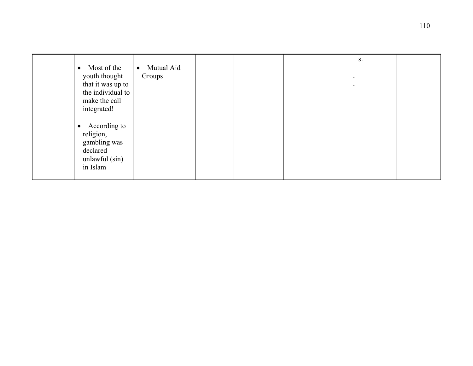|                           |                         |  | S.        |  |
|---------------------------|-------------------------|--|-----------|--|
| Most of the<br>$\bullet$  | Mutual Aid<br>$\bullet$ |  |           |  |
|                           |                         |  |           |  |
| youth thought             | Groups                  |  | $\bullet$ |  |
| that it was up to         |                         |  |           |  |
|                           |                         |  | $\bullet$ |  |
| the individual to         |                         |  |           |  |
| make the call $-$         |                         |  |           |  |
| integrated!               |                         |  |           |  |
|                           |                         |  |           |  |
|                           |                         |  |           |  |
| According to<br>$\bullet$ |                         |  |           |  |
|                           |                         |  |           |  |
| religion,                 |                         |  |           |  |
| gambling was              |                         |  |           |  |
| declared                  |                         |  |           |  |
|                           |                         |  |           |  |
| unlawful $(\sin)$         |                         |  |           |  |
| in Islam                  |                         |  |           |  |
|                           |                         |  |           |  |
|                           |                         |  |           |  |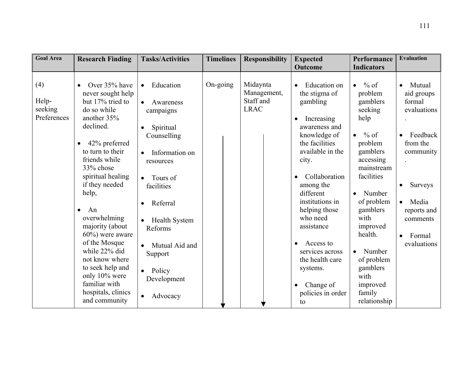| <b>Goal Area</b>                       | <b>Research Finding</b>                                                                                                                                                                                                                                                                                                                                                                                                                                                      | <b>Tasks/Activities</b>                                                                                                                                                                                                                                                                                                                           | <b>Timelines</b> | <b>Responsibility</b>                               | <b>Expected</b><br><b>Outcome</b>                                                                                                                                                                                                                                                                                                                       | Performance<br><b>Indicators</b>                                                                                                                                                                                                                                                                                       | <b>Evaluation</b>                                                                                                                                                                                                           |
|----------------------------------------|------------------------------------------------------------------------------------------------------------------------------------------------------------------------------------------------------------------------------------------------------------------------------------------------------------------------------------------------------------------------------------------------------------------------------------------------------------------------------|---------------------------------------------------------------------------------------------------------------------------------------------------------------------------------------------------------------------------------------------------------------------------------------------------------------------------------------------------|------------------|-----------------------------------------------------|---------------------------------------------------------------------------------------------------------------------------------------------------------------------------------------------------------------------------------------------------------------------------------------------------------------------------------------------------------|------------------------------------------------------------------------------------------------------------------------------------------------------------------------------------------------------------------------------------------------------------------------------------------------------------------------|-----------------------------------------------------------------------------------------------------------------------------------------------------------------------------------------------------------------------------|
| (4)<br>Help-<br>seeking<br>Preferences | Over 35% have<br>$\bullet$<br>never sought help<br>but 17% tried to<br>do so while<br>another 35%<br>declined.<br>42% preferred<br>$\bullet$<br>to turn to their<br>friends while<br>33% chose<br>spiritual healing<br>if they needed<br>help,<br>An<br>$\bullet$<br>overwhelming<br>majority (about<br>$60\%$ ) were aware<br>of the Mosque<br>while 22% did<br>not know where<br>to seek help and<br>only 10% were<br>familiar with<br>hospitals, clinics<br>and community | Education<br>$\bullet$<br>Awareness<br>$\bullet$<br>campaigns<br>Spiritual<br>$\bullet$<br>Counselling<br>Information on<br>$\bullet$<br>resources<br>Tours of<br>$\bullet$<br>facilities<br>Referral<br><b>Health System</b><br>Reforms<br>Mutual Aid and<br>$\bullet$<br>Support<br>Policy<br>$\bullet$<br>Development<br>Advocacy<br>$\bullet$ | On-going         | Midaynta<br>Management,<br>Staff and<br><b>LRAC</b> | Education on<br>the stigma of<br>gambling<br>Increasing<br>awareness and<br>knowledge of<br>the facilities<br>available in the<br>city.<br>Collaboration<br>among the<br>different<br>institutions in<br>helping those<br>who need<br>assistance<br>Access to<br>services across<br>the health care<br>systems.<br>Change of<br>policies in order<br>to | $%$ of<br>$\bullet$<br>problem<br>gamblers<br>seeking<br>help<br>$%$ of<br>$\bullet$<br>problem<br>gamblers<br>accessing<br>mainstream<br>facilities<br>Number<br>of problem<br>gamblers<br>with<br>improved<br>health.<br>Number<br>$\bullet$<br>of problem<br>gamblers<br>with<br>improved<br>family<br>relationship | Mutual<br>$\bullet$<br>aid groups<br>formal<br>evaluations<br>Feedback<br>$\bullet$<br>from the<br>community<br>Surveys<br>$\bullet$<br>Media<br>$\bullet$<br>reports and<br>comments<br>Formal<br>$\bullet$<br>evaluations |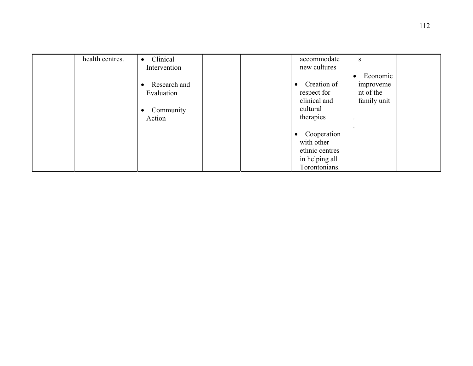| health centres. | Clinical<br>$\bullet$     |  | accommodate    | S                     |  |
|-----------------|---------------------------|--|----------------|-----------------------|--|
|                 | Intervention              |  | new cultures   |                       |  |
|                 |                           |  |                | Economic<br>$\bullet$ |  |
|                 | Research and<br>$\bullet$ |  | Creation of    | improveme             |  |
|                 | Evaluation                |  | respect for    | nt of the             |  |
|                 |                           |  | clinical and   | family unit           |  |
|                 | Community<br>٠            |  | cultural       |                       |  |
|                 | Action                    |  | therapies      |                       |  |
|                 |                           |  |                |                       |  |
|                 |                           |  | Cooperation    |                       |  |
|                 |                           |  | with other     |                       |  |
|                 |                           |  | ethnic centres |                       |  |
|                 |                           |  | in helping all |                       |  |
|                 |                           |  | Torontonians.  |                       |  |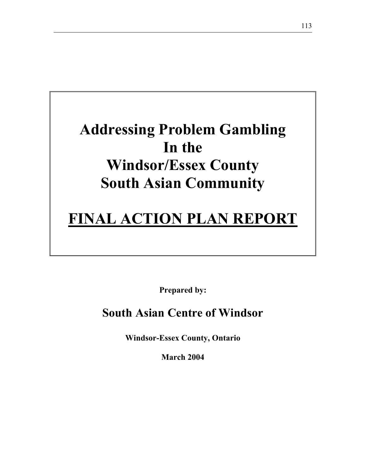# **Addressing Problem Gambling In the Windsor/Essex County South Asian Community**

# **FINAL ACTION PLAN REPORT**

**Prepared by:** 

# **South Asian Centre of Windsor**

**Windsor-Essex County, Ontario** 

**March 2004**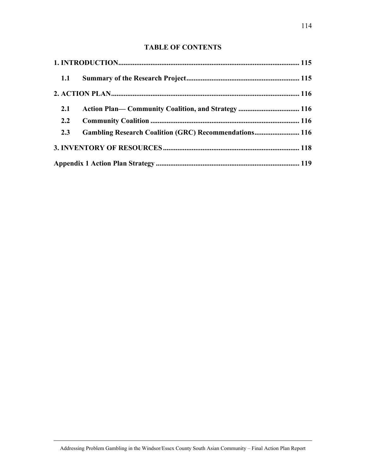## **TABLE OF CONTENTS**

| 1.1 |                                                              |  |
|-----|--------------------------------------------------------------|--|
|     |                                                              |  |
| 2.1 |                                                              |  |
| 2.2 |                                                              |  |
| 2.3 | <b>Gambling Research Coalition (GRC) Recommendations 116</b> |  |
|     |                                                              |  |
|     |                                                              |  |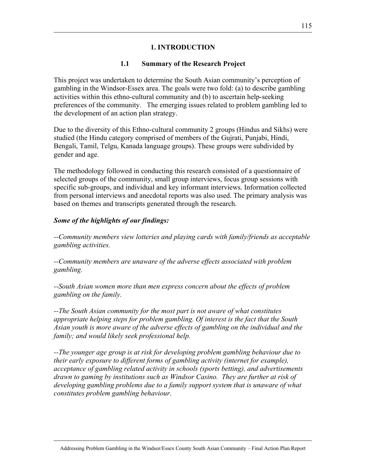#### **1. INTRODUCTION**

#### **1.1 Summary of the Research Project**

This project was undertaken to determine the South Asian community's perception of gambling in the Windsor-Essex area. The goals were two fold: (a) to describe gambling activities within this ethno-cultural community and (b) to ascertain help-seeking preferences of the community. The emerging issues related to problem gambling led to the development of an action plan strategy.

Due to the diversity of this Ethno-cultural community 2 groups (Hindus and Sikhs) were studied (the Hindu category comprised of members of the Gujrati, Punjabi, Hindi, Bengali, Tamil, Telgu, Kanada language groups). These groups were subdivided by gender and age.

The methodology followed in conducting this research consisted of a questionnaire of selected groups of the community, small group interviews, focus group sessions with specific sub-groups, and individual and key informant interviews. Information collected from personal interviews and anecdotal reports was also used. The primary analysis was based on themes and transcripts generated through the research.

#### *Some of the highlights of our findings:*

*--Community members view lotteries and playing cards with family/friends as acceptable gambling activities.* 

*--Community members are unaware of the adverse effects associated with problem gambling.* 

*--South Asian women more than men express concern about the effects of problem gambling on the family.* 

*--The South Asian community for the most part is not aware of what constitutes appropriate helping steps for problem gambling. Of interest is the fact that the South Asian youth is more aware of the adverse effects of gambling on the individual and the family; and would likely seek professional help.* 

*--The younger age group is at risk for developing problem gambling behaviour due to their early exposure to different forms of gambling activity (internet for example), acceptance of gambling related activity in schools (sports betting), and advertisements drawn to gaming by institutions such as Windsor Casino. They are further at risk of*  developing gambling problems due to a family support system that is unaware of what *constitutes problem gambling behaviour*.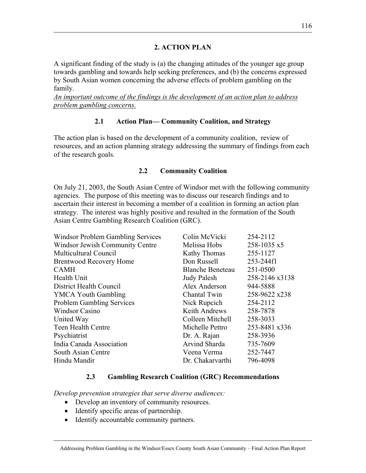#### **2. ACTION PLAN**

A significant finding of the study is (a) the changing attitudes of the younger age group towards gambling and towards help seeking preferences, and (b) the concerns expressed by South Asian women concerning the adverse effects of problem gambling on the family.

*An important outcome of the findings is the development of an action plan to address problem gambling concerns.*

#### **2.1 Action Plan— Community Coalition, and Strategy**

The action plan is based on the development of a community coalition, review of resources, and an action planning strategy addressing the summary of findings from each of the research goals.

#### **2.2 Community Coalition**

On July 21, 2003, the South Asian Centre of Windsor met with the following community agencies. The purpose of this meeting was to discuss our research findings and to ascertain their interest in becoming a member of a coalition in forming an action plan strategy. The interest was highly positive and resulted in the formation of the South Asian Centre Gambling Research Coalition (GRC).

| Windsor Problem Gambling Services | Colin McVicki           | 254-2112       |
|-----------------------------------|-------------------------|----------------|
| Windsor Jewish Community Centre   | Melissa Hobs            | 258-1035 x5    |
| <b>Multicultural Council</b>      | Kathy Thomas            | 255-1127       |
| <b>Brentwood Recovery Home</b>    | Don Russell             | 253-244f1      |
| <b>CAMH</b>                       | <b>Blanche Beneteau</b> | 251-0500       |
| Health Unit                       | <b>Judy Palesh</b>      | 258-2146 x3138 |
| District Health Council           | Alex Anderson           | 944-5888       |
| <b>YMCA Youth Gambling</b>        | Chantal Twin            | 258-9622 x238  |
| <b>Problem Gambling Services</b>  | Nick Rupcich            | 254-2112       |
| <b>Windsor Casino</b>             | <b>Keith Andrews</b>    | 258-7878       |
| United Way                        | Colleen Mitchell        | 258-3033       |
| Teen Health Centre                | Michelle Pettro         | 253-8481 x336  |
| Psychiatrist                      | Dr. A. Rajan            | 258-3936       |
| India Canada Association          | Arvind Sharda           | 735-7609       |
| South Asian Centre                | Veena Verma             | 252-7447       |
| Hindu Mandir                      | Dr. Chakarvarthi        | 796-4098       |

#### **2.3 Gambling Research Coalition (GRC) Recommendations**

*Develop prevention strategies that serve diverse audiences:* 

- Develop an inventory of community resources.
- Identify specific areas of partnership.
- Identify accountable community partners.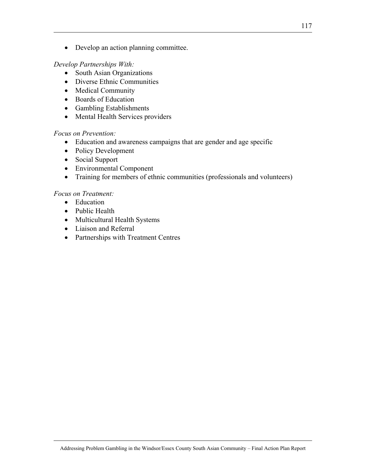• Develop an action planning committee.

#### *Develop Partnerships With:*

- South Asian Organizations
- Diverse Ethnic Communities
- Medical Community
- Boards of Education
- Gambling Establishments
- Mental Health Services providers

#### *Focus on Prevention:*

- Education and awareness campaigns that are gender and age specific
- Policy Development
- Social Support
- Environmental Component
- Training for members of ethnic communities (professionals and volunteers)

#### *Focus on Treatment:*

- Education
- Public Health
- Multicultural Health Systems
- Liaison and Referral
- Partnerships with Treatment Centres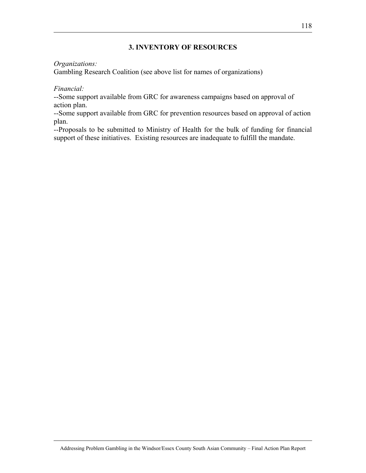#### **3. INVENTORY OF RESOURCES**

#### *Organizations:*

Gambling Research Coalition (see above list for names of organizations)

#### *Financial:*

--Some support available from GRC for awareness campaigns based on approval of action plan.

--Some support available from GRC for prevention resources based on approval of action plan.

--Proposals to be submitted to Ministry of Health for the bulk of funding for financial support of these initiatives. Existing resources are inadequate to fulfill the mandate.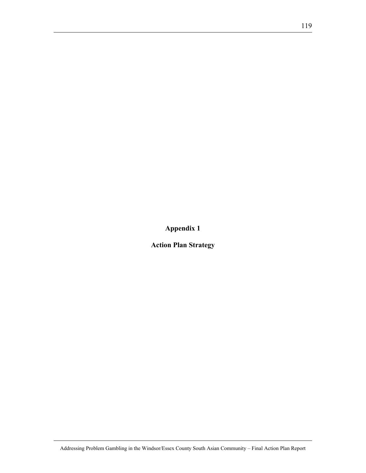**Appendix 1** 

**Action Plan Strategy**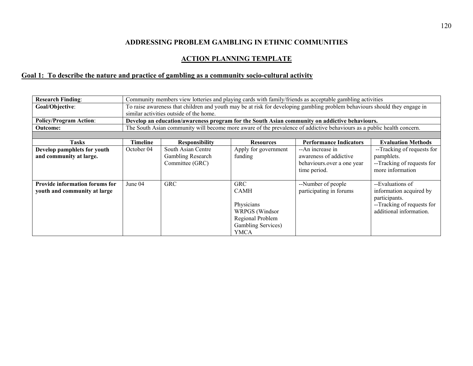#### **ADDRESSING PROBLEM GAMBLING IN ETHNIC COMMUNITIES**

#### **ACTION PLANNING TEMPLATE**

#### **Goal 1: To describe the nature and practice of gambling as a community socio-cultural activity**

| <b>Research Finding:</b>                                       | Community members view lotteries and playing cards with family/friends as acceptable gambling activities |                                                                                                                            |                                                                                                                            |                                                                                                                        |                                                                                                                       |  |  |  |  |
|----------------------------------------------------------------|----------------------------------------------------------------------------------------------------------|----------------------------------------------------------------------------------------------------------------------------|----------------------------------------------------------------------------------------------------------------------------|------------------------------------------------------------------------------------------------------------------------|-----------------------------------------------------------------------------------------------------------------------|--|--|--|--|
| Goal/Objective:                                                |                                                                                                          | To raise awareness that children and youth may be at risk for developing gambling problem behaviours should they engage in |                                                                                                                            |                                                                                                                        |                                                                                                                       |  |  |  |  |
|                                                                |                                                                                                          | similar activities outside of the home.                                                                                    |                                                                                                                            |                                                                                                                        |                                                                                                                       |  |  |  |  |
| <b>Policy/Program Action:</b>                                  |                                                                                                          |                                                                                                                            |                                                                                                                            | Develop an education/awareness program for the South Asian community on addictive behaviours.                          |                                                                                                                       |  |  |  |  |
| <b>Outcome:</b>                                                |                                                                                                          |                                                                                                                            |                                                                                                                            | The South Asian community will become more aware of the prevalence of addictive behaviours as a public health concern. |                                                                                                                       |  |  |  |  |
|                                                                |                                                                                                          |                                                                                                                            |                                                                                                                            |                                                                                                                        |                                                                                                                       |  |  |  |  |
| <b>Tasks</b>                                                   | Timeline                                                                                                 | <b>Responsibility</b>                                                                                                      | <b>Resources</b>                                                                                                           | <b>Performance Indicators</b>                                                                                          | <b>Evaluation Methods</b>                                                                                             |  |  |  |  |
| Develop pamphlets for youth<br>and community at large.         | October 04                                                                                               | South Asian Centre<br>Gambling Research<br>Committee (GRC)                                                                 | Apply for government<br>funding                                                                                            | --An increase in<br>awareness of addictive<br>behaviours over a one year<br>time period.                               | --Tracking of requests for<br>pamphlets.<br>--Tracking of requests for<br>more information                            |  |  |  |  |
| Provide information forums for<br>youth and community at large | June 04                                                                                                  | <b>GRC</b>                                                                                                                 | <b>GRC</b><br><b>CAMH</b><br>Physicians<br>WRPGS (Windsor<br>Regional Problem<br><b>Gambling Services</b> )<br><b>YMCA</b> | --Number of people<br>participating in forums                                                                          | --Evaluations of<br>information acquired by<br>participants.<br>--Tracking of requests for<br>additional information. |  |  |  |  |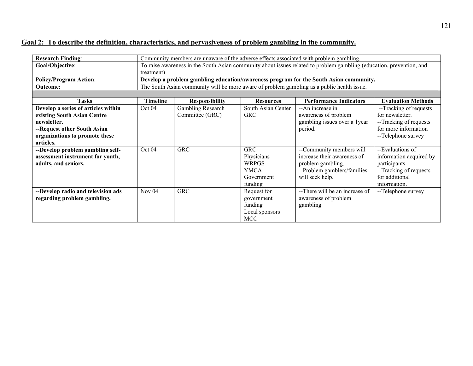### **Goal 2: To describe the definition, characteristics, and pervasiveness of problem gambling in the community.**

| <b>Research Finding:</b>            | Community members are unaware of the adverse effects associated with problem gambling. |                                                                                                                      |                    |                                |                           |  |  |  |
|-------------------------------------|----------------------------------------------------------------------------------------|----------------------------------------------------------------------------------------------------------------------|--------------------|--------------------------------|---------------------------|--|--|--|
| Goal/Objective:                     | treatment)                                                                             | To raise awareness in the South Asian community about issues related to problem gambling (education, prevention, and |                    |                                |                           |  |  |  |
| <b>Policy/Program Action:</b>       |                                                                                        | Develop a problem gambling education/awareness program for the South Asian community.                                |                    |                                |                           |  |  |  |
| <b>Outcome:</b>                     |                                                                                        | The South Asian community will be more aware of problem gambling as a public health issue.                           |                    |                                |                           |  |  |  |
|                                     |                                                                                        |                                                                                                                      |                    |                                |                           |  |  |  |
| <b>Tasks</b>                        | <b>Timeline</b>                                                                        | <b>Responsibility</b>                                                                                                | <b>Resources</b>   | <b>Performance Indicators</b>  | <b>Evaluation Methods</b> |  |  |  |
| Develop a series of articles within | Oct 04                                                                                 | Gambling Research                                                                                                    | South Asian Center | --An increase in               | --Tracking of requests    |  |  |  |
| existing South Asian Centre         |                                                                                        | Committee (GRC)                                                                                                      | <b>GRC</b>         | awareness of problem           | for newsletter.           |  |  |  |
| newsletter.                         |                                                                                        |                                                                                                                      |                    | gambling issues over a 1year   | --Tracking of requests    |  |  |  |
| --Request other South Asian         |                                                                                        |                                                                                                                      |                    | period.                        | for more information      |  |  |  |
| organizations to promote these      |                                                                                        |                                                                                                                      |                    |                                | --Telephone survey        |  |  |  |
| articles.                           |                                                                                        |                                                                                                                      |                    |                                |                           |  |  |  |
| --Develop problem gambling self-    | Oct 04                                                                                 | <b>GRC</b>                                                                                                           | <b>GRC</b>         | --Community members will       | --Evaluations of          |  |  |  |
| assessment instrument for youth,    |                                                                                        |                                                                                                                      | Physicians         | increase their awareness of    | information acquired by   |  |  |  |
| adults, and seniors.                |                                                                                        |                                                                                                                      | <b>WRPGS</b>       | problem gambling.              | participants.             |  |  |  |
|                                     |                                                                                        |                                                                                                                      | <b>YMCA</b>        | --Problem gamblers/families    | --Tracking of requests    |  |  |  |
|                                     |                                                                                        |                                                                                                                      | Government         | will seek help.                | for additional            |  |  |  |
|                                     |                                                                                        |                                                                                                                      | funding            |                                | information.              |  |  |  |
| --Develop radio and television ads  | Nov $04$                                                                               | <b>GRC</b>                                                                                                           | Request for        | --There will be an increase of | --Telephone survey        |  |  |  |
| regarding problem gambling.         |                                                                                        |                                                                                                                      | government         | awareness of problem           |                           |  |  |  |
|                                     |                                                                                        |                                                                                                                      | funding            | gambling                       |                           |  |  |  |
|                                     |                                                                                        |                                                                                                                      | Local sponsors     |                                |                           |  |  |  |
|                                     |                                                                                        |                                                                                                                      | <b>MCC</b>         |                                |                           |  |  |  |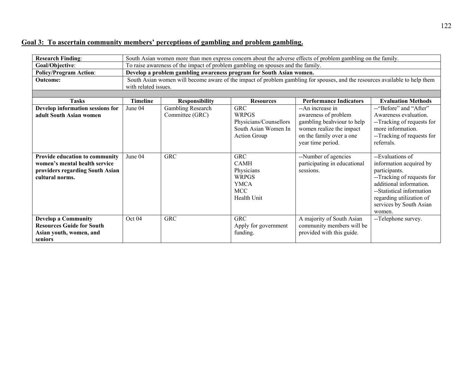# **Goal 3: To ascertain community members' perceptions of gambling and problem gambling.**

| <b>Research Finding:</b>                                                                                              |                 | South Asian women more than men express concern about the adverse effects of problem gambling on the family.                |                                                                                                     |                                                                                                                                                     |                                                                                                                                                                                                                     |  |  |  |  |
|-----------------------------------------------------------------------------------------------------------------------|-----------------|-----------------------------------------------------------------------------------------------------------------------------|-----------------------------------------------------------------------------------------------------|-----------------------------------------------------------------------------------------------------------------------------------------------------|---------------------------------------------------------------------------------------------------------------------------------------------------------------------------------------------------------------------|--|--|--|--|
| Goal/Objective:                                                                                                       |                 |                                                                                                                             | To raise awareness of the impact of problem gambling on spouses and the family.                     |                                                                                                                                                     |                                                                                                                                                                                                                     |  |  |  |  |
| <b>Policy/Program Action:</b>                                                                                         |                 |                                                                                                                             | Develop a problem gambling awareness program for South Asian women.                                 |                                                                                                                                                     |                                                                                                                                                                                                                     |  |  |  |  |
| <b>Outcome:</b>                                                                                                       |                 | South Asian women will become aware of the impact of problem gambling for spouses, and the resources available to help them |                                                                                                     |                                                                                                                                                     |                                                                                                                                                                                                                     |  |  |  |  |
|                                                                                                                       |                 | with related issues.                                                                                                        |                                                                                                     |                                                                                                                                                     |                                                                                                                                                                                                                     |  |  |  |  |
|                                                                                                                       |                 |                                                                                                                             |                                                                                                     |                                                                                                                                                     |                                                                                                                                                                                                                     |  |  |  |  |
| <b>Tasks</b>                                                                                                          | <b>Timeline</b> | <b>Responsibility</b>                                                                                                       | <b>Resources</b>                                                                                    | <b>Performance Indicators</b>                                                                                                                       | <b>Evaluation Methods</b>                                                                                                                                                                                           |  |  |  |  |
| Develop information sessions for<br>adult South Asian women                                                           | June 04         | Gambling Research<br>Committee (GRC)                                                                                        | <b>GRC</b><br><b>WRPGS</b><br>Physicians/Counsellors<br>South Asian Women In<br><b>Action Group</b> | --An increase in<br>awareness of problem<br>gambling beahviour to help<br>women realize the impact<br>on the family over a one<br>year time period. | -- "Before" and "After"<br>Awareness evaluation.<br>--Tracking of requests for<br>more information.<br>--Tracking of requests for<br>referrals.                                                                     |  |  |  |  |
| Provide education to community<br>women's mental health service<br>providers regarding South Asian<br>cultural norms. | June 04         | <b>GRC</b>                                                                                                                  | <b>GRC</b><br><b>CAMH</b><br>Physicians<br><b>WRPGS</b><br><b>YMCA</b><br><b>MCC</b><br>Health Unit | --Number of agencies<br>participating in educational<br>sessions.                                                                                   | --Evaluations of<br>information acquired by<br>participants.<br>--Tracking of requests for<br>additional information.<br>--Statistical information<br>regarding utilization of<br>services by South Asian<br>women. |  |  |  |  |
| <b>Develop a Community</b><br><b>Resources Guide for South</b><br>Asian youth, women, and<br><b>seniors</b>           | Oct 04          | <b>GRC</b>                                                                                                                  | <b>GRC</b><br>Apply for government<br>funding.                                                      | A majority of South Asian<br>community members will be<br>provided with this guide.                                                                 | --Telephone survey.                                                                                                                                                                                                 |  |  |  |  |